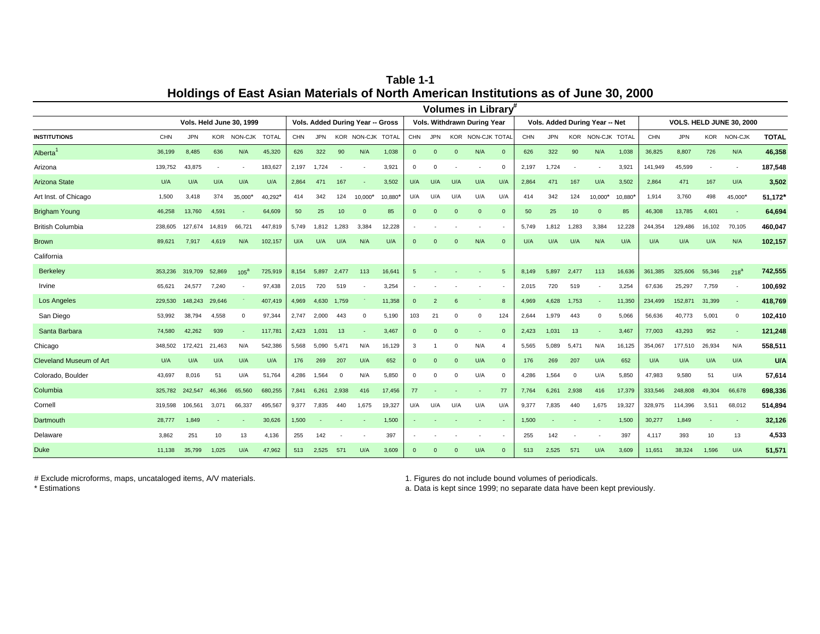CHN JPN KOR NON-CJK TOTAL CHN JPN KOR NON-CJK TOTAL CHN JPN KOR NON-CJK TOTAL CHN JPN KOR NON-CJK TOTAL CHN JPN KOR NON-CJK **TOTAL** 36,199 8,485 636 N/A 45,320 626 322 90 N/A 1,038 0 0 0 N/A 0 626 322 90 N/A 1,038 36,825 8,807 726 N/A **46,358** Arizona 139,752 43,875 - - 183,627 2,197 1,724 - - 3,921 0 0 - - 0 2,197 1,724 - - 3,921 141,949 45,599 - - **187,548** Arizona State U/A U/A U/A U/A U/A 2,864 471 167 - 3,502 U/A U/A U/A U/A U/A 2,864 471 167 U/A 3,502 2,864 471 167 U/A **3,502** Art Inst. of Chicago 1,500 3,418 374 35,000\* 40,292\* 414 342 124 10,000\* 10,880\* U/A U/A U/A U/A U/A 414 342 124 10,000\* 10,880\* 1,914 3,760 498 45,000\* **51,172\*** Brigham Young 46,258 13,760 4,591 - 64,609 50 25 10 0 85 0 0 0 0 0 50 25 10 0 85 46,308 13,785 4,601 - **64,694** British Columbia 238,605 127,674 14,819 66,721 447,819 5,749 1,812 1,283 3,384 12,228 - - - - - 5,749 1,812 1,283 3,384 12,228 244,354 129,486 16,102 70,105 **460,047** Brown 89,621 7,917 4,619 N/A 102,157 U/A U/A U/A N/A U/A 0 0 0 N/A 0 U/A U/A U/A N/A U/A U/A U/A U/A N/A **102,157** California 353,236 319,709 52,869 <sub>105</sub><sup>a</sup> 725,919 8,154 5,897 2,477 113 16,641 5 - - - - - 5 8,149 5,897 2,477 113 16,636 361,385 325,606 55,346 <sub>218</sub>a **742,555** 65,621 24,577 7,240 - 97,438 2,015 720 519 - 3,254 - - - - - 2,015 720 519 - 3,254 67,636 25,297 7,759 - **100,692** 229,530 148,243 29,646 - 407,419 4,969 4,630 1,759 - 11,358 0 2 6 - 8 4,969 4,628 1,753 - 11,350 234,499 152,871 31,399 - **418,769** 53,992 38,794 4,558 0 97,344 2,747 2,000 443 0 5,190 103 21 0 0 124 2,644 1,979 443 0 5,066 56,636 40,773 5,001 0 **102,410** Santa Barbara 74,580 42,262 939 - 117,781 2,423 1,031 13 - 3,467 0 0 0 - 0 2,423 1,031 13 - 3,467 77,003 43,293 952 - **121,248** Chicago 348,502 172,421 21,463 N/A 542,386 5,568 5,090 5,471 N/A 16,129 3 1 0 N/A 4 5,565 5,089 5,471 N/A 16,125 354,067 177,510 26,934 N/A **558,511** Cleveland Museum of Art U/A U/A U/A U/A U/A 176 269 207 U/A 652 0 0 0 U/A 0 176 269 207 U/A 652 U/A U/A U/A U/A **U/A** Colorado, Boulder 43,697 8,016 51 U/A 51,764 4,286 1,564 0 N/A 5,850 0 0 0 U/A 0 4,286 1,564 0 U/A 5,850 47,983 9,580 51 U/A **57,614** 325,782 242,547 46,366 65,560 680,255 7,841 6,261 2,938 416 17,456 77 - - - 77 7,764 6,261 2,938 416 17,379 333,546 248,808 49,304 66,678 **698,336** 319,598 106,561 3,071 66,337 495,567 9,377 7,835 440 1,675 19,327 U/A U/A U/A U/A U/A 9,377 7,835 440 1,675 19,327 328,975 114,396 3,511 68,012 **514,894** Dartmouth 28,777 1,849 - - 30,626 1,500 - - - 1,500 - - - - - 1,500 - - - 1,500 30,277 1,849 - - **32,126** Delaware 3,862 251 10 13 4,136 255 142 - - 397 - - - - - 255 142 - - 397 4,117 393 10 13 **4,533** 11,138 35,799 1,025 U/A 47,962 513 2,525 571 U/A 3,609 0 0 0 U/A 0 513 2,525 571 U/A 3,609 11,651 38,324 1,596 U/A **51,571** Columbia Duke Cornell **INSTITUTIONS** Alberta<sup>1</sup> Berkeley Irvine Los Angeles San Diego **Volumes in Library Vols. Held June 30, 1999 Vols. Added During Year -- Gross Vols. Withdrawn During Year Vols. Added During Year -- Net VOLS. HELD JUNE 30, 2000**

**Holdings of East Asian Materials of North American Institutions as of June 30, 2000 Table 1-1**

# Exclude microforms, maps, uncataloged items, A/V materials. 1. Figures do not include bound volumes of periodicals.

\* Estimations a. Data is kept since 1999; no separate data have been kept previously.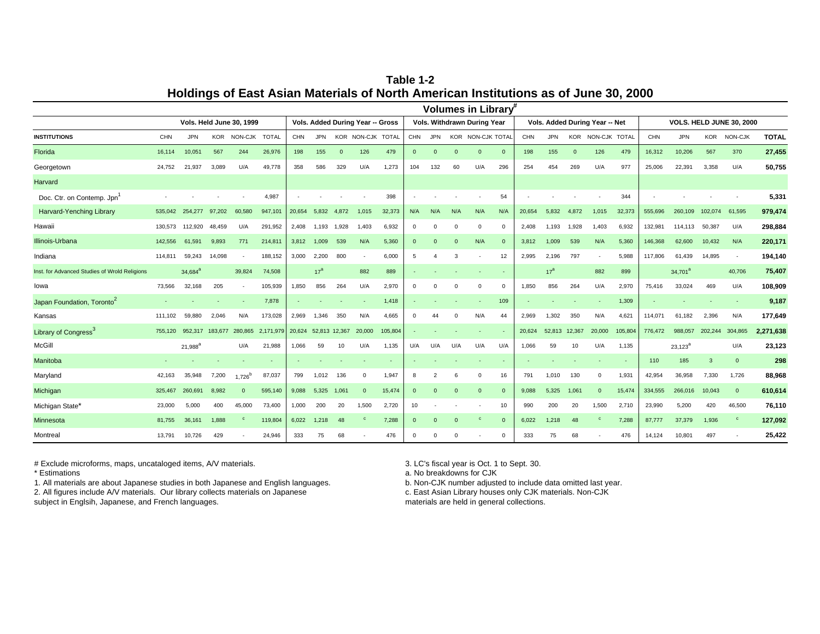**Table 1-2 Holdings of East Asian Materials of North American Institutions as of June 30, 2000**

|                                               |            |                     |         |                          |              |        |                 |               |                                  |         |          |            |          | Volumes in Library <sup>#</sup> |              |        |                 |          |                                |         |         |                                 |         |                |              |
|-----------------------------------------------|------------|---------------------|---------|--------------------------|--------------|--------|-----------------|---------------|----------------------------------|---------|----------|------------|----------|---------------------------------|--------------|--------|-----------------|----------|--------------------------------|---------|---------|---------------------------------|---------|----------------|--------------|
|                                               |            |                     |         | Vols. Held June 30, 1999 |              |        |                 |               | Vols. Added During Year -- Gross |         |          |            |          | Vols. Withdrawn During Year     |              |        |                 |          | Vols. Added During Year -- Net |         |         | <b>VOLS. HELD JUNE 30, 2000</b> |         |                |              |
| <b>INSTITUTIONS</b>                           | <b>CHN</b> | <b>JPN</b>          |         | KOR NON-CJK              | <b>TOTAL</b> | CHN    | JPN.            |               | KOR NON-CJK TOTAL                |         | CHN      | <b>JPN</b> |          | KOR NON-CJK TOTAL               |              | CHN    | <b>JPN</b>      |          | KOR NON-CJK TOTAL              |         | CHN     | <b>JPN</b>                      | KOR     | NON-CJK        | <b>TOTAL</b> |
| Florida                                       | 16.114     | 10,051              | 567     | 244                      | 26,976       | 198    | 155             | $\Omega$      | 126                              | 479     | $\Omega$ | $\Omega$   | $\Omega$ | $\Omega$                        | $\Omega$     | 198    | 155             | $\Omega$ | 126                            | 479     | 16,312  | 10,206                          | 567     | 370            | 27,455       |
| Georgetown                                    | 24,752     | 21,937              | 3,089   | U/A                      | 49,778       | 358    | 586             | 329           | U/A                              | 1,273   | 104      | 132        | 60       | U/A                             | 296          | 254    | 454             | 269      | U/A                            | 977     | 25,006  | 22,391                          | 3,358   | U/A            | 50,755       |
| Harvard                                       |            |                     |         |                          |              |        |                 |               |                                  |         |          |            |          |                                 |              |        |                 |          |                                |         |         |                                 |         |                |              |
| Doc. Ctr. on Contemp. Jpn                     |            |                     |         |                          | 4.987        |        |                 |               |                                  | 398     |          |            |          |                                 | 54           |        |                 |          |                                | 344     |         |                                 |         |                | 5,331        |
| Harvard-Yenching Library                      | 535.042    | 254,277             | 97.202  | 60,580                   | 947,101      | 20,654 | 5.832           | 4.872         | 1,015                            | 32,373  | N/A      | N/A        | N/A      | N/A                             | N/A          | 20,654 | 5.832           | 4,872    | 1,015                          | 32,373  | 555,696 | 260,109                         | 102.074 | 61.595         | 979,474      |
| Hawaii                                        | 130.573    | 112,920             | 48,459  | U/A                      | 291,952      | 2,408  | 1,193           | 1,928         | 1.403                            | 6,932   | $\Omega$ |            | $\Omega$ | $\Omega$                        | $\Omega$     | 2,408  | 1,193           | 1,928    | 1,403                          | 6,932   | 132,981 | 114,113                         | 50,387  | U/A            | 298,884      |
| Illinois-Urbana                               | 142,556    | 61,591              | 9,893   | 771                      | 214,811      | 3,812  | 1.009           | 539           | N/A                              | 5,360   | $\Omega$ |            | $\Omega$ | N/A                             | $\mathbf{0}$ | 3,812  | 1,009           | 539      | N/A                            | 5,360   | 146,368 | 62,600                          | 10,432  | N/A            | 220,171      |
| Indiana                                       | 114,811    | 59.243              | 14,098  | $\sim$                   | 188,152      | 3,000  | 2.200           | 800           |                                  | 6.000   | 5        |            | 3        | ٠                               | 12           | 2,995  | 2,196           | 797      |                                | 5,988   | 117,806 | 61,439                          | 14,895  |                | 194,140      |
| Inst. for Advanced Studies of Wrold Religions |            | 34,684 <sup>a</sup> |         | 39.824                   | 74.508       |        | 17 <sup>a</sup> |               | 882                              | 889     |          |            |          |                                 |              |        | 17 <sup>a</sup> |          | 882                            | 899     |         | 34.701 <sup>a</sup>             |         | 40,706         | 75,407       |
| lowa                                          | 73.566     | 32,168              | 205     |                          | 105,939      | 1,850  | 856             | 264           | U/A                              | 2,970   | $\Omega$ |            | $\Omega$ | $^{\circ}$                      | $\Omega$     | 1,850  | 856             | 264      | U/A                            | 2.970   | 75,416  | 33,024                          | 469     | U/A            | 108,909      |
| Japan Foundation, Toronto <sup>2</sup>        |            |                     |         |                          | 7,878        |        |                 |               |                                  | 1,418   |          |            |          |                                 | 109          |        |                 |          |                                | 1,309   |         |                                 |         |                | 9,187        |
| Kansas                                        | 111,102    | 59,880              | 2,046   | N/A                      | 173,028      | 2,969  | 1,346           | 350           | N/A                              | 4.665   | $\Omega$ | 44         | $\Omega$ | N/A                             | 44           | 2,969  | 1,302           | 350      | N/A                            | 4,621   | 114,071 | 61,182                          | 2,396   | N/A            | 177,649      |
| Library of Congress <sup>3</sup>              | 755.120    | 952,317             | 183,677 | 280,865                  | 2.171.979    | 20,624 |                 | 52,813 12,367 | 20,000                           | 105,804 |          |            |          |                                 | $\sim$       | 20,624 | 52,813 12,367   |          | 20,000                         | 105,804 | 776,472 | 988,057                         | 202.244 | 304,865        | 2,271,638    |
| McGill                                        |            | $21,988^{8}$        |         | U/A                      | 21,988       | 1,066  | 59              | 10            | U/A                              | 1,135   | U/A      | U/A        | U/A      | U/A                             | U/A          | 1,066  | 59              | 10       | U/A                            | 1,135   |         | $23,123^a$                      |         | U/A            | 23,123       |
| Manitoba                                      |            |                     |         |                          |              |        |                 |               |                                  |         |          |            |          |                                 |              |        |                 |          |                                |         | 110     | 185                             | 3       | $\overline{0}$ | 298          |
| Maryland                                      | 42,163     | 35,948              | 7,200   | $1,726^b$                | 87,037       | 799    | 1,012           | 136           | $\Omega$                         | 1,947   | 8        |            | 6        | $^{\circ}$                      | 16           | 791    | 1,010           | 130      | $\Omega$                       | 1,931   | 42,954  | 36,958                          | 7,330   | 1,726          | 88,968       |
| Michigan                                      | 325,467    | 260,691             | 8,982   | $\Omega$                 | 595,140      | 9,088  | 5,325           | 1,061         | $\Omega$                         | 15,474  | $\Omega$ |            | $\Omega$ | $\Omega$                        | $\Omega$     | 9,088  | 5,325           | 1,061    | $\Omega$                       | 15,474  | 334,555 | 266,016                         | 10,043  | $\Omega$       | 610,614      |
| Michigan State*                               | 23,000     | 5.000               | 400     | 45.000                   | 73,400       | 1.000  | 200             | 20            | 1.500                            | 2.720   | 10       |            |          |                                 | 10           | 990    | 200             | 20       | 1.500                          | 2,710   | 23.990  | 5.200                           | 420     | 46.500         | 76,110       |
| Minnesota                                     | 81.755     | 36,161              | 1,888   | $\mathbf{C}$             | 119,804      | 6,022  | 1,218           | 48            | $\mathbf{C}$                     | 7.288   | $\Omega$ | $\Omega$   | $\Omega$ | $\mathbf{c}$                    | $\mathbf{0}$ | 6.022  | 1,218           | 48       | $\mathbf{C}$                   | 7,288   | 87,777  | 37,379                          | 1,936   | $\mathbf{C}$   | 127,092      |
| Montreal                                      | 13,791     | 10,726              | 429     |                          | 24,946       | 333    | 75              | 68            |                                  | 476     | $\Omega$ |            |          |                                 | $\mathbf 0$  | 333    | 75              | 68       |                                | 476     | 14,124  | 10,801                          | 497     |                | 25,422       |

# Exclude microforms, maps, uncataloged items, A/V materials. 3. C's fiscal year is Oct. 1 to Sept. 30.<br>
\* Estimations and the Sept. 30. And the Sept. 30. And the Sept. 30. And the Sept. 30.

1. All materials are about Japanese studies in both Japanese and English languages.

2. All figures include A/V materials. Our library collects materials on Japanese

subject in Englsih, Japanese, and French languages.

a. No breakdowns for CJK<br>b. Non-CJK number adjusted to include data omitted last year.

c. East Asian Library houses only CJK materials. Non-CJK

materials are held in general collections.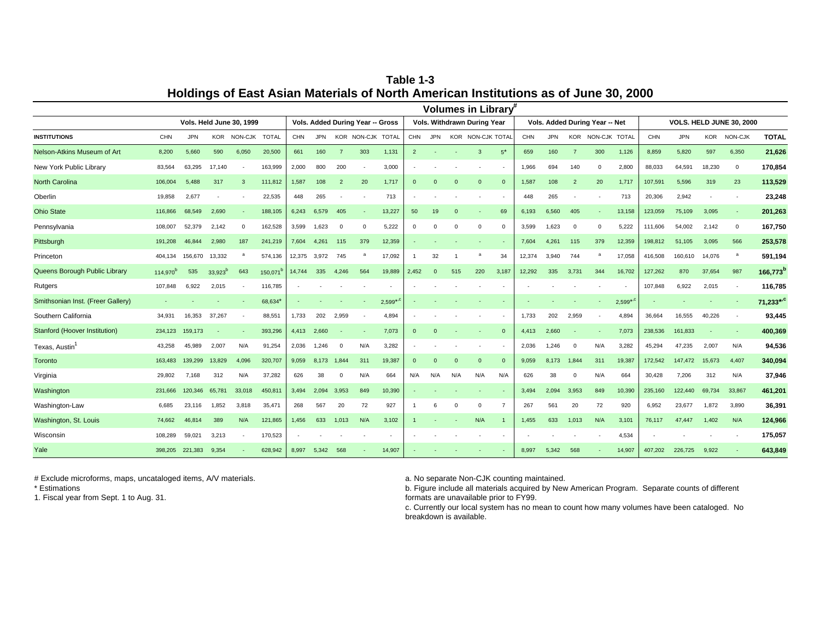CHN JPN KOR NON-CJK TOTAL CHN JPN KOR NON-CJK TOTAL CHN JPN KOR NON-CJK TOTAL CHN JPN KOR NON-CJK TOTAL CHN JPN KOR NON-CJK **TOTAL** 8,200 5,660 590 6,050 20,500 661 160 7 303 1,131 2 - - 3 5\* 659 160 7 300 1,126 8,859 5,820 597 6,350 **21,626** New York Public Library 83,564 63,295 17,140 - 163,999 2,000 800 200 - 3,000 - - - - - 1,966 694 140 0 2,800 88,033 64,591 18,230 0 **170,854** North Carolina 106,004 5,488 317 3 111,812 1,587 108 2 20 1,717 0 0 0 0 0 1,587 108 2 20 1,717 107,591 5,596 319 23 **113,529** 19,858 2,677 - - 22,535 448 265 - - 713 - - - - - 448 265 - - 713 20,306 2,942 - - **23,248** Ohio State 116,866 68,549 2,690 - 188,105 6,243 6,579 405 - 13,227 50 19 0 - 69 6,193 6,560 405 - 13,158 123,059 75,109 3,095 - **201,263** Pennsylvania 108,007 52,379 2,142 0 162,528 3,599 1,623 0 0 5,222 0 0 0 0 0 3,599 1,623 0 0 5,222 111,606 54,002 2,142 0 **167,750** Pittsburgh 191,208 46,844 2,980 187 241,219 7,604 4,261 115 379 12,359 - - - - - 7,604 4,261 115 379 12,359 198,812 51,105 3,095 566 **253,578** 404,134 156,670 13,332 <sup>a</sup> 574,136 12,375 3,972 745 <sup>a</sup> 17,092 1 32 1 <sup>a</sup> 34 12,374 3,940 744 <sup>a</sup> 17,058 416,508 160,610 14,076 <sup>a</sup> **591,194** Queens Borough Public Library 114,970<sup>b</sup> 535 33,923<sup>b</sup> 643 150,071<sup>b</sup> 14,744 335 4,246 564 19,889 2,452 0 515 220 3,187 12,292 335 3,731 344 16,702 127,262 870 37,654 987 166,773<sup>b</sup> 107,848 6,922 2,015 - 116,785 - - - - - - - - - - - - - - - 107,848 6,922 2,015 - **116,785** Smithsonian Inst. (Freer Gallery) - - - - 68,634\* - - - - 2,599\* ,c - - - - - - - - - 2,599\* ,c - - - - **71,233\* ,c** Southern California 34,931 16,353 37,267 - 88,551 1,733 202 2,959 - 4,894 - - - - - 1,733 202 2,959 - 4,894 36,664 16,555 40,226 - **93,445** 234,123 159,173 - - 393,296 4,413 2,660 - - 7,073 0 0 - - 0 4,413 2,660 - - 7,073 238,536 161,833 - - **400,369** Texas, Austin<sup>1</sup> 43,258 45,989 2,007 N/A 91,254 2,036 1,246 <sup>0</sup> N/A 3,282 - - - - - 2,036 1,246 <sup>0</sup> N/A 3,282 45,294 47,235 2,007 N/A **94,536** Toronto 163,483 139,299 13,829 4,096 320,707 9,059 8,173 1,844 311 19,387 0 0 0 0 0 9,059 8,173 1,844 311 19,387 172,542 147,472 15,673 4,407 **340,094** Virginia 29,802 7,168 312 N/A 37,282 626 38 0 N/A 664 N/A N/A N/A N/A N/A 626 38 0 N/A 664 30,428 7,206 312 N/A **37,946** Washington 231,666 120,346 65,781 33,018 450,811 3,494 2,094 3,953 849 10,390 - - - - - 3,494 2,094 3,953 849 10,390 235,160 122,440 69,734 33,867 **461,201** Washington-Law 6,685 23,116 1,852 3,818 35,471 268 567 20 72 927 1 6 0 0 7 267 561 20 72 920 6,952 23,677 1,872 3,890 **36,391** Washington, St. Louis 74,662 46,814 389 N/A 121,865 1,456 633 1,013 N/A 3,102 1 - - N/A 1 1,455 633 1,013 N/A 3,101 76,117 47,447 1,402 N/A **124,966** Wisconsin 108,289 59,021 3,213 - 170,523 - - - - - - - - - - - - - - 4,534 - - - - **175,057** 398,205 221,383 9,354 - 628,942 8,997 5,342 568 - 14,907 - - - - - 8,997 5,342 568 - 14,907 407,202 226,725 9,922 - **643,849 Vols. Added During Year -- Net** Yale Oberlin Princeton Stanford (Hoover Institution) Nelson-Atkins Museum of Art Rutgers **INSTITUTIONS Volumes in Library Vols. Held June 30, 1999 Vols. Added During Year -- Gross VOLS. HELD JUNE 30, 2000 Vols. Withdrawn During Year**

**Table 1-3 Holdings of East Asian Materials of North American Institutions as of June 30, 2000**

# Exclude microforms, maps, uncataloged items, A/V materials.  $\blacksquare$  a. No separate Non-CJK counting maintained.

\* Estimations

1. Fiscal year from Sept. 1 to Aug. 31.

b. Figure include all materials acquired by New American Program. Separate counts of different formats are unavailable prior to FY99.

c. Currently our local system has no mean to count how many volumes have been cataloged. No breakdown is available.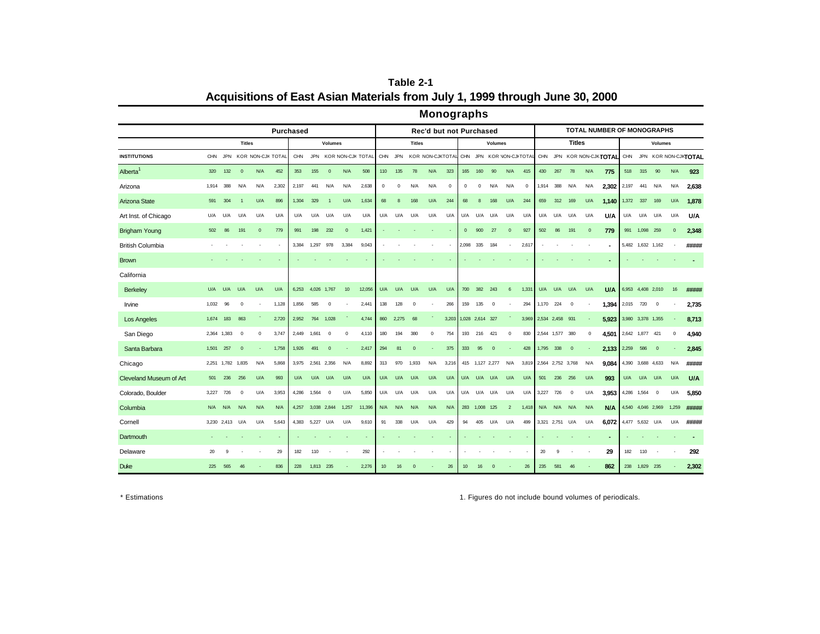|                         |             |            |                |                   |       |                  |             |                |                   |        |             |            |               | <b>Monographs</b>       |            |              |                 |                 |                           |         |             |                   |                         |             |                                   |                   |                 |                          |              |                      |
|-------------------------|-------------|------------|----------------|-------------------|-------|------------------|-------------|----------------|-------------------|--------|-------------|------------|---------------|-------------------------|------------|--------------|-----------------|-----------------|---------------------------|---------|-------------|-------------------|-------------------------|-------------|-----------------------------------|-------------------|-----------------|--------------------------|--------------|----------------------|
|                         |             |            |                |                   |       | <b>Purchased</b> |             |                |                   |        |             |            |               | Rec'd but not Purchased |            |              |                 |                 |                           |         |             |                   |                         |             | <b>TOTAL NUMBER OF MONOGRAPHS</b> |                   |                 |                          |              |                      |
|                         |             |            | <b>Titles</b>  |                   |       |                  |             | <b>Volumes</b> |                   |        |             |            | <b>Titles</b> |                         |            |              |                 | <b>Volumes</b>  |                           |         |             |                   | <b>Titles</b>           |             |                                   |                   |                 | <b>Volumes</b>           |              |                      |
| <b>INSTITUTIONS</b>     | <b>CHN</b>  | <b>JPN</b> |                | KOR NON-CJK TOTAL |       | <b>CHN</b>       | <b>JPN</b>  |                | KOR NON-CJK TOTAL |        |             | CHN JPN    |               | KOR NON-CJKTOTAL        |            |              |                 |                 | CHN JPN KOR NON-CJI-TOTAL |         |             |                   |                         |             | CHN JPN KOR NON-CJKTOTAL CHN      |                   |                 |                          |              | JPN KOR NON-CJKTOTAL |
| Alberta <sup>1</sup>    | 320         | 132        | $\mathbf 0$    | N/A               | 452   | 353              | 155         | $\mathbf 0$    | N/A               | 508    | 110         | 135        | 78            | N/A                     | 323        | 165          | 160             | 90              | N/A                       | 415     | 430         | 267               | 78                      | N/A         | 775                               | 518               | 315             | 90                       | N/A          | 923                  |
| Arizona                 | 1,914       | 388        | N/A            | N/A               | 2,302 | 2,197            | 441         | N/A            | N/A               | 2,638  | $\mathbf 0$ | $^{\circ}$ | N/A           | N/A                     | $^{\circ}$ | $\mathbf 0$  | 0               | N/A             | N/A                       | $\circ$ | 1,914       | 388               | N/A                     | N/A         | 2,302                             | 2,197             | 441             | N/A                      | N/A          | 2,638                |
| Arizona State           | 591         | 304        | $\overline{1}$ | U/A               | 896   | 1,304            | 329         | $\overline{1}$ | U/A               | 1,634  | 68          | 8          | 168           | U/A                     | 244        | 68           | 8               | 168             | U/A                       | 244     | 659         | 312               | 169                     | U/A         | 1.140                             | 1,372             | 337             | 169                      | U/A          | 1,878                |
| Art Inst. of Chicago    | U/A         | U/A        | U/A            | U/A               | U/A   | U/A              | U/A         | U/A            | U/A               | U/A    | U/A         | U/A        | U/A           | U/A                     | U/A        | U/A          | U/A             | U/A             | U/A                       | U/A     | U/A         | U/A               | U/A                     | U/A         | U/A                               | U/A               | U/A             | U/A                      | U/A          | U/A                  |
| <b>Brigham Young</b>    | 502         | 86         | 191            | $\mathbf 0$       | 779   | 991              | 198         | 232            | $\mathbf{0}$      | 1,421  |             |            |               |                         |            | $\mathbf{0}$ | 900             | 27              | $\mathbf{0}$              | 927     | 502         | 86                | 191                     | $\mathbf 0$ | 779                               |                   | 991 1,098 259   |                          | $\mathbf{0}$ | 2,348                |
| <b>British Columbia</b> |             |            |                |                   |       | 3,384            | 1,297       | 978            | 3,384             | 9,043  |             |            |               |                         |            | 2,098        | 335             | 184             |                           | 2,617   |             |                   |                         |             |                                   |                   |                 | 5,482 1,632 1,162        |              | #####                |
| <b>Brown</b>            |             |            |                |                   |       |                  |             |                |                   |        |             |            |               |                         |            |              |                 |                 |                           |         |             |                   |                         |             |                                   |                   |                 |                          |              |                      |
| California              |             |            |                |                   |       |                  |             |                |                   |        |             |            |               |                         |            |              |                 |                 |                           |         |             |                   |                         |             |                                   |                   |                 |                          |              |                      |
| Berkeley                | U/A         | U/A        | U/A            | U/A               | U/A   | 6.253            | 4,026 1,767 |                | 10                | 12,056 | U/A         | U/A        | U/A           | U/A                     | U/A        | 700          | 382             | 243             | 6                         | 1,331   | U/A         | U/A               | U/A                     | U/A         | U/A                               |                   |                 | 6,953 4,408 2,010        | 16           | #####                |
| Irvine                  | 1,032       | 96         | $\mathbf 0$    |                   | 1,128 | 1,856            | 585         | $^{\circ}$     |                   | 2,441  | 138         | 128        | $\circ$       |                         | 266        | 159          | 135             | $^{\circ}$      |                           | 294     | 1,170       | 224               | $\mathbf 0$             |             | 1.394                             | 2,015             | 720             | $\mathbf 0$              |              | 2,735                |
| Los Angeles             | 1,674       | 183        | 863            |                   | 2,720 | 2,952            | 764         | 1,028          |                   | 4,744  | 860         | 2,275      | 68            |                         | 3,203      |              | 1,028 2,614 327 |                 |                           | 3,969   |             | 2,534 2,458 931   |                         |             | 5,923                             | 3,980 3,378 1,355 |                 |                          |              | 8,713                |
| San Diego               | 2,364 1,383 |            | $\Omega$       | 0                 | 3,747 | 2,449            | 1,661       | 0              | $\Omega$          | 4,110  | 180         | 194        | 380           | $\Omega$                | 754        | 193          | 216             | 421             | $^{\circ}$                | 830     |             | 2,544 1,577       | 380                     | $\Omega$    | 4,501                             |                   | 2,642 1,877 421 |                          | $\mathbf 0$  | 4,940                |
| Santa Barbara           | 1,501       | 257        | $\Omega$       |                   | 1,758 | 1,926            | 491         | $\mathbf 0$    |                   | 2,417  | 294         | 81         | $\Omega$      |                         | 375        | 333          | 95              | $\mathbf{0}$    |                           | 428     | 1,795 338   |                   | $\overline{\mathbf{0}}$ |             | 2,133                             | 2,259             | 586             | $\mathbf{0}$             |              | 2,845                |
| Chicago                 | 2,251 1,782 |            | 1,835          | N/A               | 5,868 | 3,975            | 2,561       | 2,356          | N/A               | 8,892  | 313         | 970        | 1,933         | N/A                     | 3,216      |              |                 | 415 1,127 2,277 | N/A                       | 3,819   |             | 2,564 2,752 3,768 |                         | N/A         | 9.084                             |                   |                 | 4,390 3,688 4,633        | N/A          | #####                |
| Cleveland Museum of Art | 501         | 236        | 256            | U/A               | 993   | U/A              | U/A         | U/A            | U/A               | U/A    | U/A         | U/A        | U/A           | U/A                     | U/A        |              | U/A U/A         | U/A             | U/A                       | U/A     | 501         | 236               | 256                     | U/A         | 993                               | U/A               | U/A             | U/A                      | U/A          | U/A                  |
| Colorado, Boulder       | 3,227       | 726        | $^{\circ}$     | U/A               | 3,953 | 4,286            | 1,564       | $\mathbf 0$    | U/A               | 5,850  | U/A         | U/A        | U/A           | U/A                     | U/A        | U/A          | U/A             | U/A             | U/A                       | U/A     | 3,227       | 726               | $\mathbf 0$             | U/A         | 3.953                             |                   | 4,286 1,564     | $\overline{\mathbf{0}}$  | U/A          | 5.850                |
| Columbia                | N/A         | N/A        | N/A            | N/A               | N/A   | 4,257            |             | 3,038 2,844    | 1,257             | 11,396 | N/A         | N/A        | N/A           | N/A                     | N/A        | 283          | 1,008           | 125             | $\overline{2}$            | 1,418   | N/A         | N/A               | N/A                     | N/A         | N/A                               |                   |                 | 4,540 4,046 2,969        | 1,259        | #####                |
| Cornell                 | 3,230 2,413 |            | U/A            | U/A               | 5,643 | 4,383            | 5,227       | U/A            | U/A               | 9,610  | 91          | 338        | U/A           | U/A                     | 429        | 94           | 405             | U/A             | U/A                       | 499     | 3,321 2,751 |                   | U/A                     | U/A         | 6,072                             |                   | 4,477 5,632 U/A |                          | U/A          | #####                |
| Dartmouth               |             |            |                |                   |       |                  |             |                |                   |        |             |            |               |                         |            |              |                 |                 |                           |         |             |                   |                         |             |                                   |                   |                 |                          |              |                      |
| Delaware                | 20          | 9          |                |                   | 29    | 182              | 110         |                |                   | 292    |             |            |               |                         |            |              |                 |                 |                           |         | 20          | 9                 |                         |             | 29                                | 182               | 110             | $\overline{\phantom{a}}$ |              | 292                  |
| <b>Duke</b>             | 225         | 565        | 46             |                   | 836   | 228              | 1,813       | 235            |                   | 2,276  | 10          |            |               |                         | 26         | 10           | 16              |                 |                           | 26      | 235         | 581               | 46                      |             | 862                               | 238               | 1,829           | 235                      |              | 2,302                |

**Table 2-1 Acquisitions of East Asian Materials from July 1, 1999 through June 30, 2000**

\* Estimations 1. Figures do not include bound volumes of periodicals.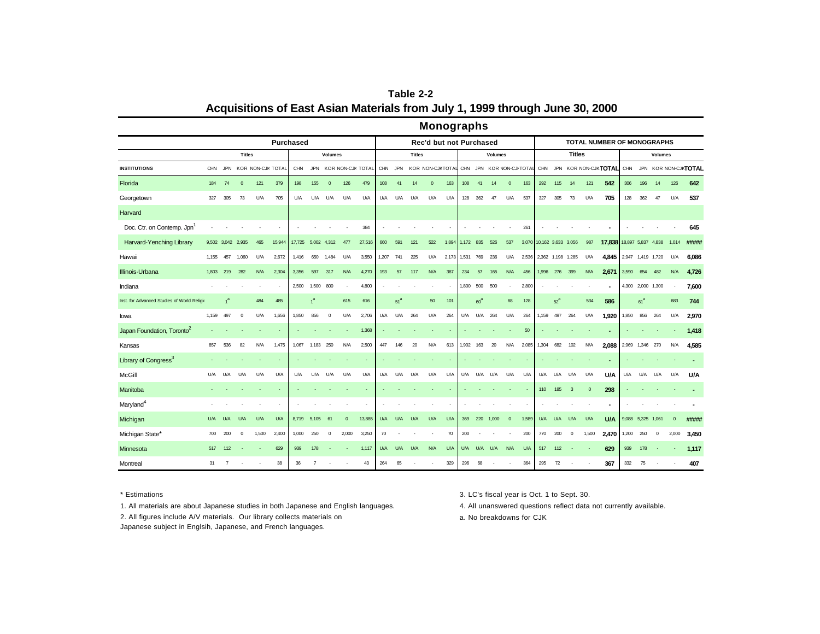| Table 2-2                                                                    |
|------------------------------------------------------------------------------|
| Acquisitions of East Asian Materials from July 1, 1999 through June 30, 2000 |

## **Monographs**

|                                             | <b>Purchased</b> |                |               |                   |        |            |                |                |              |                   |       |                 |               | Rec'd but not Purchased |       |           |        |                |                           |       |                   |        |               |          | TOTAL NUMBER OF MONOGRAPHS |                   |                   |                |                |                          |
|---------------------------------------------|------------------|----------------|---------------|-------------------|--------|------------|----------------|----------------|--------------|-------------------|-------|-----------------|---------------|-------------------------|-------|-----------|--------|----------------|---------------------------|-------|-------------------|--------|---------------|----------|----------------------------|-------------------|-------------------|----------------|----------------|--------------------------|
|                                             |                  |                | <b>Titles</b> |                   |        |            |                | <b>Volumes</b> |              |                   |       |                 | <b>Titles</b> |                         |       |           |        | <b>Volumes</b> |                           |       |                   |        | <b>Titles</b> |          |                            |                   |                   | <b>Volumes</b> |                |                          |
| <b>INSTITUTIONS</b>                         | <b>CHN</b>       | <b>JPN</b>     |               | KOR NON-CJK TOTAL |        | <b>CHN</b> | <b>JPN</b>     |                |              | KOR NON-CJK TOTAL | CHN   | <b>JPN</b>      |               | KOR NON-CJKTOTAL        |       |           |        |                | CHN JPN KOR NON-CJI-TOTAL |       |                   |        |               |          | CHN JPN KOR NON-CJKTOTAL   |                   |                   |                |                | CHN JPN KOR NON-CJKTOTAL |
| Florida                                     | 184              | 74             | $\mathbf{0}$  | 121               | 379    | 198        | 155            | $\mathbf{0}$   | 126          | 479               | 108   | 41              | 14            | $\mathbf{0}$            | 163   | 108       | 41     | 14             | $\mathbf{0}$              | 163   | 292               | 115    | 14            | 121      | 542                        | 306               | 196               | 14             | 126            | 642                      |
| Georgetown                                  | 327              | 305            | 73            | U/A               | 705    | U/A        | U/A            | U/A            | U/A          | U/A               | U/A   | U/A             | U/A           | U/A                     | U/A   | 128       | 362    | 47             | U/A                       | 537   | 327               | 305    | 73            | U/A      | 705                        | 128               | 362               | 47             | U/A            | 537                      |
| Harvard                                     |                  |                |               |                   |        |            |                |                |              |                   |       |                 |               |                         |       |           |        |                |                           |       |                   |        |               |          |                            |                   |                   |                |                |                          |
| Doc. Ctr. on Contemp. Jpn <sup>1</sup>      |                  |                |               |                   |        |            |                |                |              | 384               |       |                 |               |                         |       |           |        |                |                           | 261   |                   |        |               |          |                            |                   |                   |                |                | 645                      |
| Harvard-Yenching Library                    | 9,502 3,042      |                | 2,935         | 465               | 15,944 | 17,725     | 5,002 4,312    |                | 477          | 27,516            | 660   | 591             | 121           | 522                     | 1,894 | 1,172 835 |        | 526            | 537                       | 3,070 | 10,162 3,633      |        | 3,056         | 987      | 17,838 18,897 5,837 4,838  |                   |                   |                | 1,014          | #####                    |
| Hawaii                                      | 1,155            | 457            | 1,060         | U/A               | 2,672  | 1,416      | 650            | 1,484          | U/A          | 3,550             | 1,207 | 741             | 225           | U/A                     | 2,173 | 1,531     | 769    | 236            | U/A                       | 2,536 | 2,362 1,198 1,285 |        |               | U/A      | 4.845                      | 2,947 1,419 1,720 |                   |                | U/A            | 6,086                    |
| Illinois-Urbana                             | 1.803            | 219            | 282           | N/A               | 2,304  | 3,356      | 597            | 317            | N/A          | 4,270             | 193   | 57              | 117           | N/A                     | 367   | 234       | 57     | 165            | N/A                       | 456   | 1,996 276         |        | 399           | N/A      | 2,671                      | 3,590             | 654               | 482            | N/A            | 4,726                    |
| Indiana                                     |                  |                |               |                   |        | 2,500      | 1,500          | 800            |              | 4,800             |       |                 |               |                         |       | 1,800     | 500    | 500            |                           | 2,800 |                   |        |               |          |                            |                   | 4,300 2,000 1,300 |                |                | 7,600                    |
| Inst. for Advanced Studies of World Religio |                  |                |               | 484               | 485    |            | 1 <sup>a</sup> |                | 615          | 616               |       | 51 <sup>a</sup> |               | 50                      | 101   |           | $60^a$ |                | 68                        | 128   |                   | $52^a$ |               | 534      | 586                        |                   | 61 <sup>a</sup>   |                | 683            | 744                      |
| lowa                                        | 1,159            | 497            | $^{\circ}$    | U/A               | 1,656  | 1.850      | 856            | $\overline{0}$ | U/A          | 2,706             | U/A   | U/A             | 264           | U/A                     | 264   | U/A       | U/A    | 264            | U/A                       | 264   | 1.159             | 497    | 264           | U/A      | 1.920                      | 1,850             | 856               | 264            | U/A            | 2,970                    |
| Japan Foundation, Toronto <sup>2</sup>      |                  |                |               |                   |        |            |                |                |              | 1,368             |       |                 |               |                         |       |           |        |                |                           | 50    |                   |        |               |          |                            |                   |                   |                |                | 1,418                    |
| Kansas                                      | 857              | 536            | 82            | N/A               | 1,475  | 1,067      | 1,183          | 250            | N/A          | 2,500             | 447   | 146             | 20            | N/A                     | 613   | 1,902     | 163    | 20             | N/A                       | 2,085 | 1,304             | 682    | 102           | N/A      | 2,088                      |                   | 2,969 1,346 270   |                | N/A            | 4,585                    |
| Library of Congress <sup>3</sup>            |                  |                |               |                   |        |            |                |                |              |                   |       |                 |               |                         |       |           |        |                |                           |       |                   |        |               |          |                            |                   |                   |                |                |                          |
| McGill                                      | U/A              | U/A            | U/A           | U/A               | U/A    | U/A        | U/A            | U/A            | U/A          | U/A               | U/A   | U/A             | U/A           | U/A                     | U/A   | U/A       | U/A    | U/A            | U/A                       | U/A   | U/A               | U/A    | U/A           | U/A      | <b>U/A</b>                 | U/A               | U/A               | U/A            | U/A            | U/A                      |
| Manitoba                                    |                  |                |               |                   |        |            |                |                |              |                   |       |                 |               |                         |       |           |        |                |                           |       | 110               | 185    | $\mathbf{3}$  | $\Omega$ | 298                        |                   |                   |                |                |                          |
| Maryland <sup>4</sup>                       |                  |                |               |                   |        |            |                |                |              |                   |       |                 |               |                         |       |           |        |                |                           |       |                   |        |               |          |                            |                   |                   |                |                |                          |
| Michigan                                    | U/A              | U/A            | U/A           | U/A               | U/A    | 8.719      | 5,105          | 61             | $\mathbf{0}$ | 13,885            | U/A   | U/A             | U/A           | U/A                     | U/A   | 369       | 220    | 1,000          | $\overline{0}$            | 1,589 | U/A               | U/A    | U/A           | U/A      | <b>U/A</b>                 | 9,088             | 5,325 1,061       |                | $\overline{0}$ | #####                    |
| Michigan State*                             | 700              | 200            | $\mathbf 0$   | 1.500             | 2,400  | 1.000      | 250            | $\mathbf 0$    | 2,000        | 3.250             | 70    |                 |               |                         | 70    | 200       |        |                |                           | 200   | 770               | 200    | $\mathbf 0$   | 1.500    | 2,470                      | 1.200             | 250               | $^{\circ}$     | 2,000          | 3,450                    |
| Minnesota                                   | 517              | 112            |               |                   | 629    | 939        | 178            |                |              | 1,117             | U/A   | U/A             | U/A           | N/A                     | U/A   | U/A       | U/A    | U/A            | N/A                       | U/A   | 517               | 112    |               |          | 629                        | 939               | 178               |                |                | 1,117                    |
| Montreal                                    | 31               | $\overline{7}$ |               |                   | 38     | 36         | $\overline{7}$ |                |              | 43                | 264   | 65              |               |                         | 329   | 296       | 68     |                |                           | 364   | 295               | 72     |               |          | 367                        | 332               | 75                |                |                | 407                      |

1. All materials are about Japanese studies in both Japanese and English languages. 4. All unanswered questions reflect data not currently available.

2. All figures include A/V materials. Our library collects materials on

Japanese subject in Englsih, Japanese, and French languages.

\* Estimations 3. LC's fiscal year is Oct. 1 to Sept. 30.

a. No breakdowns for CJK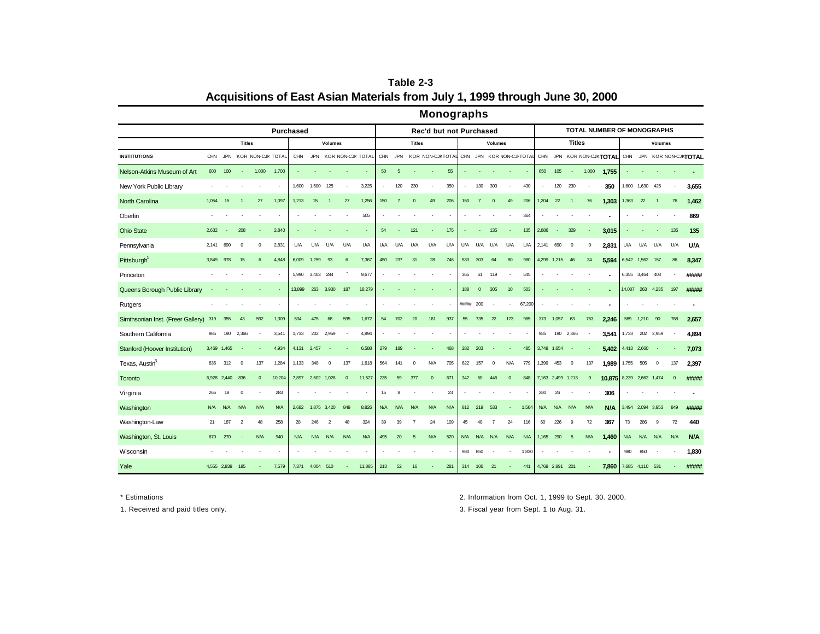**Table 2-3 Acquisitions of East Asian Materials from July 1, 1999 through June 30, 2000**

|                                   |            |             |               |              |                   |             |                 |                |              |                   |     |                | munuyraphs       |                         |     |            |              |                |                      |        |             |                   |               |              |                            |                 |             |                |              |                      |
|-----------------------------------|------------|-------------|---------------|--------------|-------------------|-------------|-----------------|----------------|--------------|-------------------|-----|----------------|------------------|-------------------------|-----|------------|--------------|----------------|----------------------|--------|-------------|-------------------|---------------|--------------|----------------------------|-----------------|-------------|----------------|--------------|----------------------|
|                                   |            |             |               |              | <b>Purchased</b>  |             |                 |                |              |                   |     |                |                  | Rec'd but not Purchased |     |            |              |                |                      |        |             |                   |               |              | TOTAL NUMBER OF MONOGRAPHS |                 |             |                |              |                      |
|                                   |            |             | <b>Titles</b> |              |                   |             |                 | <b>Volumes</b> |              |                   |     |                | <b>Titles</b>    |                         |     |            |              | <b>Volumes</b> |                      |        |             |                   | <b>Titles</b> |              |                            |                 |             | <b>Volumes</b> |              |                      |
| <b>INSTITUTIONS</b>               | <b>CHN</b> | <b>JPN</b>  |               |              | KOR NON-CJK TOTAL | CHN         | <b>JPN</b>      |                |              | KOR NON-CJK TOTAL | CHN | <b>JPN</b>     | KOR NON-CJKTOTAL |                         |     | <b>CHN</b> |              |                | JPN KOR NON-CJI TOTA |        |             |                   |               |              | CHN JPN KOR NON-CJKTOTAL   | <b>CHN</b>      |             |                |              | JPN KOR NON-CJKTOTAL |
| Nelson-Atkins Museum of Art       | 600        | 100         |               | 1,000        | 1,700             |             |                 |                |              |                   | 50  | 5              |                  |                         | 55  |            |              |                |                      |        | 650         | 105               |               | 1,000        | 1,755                      |                 |             |                |              |                      |
| New York Public Library           |            |             |               |              |                   | 1,600       | 1.500           | 125            |              | 3,225             |     | 120            | 230              |                         | 350 |            | 130          | 300            |                      | 430    |             | 120               | 230           |              | 350                        | 1,600           | 1,630       | 425            |              | 3,655                |
| North Carolina                    | 1,054      | 15          |               | 27           | 1,097             | 1,213       | 15              | $\overline{1}$ | 27           | 1,256             | 150 | $\overline{7}$ | $\mathbf 0$      | 49                      | 206 | 150        | -7           | $\mathbf 0$    | 49                   | 206    | 1,204       | 22                | -1            | 76           | 1,303                      | 1,363           | 22          | $\overline{1}$ | 76           | 1,462                |
| Oberlin                           |            |             |               |              |                   |             |                 |                |              | 505               |     |                |                  |                         |     |            |              |                |                      | 364    |             |                   |               |              |                            |                 |             |                |              | 869                  |
| <b>Ohio State</b>                 | 2,632      |             | 208           |              | 2,840             |             |                 |                |              |                   | 54  |                | 121              |                         | 175 |            |              | 135            |                      | 135    | 2,686       |                   | 329           |              | 3,015                      |                 |             |                | 135          | 135                  |
| Pennsylvania                      | 2,141      | 690         | $\Omega$      | $\Omega$     | 2,831             | U/A         | U/A             | U/A            | U/A          | U/A               | U/A | U/A            | U/A              | U/A                     | U/A | U/A        | U/A          | U/A            | U/A                  | U/A    | 2,141       | 690               | $\mathbf 0$   | $\Omega$     | 2,831                      | U/A             | U/A         | U/A            | U/A          | U/A                  |
| Pittsburgh <sup>1</sup>           | 3,849      | 978         | 15            | 6            | 4,848             | 6,009       | 1,259           | 93             | 6            | 7,367             | 450 | 237            | 31               | 28                      | 746 | 533        | 303          | 64             | 80                   | 980    | 4,299       | 1,215             | 46            | 34           | 5,594                      | 6,542 1,562 157 |             |                | 86           | 8,347                |
| Princeton                         |            |             |               |              |                   | 5,990       | 3,403 284       |                |              | 9,677             |     |                |                  |                         |     | 365        | 61           | 119            |                      | 545    |             |                   |               |              |                            | 6,355 3,464 403 |             |                |              | #####                |
| Queens Borough Public Library     |            |             |               |              | $\sim$            | 13,899      | 263             | 3,930          | 187          | 18,279            |     |                |                  |                         |     | 188        | $\mathbf{0}$ | 305            | 10 <sup>10</sup>     | 503    |             |                   |               |              | ٠                          | 14,087          |             | 263 4,235      | 197          | #####                |
| Rutgers                           |            |             |               |              |                   |             |                 |                |              |                   |     |                |                  |                         |     | ******     | 200          |                |                      | 67,200 |             |                   |               |              | $\blacksquare$             |                 |             |                |              |                      |
| Simthsonian Inst. (Freer Gallery) | 319        | 355         | 43            | 592          | 1,309             | 534         | 475             | 68             | 595          | 1,672             | 54  | 702            | 20               | 161                     | 937 | 55         | 735          | 22             | 173                  | 985    | 373         | 1,057             | 63            | 753          | 2,246                      | 589             | 1,210       | 90             | 768          | 2,657                |
| Southern California               | 985        | 190         | 2,366         |              | 3,541             | 1,733       | 202             | 2,959          |              | 4,894             |     |                |                  |                         |     |            |              |                |                      |        | 985         | 190               | 2,366         |              | 3.541                      | 1,733           | 202         | 2,959          |              | 4,894                |
| Stanford (Hoover Institution)     |            | 3,469 1,465 |               |              | 4,934             | 4,131 2,457 |                 | ÷.             |              | 6,588             | 279 | 189            |                  |                         | 468 | 282        | 203          |                |                      | 485    | 3,748 1,654 |                   |               |              | 5,402                      | 4,413 2,660     |             |                | ÷            | 7,073                |
| Texas, Austin <sup>3</sup>        | 835        | 312         | $\mathbf 0$   | 137          | 1,284             | 1,133       | 348             | $\mathbf 0$    | 137          | 1,618             | 564 | 141            | $\mathbf 0$      | N/A                     | 705 | 622        | 157          | $\mathbf 0$    | N/A                  | 779    | 1,399       | 453               | $\mathbf 0$   | 137          | 1,989                      | 1,755           | 505         | $\mathbf 0$    | 137          | 2,397                |
| Toronto                           |            | 6,928 2,440 | 836           | $\mathbf{0}$ | 10,204            | 7.897       | 2,602 1,028     |                | $\mathbf{0}$ | 11,527            | 235 | 59             | 377              | $\mathbf{0}$            | 671 | 342        | 60           | 446            | $\mathbf{0}$         | 848    |             | 7,163 2,499 1,213 |               | $\mathbf{0}$ | 10,875 8,239 2,662 1,474   |                 |             |                | $\mathbf{0}$ | #####                |
| Virginia                          | 265        | 18          | $\mathbf 0$   |              | 283               |             |                 |                |              |                   | 15  | 8              |                  |                         | 23  |            |              |                |                      |        | 280         | 26                |               |              | 306                        |                 |             |                |              |                      |
| Washington                        | N/A        | N/A         | N/A           | N/A          | N/A               | 2,682       | 1,875 3,420     |                | 849          | 8,826             | N/A | N/A            | N/A              | N/A                     | N/A | 812        | 219          | 533            |                      | 1,564  | N/A         | N/A               | N/A           | N/A          | N/A                        | 3,494           | 2,094 3,953 |                | 849          | #####                |
| Washington-Law                    | 21         | 187         | $\mathcal{P}$ | 48           | 258               | 28          | 246             | $\overline{2}$ | 48           | 324               | 39  | 39             |                  | 24                      | 109 | 45         | 40           |                | 24                   | 116    | 60          | 226               | 9             | 72           | 367                        | 73              | 286         | 9              | 72           | 440                  |
| Washington, St. Louis             | 670        | 270         |               | N/A          | 940               | N/A         | N/A             | N/A            | N/A          | N/A               | 495 | 20             | 5                | N/A                     | 520 | N/A        | N/A N/A      |                | N/A                  | N/A    | 1,165       | 290               | 5             | N/A          | 1,460                      | N/A             | N/A         | N/A            | N/A          | N/A                  |
| Wisconsin                         |            |             |               |              |                   |             |                 |                |              |                   |     |                |                  |                         |     | 980        | 850          |                | ٠                    | 1,830  |             |                   |               |              |                            | 980             | 850         |                |              | 1,830                |
| Yale                              |            | 4.555 2.839 | 185           |              | 7,579             |             | 7,371 4,004 510 |                |              | 11,885            | 213 | 52             | 16               |                         | 281 | 314        | 106          | 21             |                      | 441    |             | 4,768 2,891 201   |               |              | 7,860                      | 7,685 4,110 531 |             |                |              | #####                |

**Monographs**

\* Estimations 2. Information from Oct. 1, 1999 to Sept. 30. 2000.

1. Received and paid titles only. 3. Fiscal year from Sept. 1 to Aug. 31.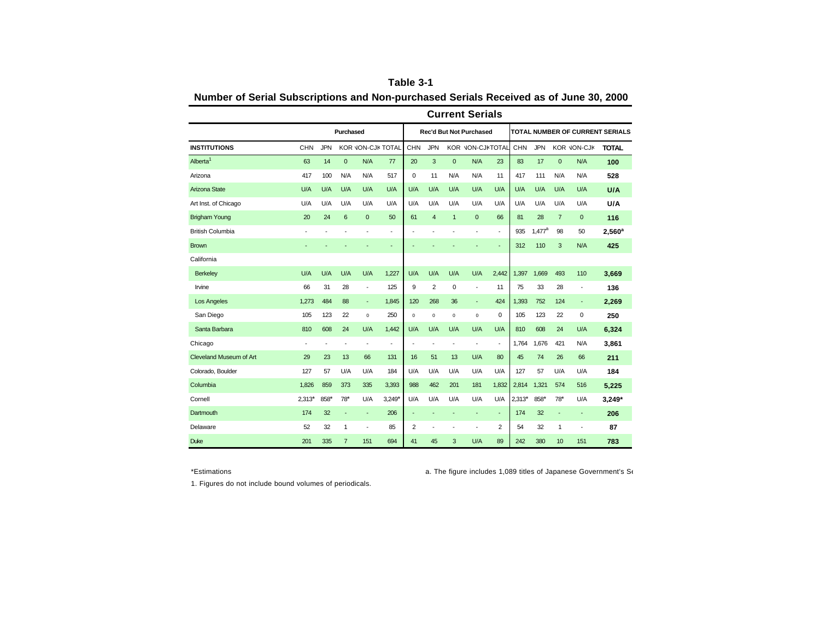|                         |            |            |                |                          |                          |                          |                |                          | <b>Current Serials</b>         |                          |          |            |                |                          |                                 |
|-------------------------|------------|------------|----------------|--------------------------|--------------------------|--------------------------|----------------|--------------------------|--------------------------------|--------------------------|----------|------------|----------------|--------------------------|---------------------------------|
|                         |            |            | Purchased      |                          |                          |                          |                |                          | <b>Rec'd But Not Purchased</b> |                          |          |            |                |                          | TOTAL NUMBER OF CURRENT SERIALS |
| <b>INSTITUTIONS</b>     | <b>CHN</b> | <b>JPN</b> |                |                          | KOR VON-CJK TOTAL        | CHN                      | <b>JPN</b>     |                          | KOR VON-CJKTOTAL               |                          | CHN      | <b>JPN</b> |                | <b>KOR JON-CJK</b>       | <b>TOTAL</b>                    |
| Alberta <sup>1</sup>    | 63         | 14         | $\mathbf 0$    | N/A                      | 77                       | 20                       | 3              | $\mathbf 0$              | N/A                            | 23                       | 83       | 17         | $\mathbf 0$    | N/A                      | 100                             |
| Arizona                 | 417        | 100        | N/A            | N/A                      | 517                      | 0                        | 11             | N/A                      | N/A                            | 11                       | 417      | 111        | N/A            | N/A                      | 528                             |
| Arizona State           | U/A        | U/A        | U/A            | U/A                      | U/A                      | U/A                      | U/A            | U/A                      | U/A                            | U/A                      | U/A      | U/A        | U/A            | U/A                      | <b>U/A</b>                      |
| Art Inst. of Chicago    | U/A        | U/A        | U/A            | U/A                      | U/A                      | U/A                      | U/A            | U/A                      | U/A                            | U/A                      | U/A      | U/A        | U/A            | U/A                      | U/A                             |
| <b>Brigham Young</b>    | 20         | 24         | 6              | $\mathbf 0$              | 50                       | 61                       | $\overline{4}$ | $\mathbf{1}$             | $\mathbf{0}$                   | 66                       | 81       | 28         | $\overline{7}$ | $\mathbf 0$              | 116                             |
| <b>British Columbia</b> |            |            |                | $\overline{a}$           | $\overline{\phantom{a}}$ |                          |                |                          | ٠                              | $\overline{\phantom{a}}$ | 935      | $1.477^a$  | 98             | 50                       | 2.560 <sup>a</sup>              |
| <b>Brown</b>            |            |            |                |                          |                          |                          |                |                          |                                | ÷,                       | 312      | 110        | 3              | N/A                      | 425                             |
| California              |            |            |                |                          |                          |                          |                |                          |                                |                          |          |            |                |                          |                                 |
| <b>Berkeley</b>         | U/A        | U/A        | U/A            | U/A                      | 1,227                    | U/A                      | U/A            | U/A                      | U/A                            | 2,442                    | 1.397    | 1.669      | 493            | 110                      | 3,669                           |
| Irvine                  | 66         | 31         | 28             | $\overline{\phantom{a}}$ | 125                      | 9                        | $\overline{2}$ | 0                        | ÷,                             | 11                       | 75       | 33         | 28             | $\overline{\phantom{a}}$ | 136                             |
| <b>Los Angeles</b>      | 1,273      | 484        | 88             | $\blacksquare$           | 1,845                    | 120                      | 268            | 36                       | $\overline{\phantom{a}}$       | 424                      | 1,393    | 752        | 124            | $\overline{\phantom{a}}$ | 2,269                           |
| San Diego               | 105        | 123        | 22             | $\mathbf 0$              | 250                      | 0                        | $\mathbf 0$    | $\mathbf 0$              | $\mathsf 0$                    | 0                        | 105      | 123        | 22             | 0                        | 250                             |
| Santa Barbara           | 810        | 608        | 24             | U/A                      | 1,442                    | U/A                      | U/A            | U/A                      | U/A                            | U/A                      | 810      | 608        | 24             | U/A                      | 6,324                           |
| Chicago                 |            | ٠          | ٠              | $\overline{\phantom{a}}$ | $\overline{\phantom{a}}$ | ä,                       |                | $\overline{\phantom{a}}$ | $\overline{\phantom{a}}$       | ÷,                       | 1,764    | 1,676      | 421            | N/A                      | 3,861                           |
| Cleveland Museum of Art | 29         | 23         | 13             | 66                       | 131                      | 16                       | 51             | 13                       | U/A                            | 80                       | 45       | 74         | 26             | 66                       | 211                             |
| Colorado, Boulder       | 127        | 57         | U/A            | U/A                      | 184                      | U/A                      | U/A            | U/A                      | U/A                            | U/A                      | 127      | 57         | U/A            | U/A                      | 184                             |
| Columbia                | 1,826      | 859        | 373            | 335                      | 3,393                    | 988                      | 462            | 201                      | 181                            | 1,832                    | 2,814    | 1,321      | 574            | 516                      | 5,225                           |
| Cornell                 | $2.313*$   | $858*$     | $78*$          | U/A                      | $3.249*$                 | U/A                      | U/A            | U/A                      | U/A                            | U/A                      | $2,313*$ | $858*$     | $78*$          | U/A                      | $3,249*$                        |
| Dartmouth               | 174        | 32         | ÷              | $\overline{\phantom{a}}$ | 206                      | $\overline{\phantom{a}}$ |                |                          | ÷                              | $\overline{\phantom{a}}$ | 174      | 32         | ÷              | $\blacksquare$           | 206                             |
| Delaware                | 52         | 32         | $\mathbf{1}$   | ٠                        | 85                       | 2                        |                | ٠                        | ÷                              | $\overline{2}$           | 54       | 32         | $\mathbf{1}$   | $\overline{\phantom{a}}$ | 87                              |
| <b>Duke</b>             | 201        | 335        | $\overline{7}$ | 151                      | 694                      | 41                       | 45             | 3                        | U/A                            | 89                       | 242      | 380        | 10             | 151                      | 783                             |

**Table 3-1 Number of Serial Subscriptions and Non-purchased Serials Received as of June 30, 2000**

\*Estimations **a. The figure includes 1,089 titles of Japanese Government's Serials.** 

1. Figures do not include bound volumes of periodicals.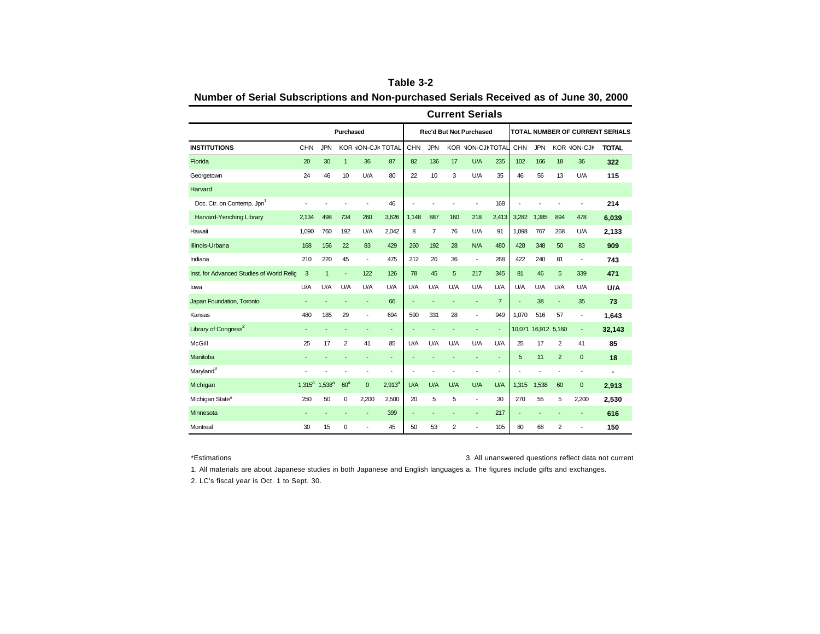|                                           |             |              |                 |                   |           |                          |            |                | <b>Current Serials</b>         |                |                          |              |                |                          |                                        |
|-------------------------------------------|-------------|--------------|-----------------|-------------------|-----------|--------------------------|------------|----------------|--------------------------------|----------------|--------------------------|--------------|----------------|--------------------------|----------------------------------------|
|                                           |             |              | Purchased       |                   |           |                          |            |                | <b>Rec'd But Not Purchased</b> |                |                          |              |                |                          | <b>TOTAL NUMBER OF CURRENT SERIALS</b> |
| <b>INSTITUTIONS</b>                       | CHN         | <b>JPN</b>   |                 | KOR JON-CJK TOTAL |           | CHN                      | <b>JPN</b> |                | KOR JON-CJKTOTAL               |                | CHN                      | <b>JPN</b>   |                | <b>KOR JON-CJK</b>       | <b>TOTAL</b>                           |
| Florida                                   | 20          | 30           | $\mathbf{1}$    | 36                | 87        | 82                       | 136        | 17             | U/A                            | 235            | 102                      | 166          | 18             | 36                       | 322                                    |
| Georgetown                                | 24          | 46           | 10              | U/A               | 80        | 22                       | 10         | 3              | U/A                            | 35             | 46                       | 56           | 13             | U/A                      | 115                                    |
| Harvard                                   |             |              |                 |                   |           |                          |            |                |                                |                |                          |              |                |                          |                                        |
| Doc. Ctr. on Contemp. Jpn <sup>1</sup>    |             |              |                 | ÷,                | 46        | ÷                        |            |                | ÷                              | 168            |                          |              |                | $\overline{\phantom{a}}$ | 214                                    |
| Harvard-Yenching Library                  | 2,134       | 498          | 734             | 260               | 3,626     | 1,148                    | 887        | 160            | 218                            | 2,413          | 3,282                    | 1,385        | 894            | 478                      | 6,039                                  |
| Hawaii                                    | 1,090       | 760          | 192             | U/A               | 2,042     | 8                        | 7          | 76             | U/A                            | 91             | 1,098                    | 767          | 268            | U/A                      | 2,133                                  |
| Illinois-Urbana                           | 168         | 156          | 22              | 83                | 429       | 260                      | 192        | 28             | N/A                            | 480            | 428                      | 348          | 50             | 83                       | 909                                    |
| Indiana                                   | 210         | 220          | 45              | ÷,                | 475       | 212                      | 20         | 36             | $\overline{\phantom{a}}$       | 268            | 422                      | 240          | 81             | $\overline{\phantom{a}}$ | 743                                    |
| Inst. for Advanced Studies of World Relic | 3           | $\mathbf{1}$ |                 | 122               | 126       | 78                       | 45         | 5              | 217                            | 345            | 81                       | 46           | 5              | 339                      | 471                                    |
| lowa                                      | U/A         | U/A          | U/A             | U/A               | U/A       | U/A                      | U/A        | U/A            | U/A                            | U/A            | U/A                      | U/A          | U/A            | U/A                      | U/A                                    |
| Japan Foundation, Toronto                 | ٠           |              |                 | ٠                 | 66        | $\overline{\phantom{a}}$ |            |                | $\overline{\phantom{a}}$       | $\overline{7}$ | ٠                        | 38           | ÷              | 35                       | 73                                     |
| Kansas                                    | 480         | 185          | 29              | ÷,                | 694       | 590                      | 331        | 28             | ÷,                             | 949            | 1,070                    | 516          | 57             | $\overline{\phantom{a}}$ | 1,643                                  |
| Library of Congress <sup>2</sup>          |             |              |                 | ÷                 | ٠         |                          |            |                | ٠                              | ٠              | 10,071                   | 16,912 5,160 |                | $\overline{\phantom{a}}$ | 32,143                                 |
| McGill                                    | 25          | 17           | $\overline{2}$  | 41                | 85        | U/A                      | U/A        | U/A            | U/A                            | U/A            | 25                       | 17           | $\overline{2}$ | 41                       | 85                                     |
| Manitoba                                  |             |              |                 | ٠                 | ٠         |                          |            |                | ٠                              | ٠              | 5                        | 11           | $\overline{2}$ | $\mathbf{0}$             | 18                                     |
| Maryland <sup>3</sup>                     |             |              |                 | ٠                 |           | ٠                        |            |                |                                | ÷,             |                          |              |                | $\overline{\phantom{a}}$ |                                        |
| Michigan                                  | $1.315^{a}$ | $1,538^{a}$  | 60 <sup>a</sup> | $\mathbf{0}$      | $2,913^a$ | U/A                      | U/A        | U/A            | U/A                            | U/A            | 1,315                    | 1,538        | 60             | $\mathbf 0$              | 2,913                                  |
| Michigan State*                           | 250         | 50           | 0               | 2,200             | 2.500     | 20                       | 5          | 5              | ÷,                             | 30             | 270                      | 55           | 5              | 2,200                    | 2,530                                  |
| Minnesota                                 |             |              |                 | ٠                 | 399       | $\overline{\phantom{a}}$ | ÷          |                | ٠                              | 217            | $\overline{\phantom{a}}$ | ٠            |                | ٠                        | 616                                    |
| Montreal                                  | 30          | 15           | 0               | ä,                | 45        | 50                       | 53         | $\overline{2}$ | ٠                              | 105            | 80                       | 68           | $\overline{2}$ | ٠                        | 150                                    |

| Table 3-2                                                                             |
|---------------------------------------------------------------------------------------|
| Number of Serial Subscriptions and Non-purchased Serials Received as of June 30, 2000 |

\*Estimations **3. All unanswered questions reflect data not current** 

1. All materials are about Japanese studies in both Japanese and English languages a. The figures include gifts and exchanges.

2. LC's fiscal year is Oct. 1 to Sept. 30.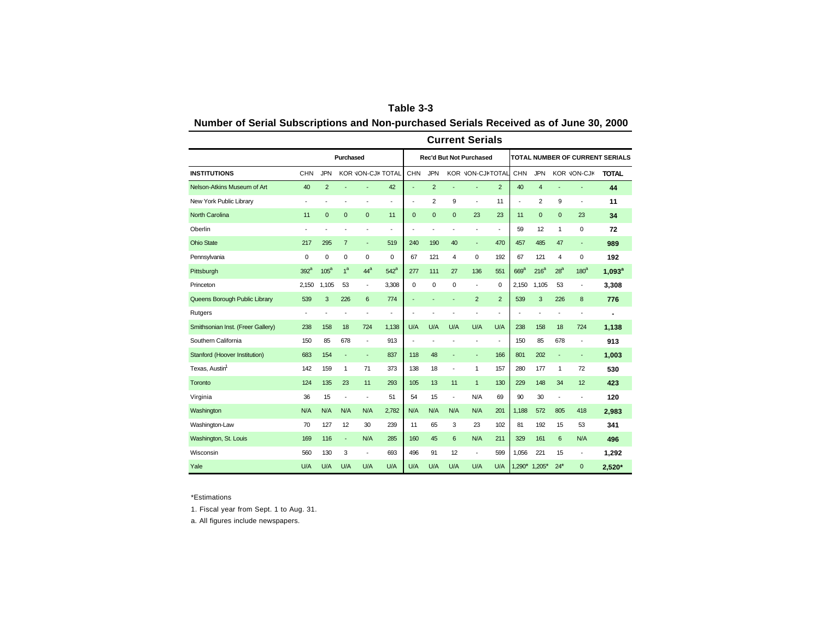| Table 3-3                                                                             |  |
|---------------------------------------------------------------------------------------|--|
| Number of Serial Subscriptions and Non-purchased Serials Received as of June 30, 2000 |  |

|                                   |                  |                  |                |                          |                          |                          |                |                          | <b>Current Serials</b>         |                          |                          |                  |                 |                              |                                        |
|-----------------------------------|------------------|------------------|----------------|--------------------------|--------------------------|--------------------------|----------------|--------------------------|--------------------------------|--------------------------|--------------------------|------------------|-----------------|------------------------------|----------------------------------------|
|                                   |                  |                  | Purchased      |                          |                          |                          |                |                          | <b>Rec'd But Not Purchased</b> |                          |                          |                  |                 |                              | <b>TOTAL NUMBER OF CURRENT SERIALS</b> |
| <b>INSTITUTIONS</b>               | CHN              | <b>JPN</b>       |                | KOR JON-CJK TOTAL        |                          | CHN                      | <b>JPN</b>     |                          | KOR JON-CJKTOTAL               |                          | CHN                      | <b>JPN</b>       |                 | KOR JON-CJK                  | <b>TOTAL</b>                           |
| Nelson-Atkins Museum of Art       | 40               | $\overline{2}$   |                | ٠                        | 42                       | $\overline{\phantom{a}}$ | $\overline{2}$ |                          |                                | 2                        | 40                       | $\overline{4}$   |                 |                              | 44                                     |
| New York Public Library           | ٠                |                  |                | $\blacksquare$           | $\overline{\phantom{a}}$ | $\blacksquare$           | $\overline{2}$ | 9                        | $\blacksquare$                 | 11                       | $\overline{\phantom{a}}$ | $\overline{2}$   | 9               | $\qquad \qquad \blacksquare$ | 11                                     |
| <b>North Carolina</b>             | 11               | $\overline{0}$   | $\mathbf 0$    | $\mathbf{0}$             | 11                       | $\mathbf 0$              | $\overline{0}$ | $\overline{0}$           | 23                             | 23                       | 11                       | $\mathbf{0}$     | $\mathbf{0}$    | 23                           | 34                                     |
| Oberlin                           | ÷                |                  |                |                          | ÷                        | $\overline{\phantom{a}}$ | Ĭ.             |                          |                                | $\overline{\phantom{a}}$ | 59                       | 12               | 1               | $\mathbf 0$                  | 72                                     |
| <b>Ohio State</b>                 | 217              | 295              | $\overline{7}$ | $\overline{\phantom{a}}$ | 519                      | 240                      | 190            | 40                       | $\overline{\phantom{a}}$       | 470                      | 457                      | 485              | 47              | ٠                            | 989                                    |
| Pennsylvania                      | 0                | $\mathbf 0$      | $\pmb{0}$      | 0                        | $\overline{0}$           | 67                       | 121            | 4                        | $\mathbf 0$                    | 192                      | 67                       | 121              | 4               | $\mathbf 0$                  | 192                                    |
| Pittsburgh                        | 392 <sup>a</sup> | 105 <sup>a</sup> | 1 <sup>a</sup> | 44 <sup>a</sup>          | $542^a$                  | 277                      | 111            | 27                       | 136                            | 551                      | 669 <sup>a</sup>         | 216 <sup>a</sup> | 28 <sup>a</sup> | 180 <sup>a</sup>             | $1,093^a$                              |
| Princeton                         | 2,150            | 1,105            | 53             | $\overline{\phantom{a}}$ | 3,308                    | 0                        | 0              | 0                        | ٠                              | $\mathbf 0$              | 2,150                    | 1,105            | 53              | $\qquad \qquad \blacksquare$ | 3,308                                  |
| Queens Borough Public Library     | 539              | 3                | 226            | 6                        | 774                      | $\overline{\phantom{a}}$ |                |                          | $\overline{2}$                 | $\overline{2}$           | 539                      | 3                | 226             | 8                            | 776                                    |
| Rutgers                           | ÷,               |                  |                |                          | ٠                        | $\overline{\phantom{a}}$ |                |                          |                                | ÷,                       |                          | Ĭ.               |                 | $\overline{\phantom{a}}$     | $\blacksquare$                         |
| Smithsonian Inst. (Freer Gallery) | 238              | 158              | 18             | 724                      | 1,138                    | U/A                      | U/A            | U/A                      | U/A                            | U/A                      | 238                      | 158              | 18              | 724                          | 1,138                                  |
| Southern California               | 150              | 85               | 678            | $\overline{\phantom{a}}$ | 913                      | $\overline{\phantom{a}}$ | ä,             |                          |                                | $\overline{\phantom{a}}$ | 150                      | 85               | 678             | $\qquad \qquad \blacksquare$ | 913                                    |
| Stanford (Hoover Institution)     | 683              | 154              | ÷              | $\overline{\phantom{a}}$ | 837                      | 118                      | 48             |                          | $\overline{\phantom{a}}$       | 166                      | 801                      | 202              | ÷               | ÷                            | 1,003                                  |
| Texas, Austin <sup>1</sup>        | 142              | 159              | 1              | 71                       | 373                      | 138                      | 18             | ÷                        | 1                              | 157                      | 280                      | 177              | 1               | 72                           | 530                                    |
| Toronto                           | 124              | 135              | 23             | 11                       | 293                      | 105                      | 13             | 11                       | $\mathbf{1}$                   | 130                      | 229                      | 148              | 34              | 12                           | 423                                    |
| Virginia                          | 36               | 15               | ÷              | $\overline{\phantom{a}}$ | 51                       | 54                       | 15             | $\overline{\phantom{a}}$ | N/A                            | 69                       | 90                       | 30               | Ĭ.              | ÷,                           | 120                                    |
| Washington                        | N/A              | N/A              | N/A            | N/A                      | 2,782                    | N/A                      | N/A            | N/A                      | N/A                            | 201                      | 1.188                    | 572              | 805             | 418                          | 2,983                                  |
| Washington-Law                    | 70               | 127              | 12             | 30                       | 239                      | 11                       | 65             | 3                        | 23                             | 102                      | 81                       | 192              | 15              | 53                           | 341                                    |
| Washington, St. Louis             | 169              | 116              | L,             | N/A                      | 285                      | 160                      | 45             | 6                        | N/A                            | 211                      | 329                      | 161              | 6               | N/A                          | 496                                    |
| Wisconsin                         | 560              | 130              | 3              | $\overline{\phantom{a}}$ | 693                      | 496                      | 91             | 12                       | $\overline{\phantom{a}}$       | 599                      | 1,056                    | 221              | 15              | $\overline{\phantom{a}}$     | 1,292                                  |
| Yale                              | U/A              | U/A              | U/A            | U/A                      | U/A                      | U/A                      | U/A            | U/A                      | U/A                            | U/A                      | $1,290*$                 | $1,205*$         | $24*$           | $\overline{0}$               | 2,520*                                 |

\*Estimations

1. Fiscal year from Sept. 1 to Aug. 31.

a. All figures include newspapers.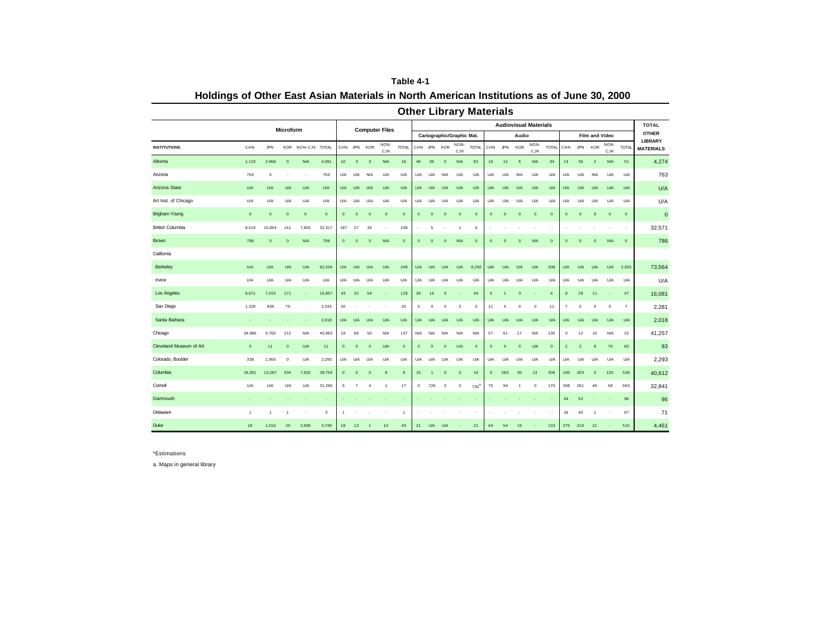|                         |              |             |                  |             |              |                 |                         |                         |                          |                          |             |                |                |                           | <b>Other Library Materials</b> |             |                |                         |                              |                |                |                |                |                    |                |                                |
|-------------------------|--------------|-------------|------------------|-------------|--------------|-----------------|-------------------------|-------------------------|--------------------------|--------------------------|-------------|----------------|----------------|---------------------------|--------------------------------|-------------|----------------|-------------------------|------------------------------|----------------|----------------|----------------|----------------|--------------------|----------------|--------------------------------|
|                         |              |             | <b>Microform</b> |             |              |                 |                         |                         | <b>Computer Files</b>    |                          |             |                |                |                           |                                |             |                |                         | <b>Audiovisual Materials</b> |                |                |                |                |                    |                | <b>TOTAL</b>                   |
|                         |              |             |                  |             |              |                 |                         |                         |                          |                          |             |                |                | Cartographic/Graphic Mat. |                                |             |                | Audio                   |                              |                |                |                | Film and Video |                    |                | <b>OTHER</b><br><b>LIBRARY</b> |
| <b>INSTITUTIONS</b>     | CHN          | JPN         | KOR              | NON-CJK     | <b>TOTAL</b> |                 | CHN JPN KOR             |                         | NON-<br>CJK              | <b>TOTAL</b>             |             | CHN JPN KOR    |                | NON-<br>CJK               | <b>TOTAL</b>                   |             | CHN JPN        | <b>KOR</b>              | NON-<br>CJK                  | <b>TOTAL</b>   | CHN            | JPN            | <b>KOR</b>     | NON-<br><b>CJK</b> | <b>TOTAL</b>   | <b>MATERIALS</b>               |
| Alberta                 | 1,123        | 2,968       | $\overline{0}$   | <b>N/A</b>  | 4,091        | 10 <sub>1</sub> | $\overline{\mathbf{3}}$ | $\overline{\mathbf{3}}$ | N/A                      | 16                       | 46          | 36             | $\mathbf{0}$   | <b>N/A</b>                | 82                             | 16          | 12             | 6                       | N/A                          | 34             | 13             | 36             | $\overline{2}$ | N/A                | 51             | 4,274                          |
| Arizona                 | 763          | $\bf{0}$    |                  | ٠.          | 763          | U/A             | U/A                     | N/A                     | U/A                      | <b>U/A</b>               | <b>U/A</b>  | <b>U/A</b>     | N/A            | U/A                       | U/A                            | U/A         | U/A            | N/A                     | U/A                          | U/A            | U/A            | U/A            | N/A            | U/A                | U/A            | 763                            |
| Arizona State           | U/A          | U/A         | U/A              | U/A         | U/A          | U/A             | U/A                     | U/A                     | U/A                      | U/A                      | U/A         | U/A            | U/A            | U/A                       | U/A                            | <b>U/A</b>  | U/A            | U/A                     | U/A                          | U/A            | U/A            | U/A            | U/A            | U/A                | U/A            | U/A                            |
| Art Inst. of Chicago    | U/A          | U/A         | U/A              | U/A         | U/A          | U/A             | U/A                     | U/A                     | U/A                      | U/A                      | U/A         | U/A            | U/A            | U/A                       | U/A                            | U/A         | U/A            | U/A                     | U/A                          | U/A            | U/A            | U/A            | U/A            | U/A                | U/A            | U/A                            |
| <b>Brigham Young</b>    | $\mathbf 0$  | $\mathbf 0$ | $\pmb{0}$        | $\mathbf 0$ | $\mathbf 0$  | $\mathbf{0}$    | $\mathbf 0$             | $\overline{\mathbf{0}}$ | $\mathbf 0$              | $\mathbf 0$              | $\pmb{0}$   | $\mathbf 0$    | $\mathbf 0$    | $\mathbf 0$               | $\overline{0}$                 | $\mathbf 0$ | $\mathbf 0$    | $\mathbf 0$             | $\mathbf 0$                  | $\circ$        | $\mathbf 0$    | $\mathbf 0$    | $\mathbf 0$    | $\mathbf 0$        | $\mathbf 0$    | $\mathbf 0$                    |
| <b>British Columbia</b> | 8,519        | 15,854      | 141              | 7,803       | 32,317       | 187             | 27                      | 34                      | $\overline{\phantom{a}}$ | 248                      |             | 5              |                | -1                        | 6                              | ٠           |                |                         |                              |                | ٠              |                |                |                    | ٠              | 32,571                         |
| <b>Brown</b>            | 786          | $\mathbf 0$ | $\mathbf{0}$     | <b>N/A</b>  | 786          | $\mathbf 0$     | $\circ$                 | $\overline{0}$          | N/A                      | $\overline{0}$           | $\mathbf 0$ | $\overline{0}$ | $\mathbf{0}$   | <b>N/A</b>                | $\overline{0}$                 | $\mathbf 0$ | $\mathbf{0}$   | $\overline{0}$          | N/A                          | $\overline{0}$ | $\mathbf{0}$   | $\Omega$       | $\mathbf 0$    | N/A                | $\mathbf 0$    | 786                            |
| California              |              |             |                  |             |              |                 |                         |                         |                          |                          |             |                |                |                           |                                |             |                |                         |                              |                |                |                |                |                    |                |                                |
| Berkeley                | U/A          | U/A         | U/A              | U/A         | 62,204       | U/A             | U/A                     | U/A                     | U/A                      | 249                      | U/A         | U/A            | U/A            | U/A                       | 8,250                          | U/A         | U/A            | U/A                     | U/A                          | 208            | U/A            | U/A            | U/A            | U/A                | 2,653          | 73,564                         |
| Irvine                  | U/A          | U/A         | U/A              | U/A         | U/A          | U/A             | U/A                     | U/A                     | U/A                      | U/A                      | U/A         | <b>U/A</b>     | U/A            | U/A                       | U/A                            | U/A         | U/A            | U/A                     | U/A                          | U/A            | U/A            | U/A            | U/A            | U/A                | U/A            | U/A                            |
| Los Angeles             | 8,671        | 7,015       | 171              | ×.          | 15,857       | 43              | 32                      | 54                      |                          | 129                      | 30          | 14             | $\mathbf{0}$   |                           | 44                             | $\mathbf 0$ | $\overline{1}$ | $\overline{\mathbf{3}}$ |                              | $\overline{4}$ | 8              | 28             | 11             |                    | $47\,$         | 16,081                         |
| San Diego               | 1,329        | 838         | 76               |             | 2,243        | 20              |                         |                         | ٠                        | 20                       | $\circ$     | $^{\circ}$     | $^{\circ}$     | $\mathbf 0$               | $\mathbf 0$                    | 11          | $\bf{0}$       | $\mathbf 0$             | $\bf{0}$                     | 11             | $\overline{7}$ | $^{\circ}$     | $\mathbf 0$    | $\bf{0}$           | $\overline{7}$ | 2,281                          |
| Santa Barbara           |              |             |                  |             | 2,018        | U/A             | U/A                     | U/A                     | U/A                      | U/A                      | U/A         | U/A            | U/A            | U/A                       | U/A                            | U/A         | U/A            | U/A                     | U/A                          | U/A            | U/A            | U/A            | U/A            | U/A                | U/A            | 2,018                          |
| Chicago                 | 34,986       | 5,765       | 212              | N/A         | 40,963       | 19              | 68                      | 50                      | N/A                      | 137                      | N/A         | N/A            | N/A            | N/A                       | N/A                            | 57          | 61             | 17                      | N/A                          | 135            | $^{\circ}$     | 12             | 10             | N/A                | 22             | 41,257                         |
| Cleveland Museum of Art | $\mathbf 0$  | 11          | $\overline{0}$   | U/A         | 11           | $\mathbf{0}$    | $\mathbf 0$             | $\overline{0}$          | U/A                      | $\overline{0}$           | $\mathbf 0$ | $\overline{0}$ | $\mathbf{0}$   | U/A                       | $\overline{0}$                 | $\mathbf 0$ | $\mathbf 0$    | $\mathbf 0$             | U/A                          | $\circ$        | $\overline{2}$ | $\overline{2}$ | 8              | 70                 | 82             | 93                             |
| Colorado, Boulder       | 338          | 1,955       | $\circ$          | U/A         | 2,293        | U/A             | U/A                     | U/A                     | U/A                      | U/A                      | U/A         | <b>U/A</b>     | U/A            | U/A                       | U/A                            | U/A         | U/A            | U/A                     | U/A                          | U/A            | U/A            | U/A            | U/A            | U/A                | U/A            | 2,293                          |
| Columbia                | 18,301       | 13,267      | 534              | 7,652       | 39,754       | $\mathbf{0}$    | $\circ$                 | $\overline{0}$          | 8                        | 8                        | 15          |                | $\overline{0}$ | $\overline{0}$            | 16                             | $\mathbf 0$ | 263            | 30                      | 13                           | 306            | 100            | 303            | $\circ$        | 125                | 528            | 40,612                         |
| Comell                  | U/A          | U/A         | U/A              | U/A         | 31,265       | 5               | 7                       | $\overline{4}$          | $\mathbf{1}$             | 17                       | $\circ$     | 726            | $^{\circ}$     | $^{\circ}$                | 726                            | 75          | 94             | $\overline{1}$          | $^{\circ}$                   | 170            | 298            | 261            | 46             | 58                 | 663            | 32,841                         |
| Dartmouth               |              |             |                  |             | ٠            |                 |                         |                         |                          | $\overline{\phantom{a}}$ |             |                |                |                           |                                |             |                |                         |                              |                | 44             | 52             |                |                    | 96             | 96                             |
| Delaware                | $\mathbf{1}$ | 1           | 1                |             | 3            | 1               |                         |                         |                          | $\overline{1}$           |             |                |                |                           |                                |             |                |                         |                              |                | 26             | 40             | $\overline{1}$ |                    | 67             | 71                             |
| Duke                    | 18           | 1,016       | 25               | 2,690       | 3,749        | 19              | 13                      |                         | 10                       | 43                       | 21          | U/A            | U/A            |                           | 21                             | 64          | 54             | 15                      |                              | 133            | 275            | 219            | 21             |                    | 515            | 4,461                          |

**Table 4-1 Holdings of Other East Asian Materials in North American Institutions as of June 30, 2000**

\*Estimations

a. Maps in general library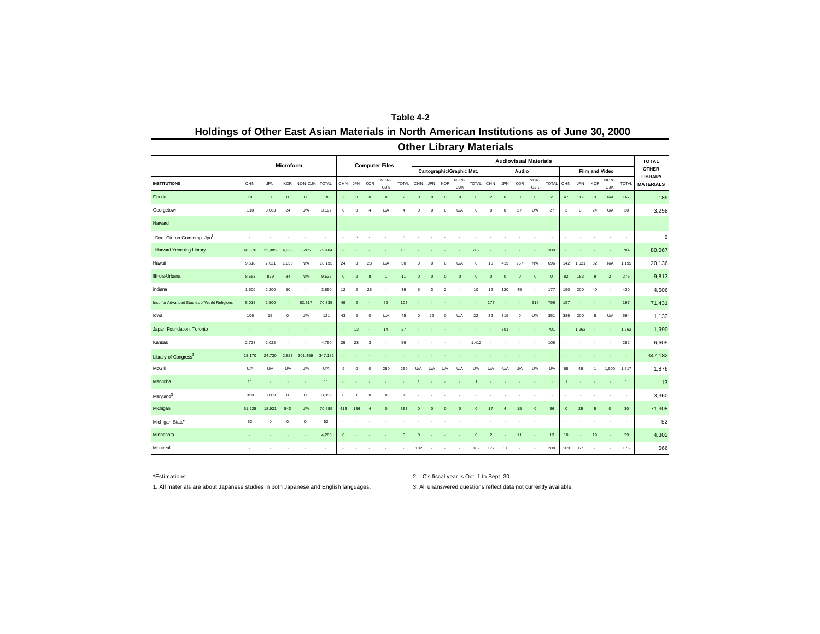| Table 4-2                                                                                 |
|-------------------------------------------------------------------------------------------|
| Holdings of Other East Asian Materials in North American Institutions as of June 30, 2000 |

|                                               |                          |              |              |                   |         |                |                          |                |                       |                          |              |              |                         |                           | <b>Other Library Materials</b> |                |                          |                              |                          |                |                 |            |                         |                |                |                                |
|-----------------------------------------------|--------------------------|--------------|--------------|-------------------|---------|----------------|--------------------------|----------------|-----------------------|--------------------------|--------------|--------------|-------------------------|---------------------------|--------------------------------|----------------|--------------------------|------------------------------|--------------------------|----------------|-----------------|------------|-------------------------|----------------|----------------|--------------------------------|
|                                               |                          |              | Microform    |                   |         |                |                          |                | <b>Computer Files</b> |                          |              |              |                         |                           |                                |                |                          | <b>Audiovisual Materials</b> |                          |                |                 |            |                         |                |                | <b>TOTAL</b>                   |
|                                               |                          |              |              |                   |         |                |                          |                |                       |                          |              |              |                         | Cartographic/Graphic Mat. |                                |                |                          | Audio                        |                          |                |                 |            | Film and Video          |                |                | <b>OTHER</b><br><b>LIBRARY</b> |
| <b>INSTITUTIONS</b>                           | CHN                      | JPN          |              | KOR NON-CJK TOTAL |         | CHN JPN        |                          | <b>KOR</b>     | NON-<br><b>CJK</b>    | <b>TOTAL</b>             |              |              | CHN JPN KOR             | NON-<br>CJK               | <b>TOTAL</b>                   |                | CHN JPN                  | KOR                          | NON-<br><b>CJK</b>       | <b>TOTAL</b>   | CHN             | <b>JPN</b> | <b>KOR</b>              | NON-<br>CJK    | <b>TOTAL</b>   | <b>MATERIALS</b>               |
| Florida                                       | 18                       | $\mathbf{0}$ | $\mathbf{0}$ | $\mathbf{0}$      | 18      | $\overline{2}$ | $\circ$                  | $\mathbf{0}$   | $\mathbf{0}$          | $\overline{2}$           | $\mathbf 0$  | $\mathbf{0}$ | $\mathbf{0}$            | $\mathbf{0}$              | $\mathbf{0}$                   | $\overline{2}$ | $\overline{0}$           | $\mathbf{0}$                 | $\mathbf{0}$             | $\overline{2}$ | 47              | 117        | $\overline{\mathbf{3}}$ | <b>N/A</b>     | 167            | 189                            |
| Georgetown                                    | 110                      | 3,063        | 24           | U/A               | 3,197   | $\mathbf 0$    | $\mathbf 0$              | $\overline{4}$ | U/A                   | 4                        | $\mathbf 0$  | $\mathbf 0$  | $\mathbf 0$             | U/A                       | $\mathbf 0$                    | $\mathbf 0$    | $\mathbf 0$              | 27                           | U/A                      | 27             | 3               | 3          | 24                      | U/A            | 30             | 3,258                          |
| Harvard                                       |                          |              |              |                   |         |                |                          |                |                       |                          |              |              |                         |                           |                                |                |                          |                              |                          |                |                 |            |                         |                |                |                                |
| Doc. Ctr. on Comtemp. Jpn1                    |                          |              |              |                   |         |                | 6                        |                |                       | 6                        |              |              |                         |                           |                                |                |                          |                              |                          |                |                 |            |                         |                | $\sim$         | 6                              |
| Harvard-Yenching Library                      | 48,676                   | 22,085       | 4,938        | 3,785             | 79,484  |                |                          |                |                       | 81                       |              |              |                         |                           | 202                            |                |                          |                              |                          | 300            |                 |            |                         |                | N/A            | 80,067                         |
| Hawaii                                        | 9,518                    | 7,621        | 1,056        | N/A               | 18,195  | 24             | 3                        | 23             | U/A                   | 50                       | $\mathbf 0$  | $\Omega$     | $\Omega$                | U/A                       | $\mathbf 0$                    | 10             | 419                      | 267                          | N/A                      | 696            |                 | 142 1.021  | 32                      | N/A            | 1,195          | 20,136                         |
| Illinois-Urbana                               | 8,563                    | 879          | 84           | N/A               | 9,526   | $\circ$        | $\overline{2}$           | 8              | $\overline{1}$        | 11                       | $\mathbf{0}$ | $\mathbf{0}$ | $\mathbf{0}$            | $\overline{0}$            | $\mathbf{0}$                   | $\mathbf{0}$   | $\mathbf{0}$             | $\circ$                      | $\mathbf{0}$             | $\circ$        | 82              | 183        | 9                       | $\overline{2}$ | 276            | 9,813                          |
| Indiana                                       | 1,600                    | 2,200        | 50           | ٠                 | 3,850   | 12             | $\overline{2}$           | 25             |                       | 39                       | 5            | 3            | $\overline{\mathbf{2}}$ | ٠                         | 10                             | 12             | 120                      | 45                           | ٠                        | 177            | 190             | 200        | 40                      |                | 430            | 4,506                          |
| Inst. for Advanced Studies of World Religions | 5,018                    | 2,500        |              | 62,817            | 70,335  | 49             | $\overline{2}$           |                | 52                    | 103                      |              |              |                         |                           |                                | 177            | ×,                       | ×,                           | 619                      | 796            | 197             |            |                         |                | 197            | 71,431                         |
| lowa                                          | 106                      | 15           | $\mathbf 0$  | U/A               | 121     | 43             | $\overline{\mathbf{2}}$  | $\mathbf 0$    | U/A                   | 45                       | $\mathbf 0$  | 22           | $\circ$                 | U/A                       | 22                             | 32             | 319                      | $\bf{0}$                     | U/A                      | 351            | 389             | 200        | 5                       | <b>U/A</b>     | 594            | 1,133                          |
| Japan Foundation, Toronto                     | ×                        |              |              |                   | $\sim$  |                | 13                       |                | 14                    | 27                       |              |              |                         |                           |                                |                | 701                      | ×.                           | ×.                       | 701            |                 | 1,262      | ÷.                      |                | 1,262          | 1,990                          |
| Kansas                                        | 2,728                    | 2,022        |              | ٠                 | 4,750   | 25             | 28                       | 3              |                       | 56                       |              |              |                         |                           | 1,412                          |                |                          |                              |                          | 105            |                 |            |                         |                | 282            | 6,605                          |
| Library of Congress <sup>2</sup>              | 18,170                   | 24,730       | 2,823        | 301,459           | 347,182 |                |                          |                |                       | $\overline{\phantom{a}}$ |              |              |                         |                           |                                |                |                          |                              |                          |                |                 |            |                         |                |                | 347,182                        |
| McGill                                        | U/A                      | U/A          | U/A          | U/A               | U/A     | 9              | $\bf{0}$                 | $\bf{0}$       | 250                   | 259                      | U/A          | U/A          | U/A                     | U/A                       | U/A                            | U/A            | U/A                      | U/A                          | U/A                      | U/A            | 68              | 48         | $\overline{1}$          | 1,500          | 1,617          | 1,876                          |
| Manitoba                                      | 11                       |              |              | ×,                | 11      |                |                          |                |                       | ٠                        |              |              |                         |                           | $\overline{1}$                 |                |                          |                              |                          |                |                 |            |                         |                | $\overline{1}$ | 13                             |
| Maryland <sup>3</sup>                         | 350                      | 3,009        | $\mathbf 0$  | $\mathbb O$       | 3,359   | $^{\circ}$     | 1                        | $\mathbf 0$    | $\mathbf 0$           | $\overline{1}$           |              |              |                         |                           |                                |                |                          |                              |                          |                |                 |            |                         |                |                | 3,360                          |
| Michigan                                      | 51,225                   | 18,921       | 543          | U/A               | 70,689  | 413            | 136                      | $\overline{4}$ | $\mathbf{0}$          | 553                      | $\mathbf{0}$ | $\mathbf{0}$ | $\mathbf 0$             | $\mathbf 0$               | $\mathbf{0}$                   | 17             | $\overline{4}$           | 15                           | $\overline{0}$           | 36             | $\overline{0}$  | 25         | 5                       | $\mathbf 0$    | 30             | 71,308                         |
| Michigan State*                               | 52                       | $\mathbf 0$  | $\bf{0}$     | $\mathbf 0$       | 52      |                |                          |                |                       | ٠                        |              |              |                         |                           |                                |                |                          |                              |                          |                |                 |            |                         |                | $\sim$         | 52                             |
| Minnesota                                     | $\overline{\phantom{a}}$ |              |              |                   | 4,260   | $\circ$        | $\overline{\phantom{a}}$ |                |                       | $\mathbf{0}$             | $\mathbf{0}$ |              |                         |                           | $\mathbf{0}$                   | $\overline{2}$ | $\overline{\phantom{a}}$ | 11                           | $\overline{\phantom{a}}$ | 13             | 10 <sub>1</sub> |            | 19                      |                | 29             | 4,302                          |
| Montreal                                      |                          |              |              |                   | ٠       |                |                          |                |                       | $\overline{\phantom{a}}$ | 182          |              |                         |                           | 182                            | 177            | 31                       | ٠                            | $\overline{\phantom{a}}$ | 208            | 109             | 67         |                         |                | 176            | 566                            |

\*Estimations 2. LC's fiscal year is Oct. 1 to Sept. 30.

1. All materials are about Japanese studies in both Japanese and English languages. 3. All unanswered questions reflect data not currently available.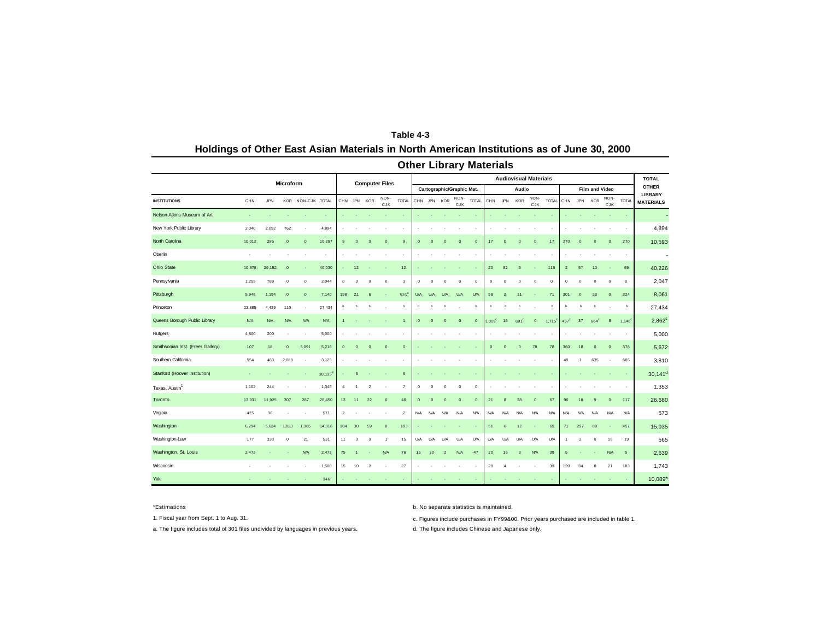|                                   |            |            |             |                   |            |                 |                |                |                       |                |                |             |                |                           | <b>Other Library Materials</b> |                   |                |                              |                |                      |                |                |                       |              |              |                                |
|-----------------------------------|------------|------------|-------------|-------------------|------------|-----------------|----------------|----------------|-----------------------|----------------|----------------|-------------|----------------|---------------------------|--------------------------------|-------------------|----------------|------------------------------|----------------|----------------------|----------------|----------------|-----------------------|--------------|--------------|--------------------------------|
|                                   |            |            | Microform   |                   |            |                 |                |                | <b>Computer Files</b> |                |                |             |                |                           |                                |                   |                | <b>Audiovisual Materials</b> |                |                      |                |                |                       |              |              | <b>TOTAL</b>                   |
|                                   |            |            |             |                   |            |                 |                |                |                       |                |                |             |                | Cartographic/Graphic Mat. |                                |                   |                | Audio                        |                |                      |                |                | <b>Film and Video</b> |              |              | <b>OTHER</b><br><b>LIBRARY</b> |
| <b>INSTITUTIONS</b>               | CHN        | <b>JPN</b> |             | KOR NON-CJK TOTAL |            |                 |                | CHN JPN KOR    | NON-<br>CJK           | <b>TOTAL</b>   |                |             | CHN JPN KOR    | NON-<br>CJK               | TOTAL                          |                   | CHN JPN        | KOR                          | NON-<br>CJK    | <b>TOTAL</b>         | CHN            | JPN            | <b>KOR</b>            | NON-<br>CJK  | <b>TOTAL</b> | <b>MATERIALS</b>               |
| Nelson-Atkins Museum of Art       | ×,         |            |             |                   |            |                 |                |                |                       |                |                |             |                |                           |                                |                   |                |                              |                |                      |                |                |                       |              | ×.           |                                |
| New York Public Library           | 2,040      | 2,092      | 762         |                   | 4,894      |                 |                |                |                       |                |                |             |                |                           |                                |                   |                |                              |                |                      |                |                |                       |              |              | 4,894                          |
| North Carolina                    | 10,012     | 285        | $\circ$     | $\circ$           | 10,297     | 9               | $\overline{0}$ | $\Omega$       | $\overline{0}$        | 9              | $\overline{0}$ | $\mathbf 0$ | $\mathbf 0$    | $\mathbf 0$               | $\Omega$                       | 17                | $\overline{0}$ | $\mathbf{0}$                 | $\overline{0}$ | 17                   | 270            | $\overline{0}$ | $\overline{0}$        | $\circ$      | 270          | 10,593                         |
| Oberlin                           |            |            |             |                   |            |                 |                |                |                       |                |                |             |                |                           |                                |                   |                |                              |                |                      |                |                |                       |              | ٠            | ÷                              |
| Ohio State                        | 10,878     | 29,152     | $\Omega$    | ÷                 | 40,030     |                 | 12             |                |                       | 12             |                |             |                |                           |                                | 20                | 92             | $\overline{\mathbf{3}}$      |                | 115                  | $\overline{2}$ | 57             | 10                    |              | 69           | 40,226                         |
| Pennsylvania                      | 1,255      | 789        | $^{\circ}$  | $\mathbb O$       | 2,044      | $\bf{0}$        | 3              | $\circ$        | $\mathbf 0$           | $\mathbf 3$    | $^{\circ}$     | $\mathbf 0$ | $\circ$        | $\circ$                   | $\mathbf 0$                    | $\circ$           | $\mathbf 0$    | $\mathbf 0$                  | $\circ$        | $\bf{0}$             | $\circ$        | $\circ$        | $^{\circ}$            | $\circ$      | $\mathbf 0$  | 2,047                          |
| Pittsburgh                        | 5,946      | 1,194      | $\mathbf 0$ | $\circ$           | 7,140      | 198             | 21             | $\mathbf{6}$   |                       | $526^3$        | U/A            | U/A         | U/A            | U/A                       | U/A                            | 58                | $\overline{2}$ | 11                           |                | 71                   | 301            | $\overline{0}$ | 23                    | $\circ$      | 324          | 8,061                          |
| Princeton                         | 22,885     | 4,439      | 110         | ×                 | 27,434     | b               | ь              | ь              |                       | b              | ь              | ь           |                |                           | ь                              | ь                 | b              | b                            |                | b                    | b              | ь              | ь                     |              | b            | 27,434                         |
| Queens Borough Public Library     | <b>N/A</b> | N/A        | <b>N/A</b>  | <b>N/A</b>        | N/A        |                 |                |                |                       | $\overline{1}$ | $\circ$        | $\mathbf 0$ | $\mathbf 0$    | $\mathbf 0$               | $\mathbf{0}$                   | .009 <sup>c</sup> | 15             | 691 <sup>c</sup>             | $\mathbf 0$    | $1,715$ <sup>c</sup> | $437^{\circ}$  | 37             | 664 <sup>c</sup>      | 8            | $1,146^c$    | $2,862^{\circ}$                |
| Rutgers                           | 4,800      | 200        |             |                   | 5,000      |                 |                |                |                       | ٠              |                |             |                |                           |                                |                   |                |                              |                |                      | ٠              |                |                       |              | ٠            | 5,000                          |
| Smithsonian Inst. (Freer Gallery) | 107        | 18         | $\mathbf 0$ | 5,091             | 5,216      | $\mathbf 0$     | $\overline{0}$ | $\mathbf 0$    | $\overline{0}$        | $\mathbf 0$    |                |             |                |                           |                                | $\overline{0}$    | $\overline{0}$ | $\mathbf 0$                  | 78             | 78                   | 360            | 18             | $\Omega$              | $\mathbf{0}$ | 378          | 5,672                          |
| Southern California               | 554        | 483        | 2,088       | ٠                 | 3,125      |                 |                |                |                       | ٠              |                |             |                |                           |                                |                   |                |                              |                |                      | 49             | 1              | 635                   |              | 685          | 3,810                          |
| Stanford (Hoover Institution)     |            |            |             |                   | $30,135^d$ |                 | 6              |                |                       | 6              |                |             |                |                           |                                |                   |                |                              |                |                      |                |                |                       |              | ×.           | $30,141^d$                     |
| Texas, Austin <sup>1</sup>        | 1,102      | 244        |             |                   | 1,346      | 4               | $\mathbf{1}$   | $\overline{2}$ |                       | $\overline{7}$ | $\circ$        | $\circ$     | $\circ$        | $\circ$                   | $\circ$                        |                   |                |                              |                |                      |                |                |                       |              | $\cdot$      | 1,353                          |
| Toronto                           | 13,931     | 11,925     | 307         | 287               | 26,450     | 13 <sup>7</sup> | 11             | 22             | $\overline{0}$        | 46             | $\overline{0}$ | $\mathbf 0$ | $\mathbf 0$    | $\overline{0}$            | $\mathbf{0}$                   | 21                | 8              | 38                           | $\overline{0}$ | 67                   | 90             | 18             | 9                     | $\mathbf{0}$ | 117          | 26,680                         |
| Virginia                          | 475        | 96         |             | ٠                 | 571        | $\overline{2}$  |                |                |                       | $\overline{2}$ | N/A            | N/A         | N/A            | N/A                       | N/A                            | N/A               | N/A            | N/A                          | N/A            | N/A                  | N/A            | N/A            | N/A                   | N/A          | N/A          | 573                            |
| Washington                        | 6,294      | 5,634      | 1,023       | 1,365             | 14,316     | 104             | 30             | 59             | $\overline{0}$        | 193            |                |             |                |                           |                                | 51                | 6              | 12                           |                | 69                   | 71             | 297            | 89                    |              | 457          | 15,035                         |
| Washington-Law                    | 177        | 333        | $^{\circ}$  | 21                | 531        | 11              | 3              | $\circ$        | $\overline{1}$        | 15             | U/A            | U/A         | <b>U/A</b>     | U/A                       | U/A                            | U/A               | U/A            | U/A                          | U/A            | U/A                  | 1              | $\overline{2}$ | $^{\circ}$            | 16           | 19           | 565                            |
| Washington, St. Louis             | 2,472      |            |             | <b>N/A</b>        | 2,472      | 75              | $\overline{1}$ |                | <b>N/A</b>            | 76             | 15             | 30          | $\overline{2}$ | <b>N/A</b>                | 47                             | 20                | 16             | $\overline{\mathbf{3}}$      | N/A            | 39                   | 5              |                |                       | <b>N/A</b>   | $\sqrt{5}$   | 2,639                          |
| Wisconsin                         |            |            |             |                   | 1,500      | 15              | 10             | $\overline{2}$ |                       | 27             |                |             |                |                           |                                | 29                | 4              |                              |                | 33                   | 120            | 34             | 8                     | 21           | 183          | 1,743                          |
| Yale                              |            |            |             |                   | 346        |                 |                |                |                       |                |                |             |                |                           |                                |                   |                |                              |                |                      |                |                |                       |              |              | 10,089*                        |

## **Table 4-3 Holdings of Other East Asian Materials in North American Institutions as of June 30, 2000**

\*Estimations b. No separate statistics is maintained.

1. Fiscal year from Sept. 1 to Aug. 31. c. Figures include purchases in FY99&00. Prior years purchased are included in table 1.

a. The figure includes total of 301 files undivided by languages in previous years. <br>
a. The figure includes Chinese and Japanese only.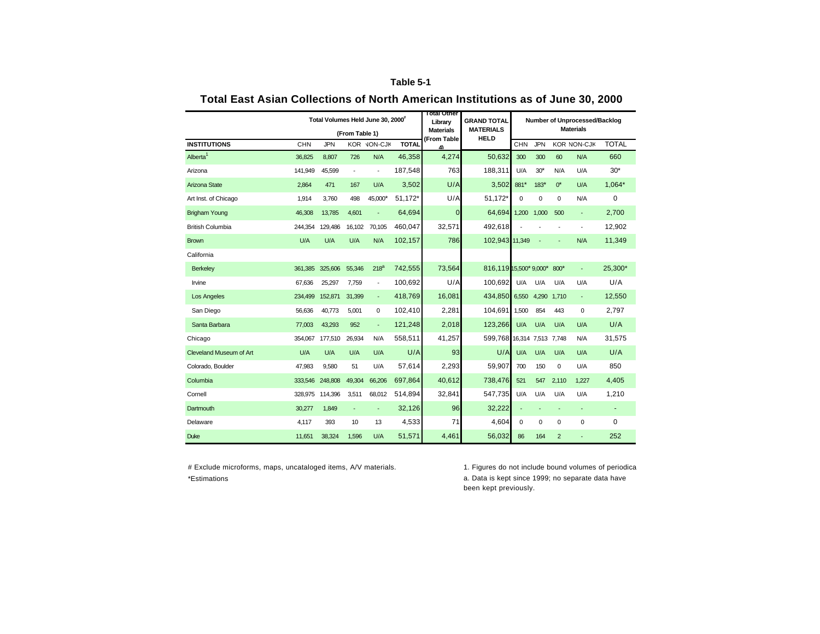## **Table 5-1**

|                         |         |            |                          | Total Volumes Held June 30, 2000 <sup>#</sup> |              | <b>Total Other</b><br>Library | <b>GRAND TOTAL</b>              |             |            |                | Number of Unprocessed/Backlog |              |
|-------------------------|---------|------------|--------------------------|-----------------------------------------------|--------------|-------------------------------|---------------------------------|-------------|------------|----------------|-------------------------------|--------------|
|                         |         |            | (From Table 1)           |                                               |              | <b>Materials</b>              | <b>MATERIALS</b><br><b>HELD</b> |             |            |                | <b>Materials</b>              |              |
| <b>INSTITUTIONS</b>     | CHN     | <b>JPN</b> |                          | KOR VON-CJK                                   | <b>TOTAL</b> | (From Table<br>4              |                                 | <b>CHN</b>  | <b>JPN</b> |                | <b>KOR NON-CJK</b>            | <b>TOTAL</b> |
| Alberta <sup>1</sup>    | 36,825  | 8,807      | 726                      | N/A                                           | 46,358       | 4.274                         | 50,632                          | 300         | 300        | 60             | N/A                           | 660          |
| Arizona                 | 141.949 | 45,599     | $\overline{\phantom{a}}$ | $\overline{\phantom{a}}$                      | 187,548      | 763                           | 188.311                         | U/A         | $30*$      | N/A            | U/A                           | $30*$        |
| Arizona State           | 2,864   | 471        | 167                      | U/A                                           | 3,502        | U/A                           | 3,502                           | 881*        | $183*$     | $0^*$          | U/A                           | $1,064*$     |
| Art Inst. of Chicago    | 1,914   | 3.760      | 498                      | 45.000*                                       | 51,172*      | U/A                           | 51,172*                         | $\mathbf 0$ | 0          | 0              | N/A                           | $\mathbf 0$  |
| <b>Brigham Young</b>    | 46,308  | 13,785     | 4.601                    |                                               | 64,694       | $\mathbf{0}$                  | 64.694                          | 1.200       | 1.000      | 500            | ä,                            | 2.700        |
| <b>British Columbia</b> | 244,354 | 129,486    | 16,102                   | 70,105                                        | 460,047      | 32,571                        | 492,618                         |             |            | ÷              | $\overline{\phantom{a}}$      | 12,902       |
| <b>Brown</b>            | U/A     | U/A        | U/A                      | N/A                                           | 102,157      | 786                           | 102,943 11,349                  |             |            |                | N/A                           | 11,349       |
| California              |         |            |                          |                                               |              |                               |                                 |             |            |                |                               |              |
| <b>Berkeley</b>         | 361,385 | 325,606    | 55,346                   | 218 <sup>a</sup>                              | 742,555      | 73,564                        | 816,119 15,500* 9,000*          |             |            | $800*$         |                               | 25,300*      |
| Irvine                  | 67,636  | 25,297     | 7,759                    | $\overline{\phantom{a}}$                      | 100,692      | U/A                           | 100.692                         | U/A         | U/A        | U/A            | U/A                           | U/A          |
| <b>Los Angeles</b>      | 234,499 | 152,871    | 31,399                   | ٠                                             | 418,769      | 16,081                        | 434,850                         | 6,550       | 4,290      | 1.710          | ٠                             | 12,550       |
| San Diego               | 56.636  | 40.773     | 5.001                    | 0                                             | 102.410      | 2.281                         | 104.691                         | 1.500       | 854        | 443            | 0                             | 2,797        |
| Santa Barbara           | 77,003  | 43,293     | 952                      | ÷.                                            | 121,248      | 2,018                         | 123,266                         | U/A         | U/A        | U/A            | U/A                           | U/A          |
| Chicago                 | 354,067 | 177,510    | 26,934                   | N/A                                           | 558,511      | 41,257                        | 599,768 16,314 7,513 7,748      |             |            |                | N/A                           | 31,575       |
| Cleveland Museum of Art | U/A     | U/A        | U/A                      | U/A                                           | U/A          | 93                            | U/A                             | U/A         | U/A        | U/A            | U/A                           | U/A          |
| Colorado, Boulder       | 47,983  | 9,580      | 51                       | U/A                                           | 57,614       | 2,293                         | 59,907                          | 700         | 150        | 0              | U/A                           | 850          |
| Columbia                | 333,546 | 248,808    | 49,304                   | 66,206                                        | 697,864      | 40,612                        | 738,476                         | 521         | 547        | 2,110          | 1,227                         | 4,405        |
| Cornell                 | 328,975 | 114,396    | 3,511                    | 68,012                                        | 514,894      | 32,841                        | 547,735                         | U/A         | U/A        | U/A            | U/A                           | 1,210        |
| Dartmouth               | 30,277  | 1.849      | $\overline{a}$           |                                               | 32,126       | 96                            | 32,222                          |             |            | ÷              |                               |              |
| Delaware                | 4.117   | 393        | 10                       | 13                                            | 4,533        | 71                            | 4.604                           | $\mathbf 0$ | 0          | 0              | 0                             | $\mathbf 0$  |
| <b>Duke</b>             | 11,651  | 38.324     | 1,596                    | U/A                                           | 51.571       | 4.461                         | 56.032                          | 86          | 164        | $\overline{2}$ |                               | 252          |

## **Total East Asian Collections of North American Institutions as of June 30, 2000**

# Exclude microforms, maps, uncataloged items, A/V materials. 1. Figures do not include bound volumes of periodica \*Estimations

a. Data is kept since 1999; no separate data have been kept previously.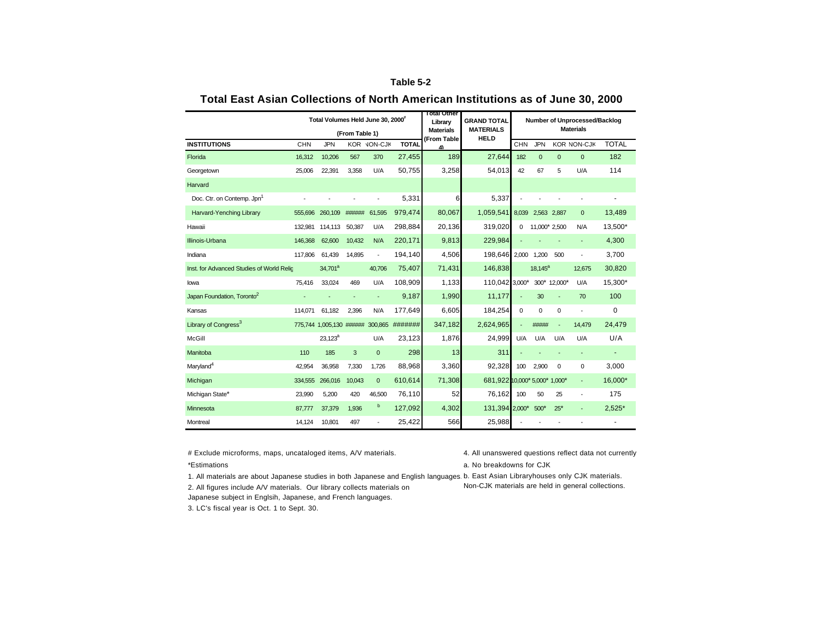## **Table 5-2**

|                                           |         | Total Volumes Held June 30, 2000" |                |                |              | <b>Total Other</b><br>Library   | <b>GRAND TOTAL</b>              |          |               |                | Number of Unprocessed/Backlog |              |
|-------------------------------------------|---------|-----------------------------------|----------------|----------------|--------------|---------------------------------|---------------------------------|----------|---------------|----------------|-------------------------------|--------------|
|                                           |         |                                   | (From Table 1) |                |              | <b>Materials</b><br>(From Table | <b>MATERIALS</b><br><b>HELD</b> |          |               |                | <b>Materials</b>              |              |
| <b>INSTITUTIONS</b>                       | CHN     | <b>JPN</b>                        |                | KOR VON-CJK    | <b>TOTAL</b> | 4)                              |                                 | CHN      | <b>JPN</b>    |                | <b>KOR NON-CJK</b>            | <b>TOTAL</b> |
| Florida                                   | 16,312  | 10,206                            | 567            | 370            | 27,455       | 189                             | 27,644                          | 182      | $\mathbf{0}$  | $\mathbf{0}$   | $\mathbf{0}$                  | 182          |
| Georgetown                                | 25,006  | 22,391                            | 3,358          | U/A            | 50,755       | 3,258                           | 54,013                          | 42       | 67            | 5              | U/A                           | 114          |
| Harvard                                   |         |                                   |                |                |              |                                 |                                 |          |               |                |                               |              |
| Doc. Ctr. on Contemp. Jpn <sup>1</sup>    |         |                                   |                |                | 5,331        | 6                               | 5,337                           |          |               |                |                               |              |
| Harvard-Yenching Library                  | 555,696 | 260,109                           | ######         | 61,595         | 979,474      | 80,067                          | 1,059,541                       | 8,039    | 2,563 2,887   |                | $\mathbf{0}$                  | 13,489       |
| Hawaii                                    | 132.981 | 114,113                           | 50,387         | U/A            | 298,884      | 20,136                          | 319,020                         | $\Omega$ | 11,000' 2,500 |                | N/A                           | 13,500*      |
| Illinois-Urbana                           | 146,368 | 62,600                            | 10.432         | N/A            | 220,171      | 9,813                           | 229,984                         |          |               |                |                               | 4,300        |
| Indiana                                   | 117,806 | 61,439                            | 14,895         | ÷,             | 194,140      | 4,506                           | 198,646                         | 2,000    | 1,200         | 500            |                               | 3,700        |
| Inst. for Advanced Studies of World Relic |         | 34,701 <sup>a</sup>               |                | 40,706         | 75,407       | 71,431                          | 146,838                         |          | $18,145^a$    |                | 12,675                        | 30,820       |
| lowa                                      | 75.416  | 33,024                            | 469            | U/A            | 108,909      | 1,133                           | 110,042 3,000*                  |          | $300*$        | 12.000*        | U/A                           | 15,300*      |
| Japan Foundation, Toronto <sup>2</sup>    |         |                                   |                |                | 9,187        | 1,990                           | 11,177                          |          | 30            |                | 70                            | 100          |
| Kansas                                    | 114.071 | 61.182                            | 2,396          | N/A            | 177,649      | 6,605                           | 184,254                         | $\Omega$ | $\mathbf 0$   | 0              |                               | 0            |
| Library of Congress <sup>3</sup>          |         | 775,744 1,005,130 ######          |                | 300,865        | #######      | 347,182                         | 2,624,965                       |          | #####         | $\blacksquare$ | 14,479                        | 24,479       |
| McGill                                    |         | $23,123^a$                        |                | U/A            | 23,123       | 1,876                           | 24,999                          | U/A      | U/A           | U/A            | U/A                           | U/A          |
| Manitoba                                  | 110     | 185                               | 3              | $\mathbf 0$    | 298          | 13                              | 311                             |          |               |                |                               |              |
| Maryland <sup>4</sup>                     | 42,954  | 36,958                            | 7,330          | 1,726          | 88,968       | 3,360                           | 92.328                          | 100      | 2.900         | $\mathbf 0$    | $\mathbf 0$                   | 3,000        |
| Michigan                                  | 334,555 | 266,016                           | 10,043         | $\mathbf{0}$   | 610,614      | 71,308                          | 681,922 10,000* 5,000* 1,000*   |          |               |                |                               | 16,000*      |
| Michigan State*                           | 23,990  | 5,200                             | 420            | 46.500         | 76,110       | 52                              | 76.162                          | 100      | 50            | 25             |                               | 175          |
| Minnesota                                 | 87,777  | 37,379                            | 1,936          | b              | 127,092      | 4,302                           | 131,394 2,000*                  |          | $500*$        | $25*$          | $\blacksquare$                | $2,525*$     |
| Montreal                                  | 14,124  | 10,801                            | 497            | $\overline{a}$ | 25,422       | 566                             | 25,988                          |          |               |                |                               |              |

## **Total East Asian Collections of North American Institutions as of June 30, 2000**

# Exclude microforms, maps, uncataloged items, A/V materials. 4. All unanswered questions reflect data not currently \*Estimations a. No breakdowns for CJK

1. All materials are about Japanese studies in both Japanese and English languages. b. East Asian Libraryhouses only CJK materials. 2. All figures include A/V materials. Our library collects materials on Japanese subject in Englsih, Japanese, and French languages. Non-CJK materials are held in general collections.

3. LC's fiscal year is Oct. 1 to Sept. 30.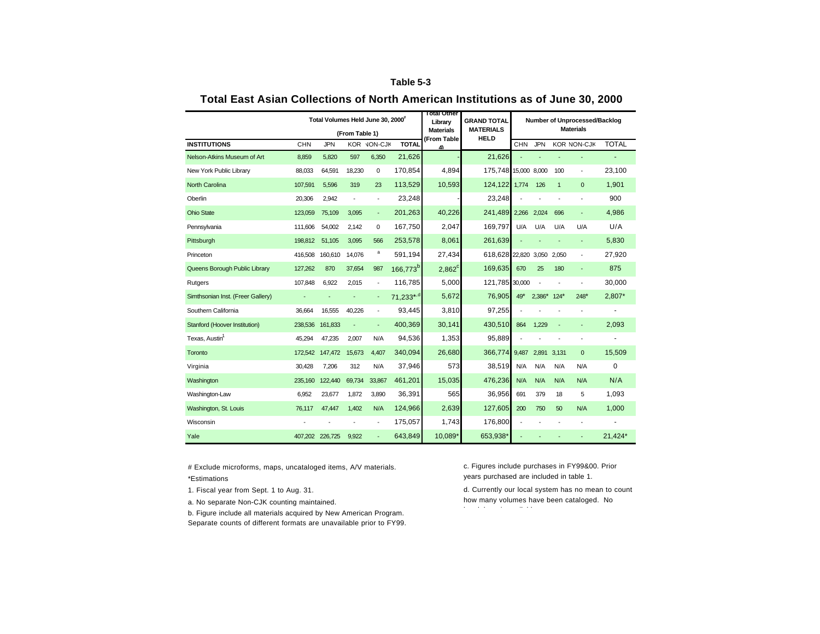## **Table 5-3**

|                                   |         | Total Volumes Held June 30, 2000" |                |                          |                      | <b>Total Other</b><br>Library   | <b>GRAND TOTAL</b>              |            |            |              | Number of Unprocessed/Backlog |              |
|-----------------------------------|---------|-----------------------------------|----------------|--------------------------|----------------------|---------------------------------|---------------------------------|------------|------------|--------------|-------------------------------|--------------|
|                                   |         |                                   | (From Table 1) |                          |                      | <b>Materials</b><br>(From Table | <b>MATERIALS</b><br><b>HELD</b> |            |            |              | <b>Materials</b>              |              |
| <b>INSTITUTIONS</b>               | CHN     | <b>JPN</b>                        |                | KOR VON-CJK              | <b>TOTAL</b>         | 4)                              |                                 | <b>CHN</b> | <b>JPN</b> |              | <b>KOR NON-CJK</b>            | <b>TOTAL</b> |
| Nelson-Atkins Museum of Art       | 8,859   | 5,820                             | 597            | 6,350                    | 21,626               |                                 | 21,626                          |            |            |              |                               |              |
| New York Public Library           | 88,033  | 64,591                            | 18,230         | 0                        | 170,854              | 4.894                           | 175,748 15,000 8,000            |            |            | 100          | ٠                             | 23,100       |
| <b>North Carolina</b>             | 107,591 | 5,596                             | 319            | 23                       | 113,529              | 10,593                          | 124.122                         | 1,774      | 126        | $\mathbf{1}$ | $\mathbf{0}$                  | 1,901        |
| Oberlin                           | 20,306  | 2,942                             |                |                          | 23,248               |                                 | 23,248                          |            |            |              |                               | 900          |
| <b>Ohio State</b>                 | 123,059 | 75,109                            | 3,095          | ٠                        | 201,263              | 40,226                          | 241,489                         | 2,266      | 2,024      | 696          | ٠                             | 4,986        |
| Pennsylvania                      | 111,606 | 54,002                            | 2,142          | 0                        | 167,750              | 2,047                           | 169,797                         | U/A        | U/A        | U/A          | U/A                           | U/A          |
| Pittsburgh                        | 198,812 | 51,105                            | 3,095          | 566                      | 253,578              | 8,061                           | 261,639                         |            |            |              | ÷                             | 5,830        |
| Princeton                         | 416.508 | 160,610                           | 14,076         | a                        | 591,194              | 27,434                          | 618,628 22,820                  |            | 3.050      | 2.050        | ÷                             | 27,920       |
| Queens Borough Public Library     | 127,262 | 870                               | 37,654         | 987                      | 166,773 <sup>b</sup> | $2,862^{\circ}$                 | 169,635                         | 670        | 25         | 180          |                               | 875          |
| Rutgers                           | 107.848 | 6,922                             | 2,015          | $\overline{\phantom{a}}$ | 116,785              | 5.000                           | 121,785 30,000                  |            |            |              |                               | 30,000       |
| Simthsonian Inst. (Freer Gallery) |         |                                   |                | ٠                        | 71,233*,d            | 5,672                           | 76,905                          | $49*$      | 2,386*     | $124*$       | $248*$                        | 2,807*       |
| Southern California               | 36,664  | 16,555                            | 40,226         | $\overline{\phantom{a}}$ | 93,445               | 3,810                           | 97,255                          |            |            |              | ٠                             | ٠            |
| Stanford (Hoover Institution)     | 238,536 | 161,833                           |                |                          | 400,369              | 30,141                          | 430,510                         | 864        | 1.229      | ÷,           |                               | 2,093        |
| Texas, Austin <sup>1</sup>        | 45.294  | 47,235                            | 2,007          | N/A                      | 94,536               | 1,353                           | 95,889                          |            |            |              | ÷                             | ä,           |
| Toronto                           | 172.542 | 147,472                           | 15,673         | 4.407                    | 340,094              | 26.680                          | 366.774                         | 9,487      | 2,891      | 3.131        | $\mathbf{0}$                  | 15,509       |
| Virginia                          | 30.428  | 7.206                             | 312            | N/A                      | 37,946               | 573                             | 38.519                          | N/A        | N/A        | N/A          | N/A                           | $\mathbf 0$  |
| Washington                        | 235,160 | 122,440                           | 69,734         | 33,867                   | 461,201              | 15,035                          | 476,236                         | N/A        | N/A        | N/A          | N/A                           | N/A          |
| Washington-Law                    | 6,952   | 23,677                            | 1,872          | 3,890                    | 36,391               | 565                             | 36,956                          | 691        | 379        | 18           | 5                             | 1,093        |
| Washington, St. Louis             | 76,117  | 47,447                            | 1,402          | N/A                      | 124,966              | 2,639                           | 127,605                         | 200        | 750        | 50           | N/A                           | 1,000        |
| Wisconsin                         |         |                                   |                |                          | 175,057              | 1,743                           | 176,800                         |            |            |              |                               |              |
| Yale                              | 407.202 | 226,725                           | 9.922          |                          | 643.849              | 10.089*                         | 653,938*                        |            |            |              |                               | 21.424*      |

## **Total East Asian Collections of North American Institutions as of June 30, 2000**

# Exclude microforms, maps, uncataloged items, A/V materials. \*Estimations

1. Fiscal year from Sept. 1 to Aug. 31.

a. No separate Non-CJK counting maintained.

b. Figure include all materials acquired by New American Program. Separate counts of different formats are unavailable prior to FY99. c. Figures include purchases in FY99&00. Prior years purchased are included in table 1.

d. Currently our local system has no mean to count how many volumes have been cataloged. No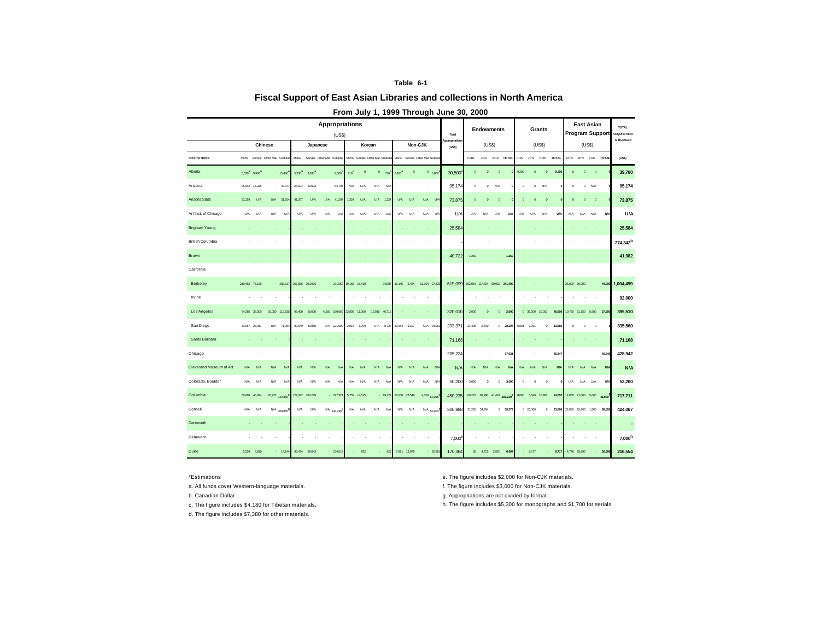### **Table 6-1**

## **Fiscal Support of East Asian Libraries and collections in North America**

|                         |        |                                       |                                   |                |                    |                 | <b>Appropriations</b><br>(US\$) |               |              |                                   |             |          |                                 |              |            | Total                   |               |            | <b>Endowments</b>              |       |                        | Grants                 |            |               | <b>East Asian</b><br><b>Program Support</b> |             |                            | TOTAL<br><b>ACQUISITION</b> |
|-------------------------|--------|---------------------------------------|-----------------------------------|----------------|--------------------|-----------------|---------------------------------|---------------|--------------|-----------------------------------|-------------|----------|---------------------------------|--------------|------------|-------------------------|---------------|------------|--------------------------------|-------|------------------------|------------------------|------------|---------------|---------------------------------------------|-------------|----------------------------|-----------------------------|
|                         |        | <b>Chinese</b>                        |                                   |                |                    | Japanese        |                                 |               | Korean       |                                   |             |          | Non-CJK                         |              |            | Appropriations<br>(USS) |               | (USS)      |                                |       |                        | (USS)                  |            |               | (US\$)                                      |             |                            | <b>S BUDGET</b>             |
| <b>INSTITUTIONS</b>     |        |                                       | Mono. Serials Other Mat. Subtotal |                | Mana.              |                 | Serials Other Mat. Subtotal     |               |              | Mono. Serials Other Mat. Subtotal |             |          | Mono. Serials Other Mat. Subtot |              |            |                         | CHN           | <b>JPN</b> | KOR TOTAL                      | CHN   | JPN                    | KOR                    | TOTAL      | CHN JPN       |                                             | KOR         | <b>TOTAL</b>               | (USS)                       |
| Alberta                 |        | 5.530 <sup>3</sup> 9.900 <sup>3</sup> |                                   | 15,430         | 5.530 <sup>3</sup> | 3.030           | 8,560                           | $710^8$       | $\mathbf 0$  | $\mathbf 0$                       | 710         | $5800^8$ | $\circ$                         |              | 0.6800     | 30,500                  | $\circ$       | $\circ$    | $\circ$                        | 9,200 | $\circ$                | $\circ$                | 9,200      | $\circ$       | $\circ$                                     | $\mathbf 0$ |                            | 39,700                      |
| Arizona                 |        | 25,042 15,335                         |                                   | $-40,37i$      | 24,104             | 30,693          | $-64,797$                       | N/A           | N/A          | N/A                               | N/A         |          |                                 |              |            | 95,174                  | $\bf{0}$      | $\,$ 0     | N/A                            |       | $\bf{0}$               | $^{\circ}$<br>N/A      |            | $\bf{0}$      | $\mathbf 0$                                 | N/A         |                            | 95,174                      |
| Arizona State           | 31.254 | <b>U/A</b>                            | <b>U/A</b>                        | 31.254         | 41.297             | U/A             | U/A<br>41.297                   | 1.324         | U/A          | U/A                               | 1.324       | U/A      | U/A                             | <b>U/A</b>   | U          | 73,875                  | $\circ$       | $\circ$    | $\circ$                        |       | $\circ$<br>$\circ$     | $\circ$                |            | $\circ$       | $\circ$                                     | $\circ$     |                            | 73,875                      |
| Art Inst. of Chicago    | U/A    | <b>U/A</b>                            | U/A                               | $U/\lambda$    | U/A                | <b>U/A</b>      | U/A<br>$U/\lambda$              | U/A           | U/A          | U/A                               | $U/\lambda$ | U/A      | U/A                             | U/A          | U/A        | U/A                     | U/A           | U/A        | U/A<br><b>U/A</b>              | U/A   | U/A                    | U/A                    | <b>U/A</b> | N/A           | N/A                                         | N/A         | <b>N/A</b>                 | U/A                         |
| <b>Brigham Young</b>    |        |                                       |                                   |                |                    |                 |                                 |               |              |                                   |             |          |                                 | ٠            |            | 25.584                  |               |            |                                |       |                        |                        |            |               |                                             |             |                            | 25,584                      |
| <b>British Columbia</b> |        |                                       |                                   |                |                    |                 |                                 |               |              |                                   |             |          |                                 |              |            |                         |               |            |                                |       |                        |                        |            |               |                                             |             |                            | 274.342 <sup>b</sup>        |
| Brown                   |        |                                       |                                   |                |                    |                 |                                 |               |              |                                   |             |          |                                 |              |            | 40,722                  | 1,260         |            | 1,260                          |       |                        |                        |            |               |                                             |             |                            | 41,982                      |
| California              |        |                                       |                                   |                |                    |                 |                                 |               |              |                                   |             |          |                                 |              |            |                         |               |            |                                |       |                        |                        |            |               |                                             |             |                            |                             |
| Berkeley                |        | 210,462 75,155                        |                                   | $-285,617$     | 167,586            | 103,976         | $-271,562$                      | 19,168        | 15,419       |                                   | $-34,587$   | 11,145   | 3,484                           | 12,704 27,33 |            | 619,099                 |               |            | 162,864 117,604 60,932 341,400 |       |                        |                        |            | 25,000 19,000 |                                             |             | 44,000                     | 1,004,499                   |
| Irvine                  |        |                                       |                                   |                |                    |                 |                                 |               |              |                                   |             |          |                                 |              |            |                         |               |            |                                |       |                        |                        |            |               |                                             |             |                            | 92,000                      |
| Los Angeles             |        | 54,285 38,300                         | 20,050                            | 112,635        | 98,400             | 58,000          | 4,260<br>160,660                | 22,800 11,000 |              | 12,915 46,715                     |             |          |                                 |              |            | 320,010                 | 2,000         | $\Omega$   | $\mathbf 0$<br>2,000           |       |                        | 0 36,000 10,000        | 46,000     |               | 10,750 11,250 5,500 27,500                  |             |                            | 395,510                     |
| San Diego               |        | 43,067 28,917                         | U/A                               | 71,98          | 80,649             | 40,950          | U/A 121,599                     | 2,018         | 6,709        | U/A                               | 8,727       |          | 19,954 71,107                   |              | U/A 91,06  | 293,371                 | 21,498        | 6,709      | 0<br>28,207                    | 6,991 | 6,991                  | $\,$ 0                 | 13,982     | $^{\circ}$    | $\mathbf 0$                                 | $^{\circ}$  |                            | 335,560                     |
| Santa Barbara           |        |                                       |                                   |                |                    |                 |                                 |               |              |                                   |             |          |                                 |              |            | 71,168                  |               |            |                                |       |                        |                        |            |               |                                             |             |                            | 71,168                      |
| Chicago                 |        |                                       |                                   |                |                    |                 |                                 |               |              |                                   |             |          |                                 |              |            | 205.224                 |               |            | 97,031                         |       |                        |                        | 80,347     |               |                                             |             | 46,340                     | 428,942                     |
| Cleveland Museum of Art | N/A    | N/A                                   | N/A                               | N/I            | N/A                | N/A             | N/A<br>N/A                      | N/A           | N/A          | N/A                               | N/I         | N/A      | N/A                             | N/A          | N/         | $N/\rho$                | N/A           | N/A        | N/A<br><b>N/A</b>              | N/A   | N/A                    | N/A                    | <b>N/A</b> | N/A           | N/A                                         | N/A         | <b>N/A</b>                 | N/A                         |
| Colorado, Boulder       | N/A    | N/A                                   | N/A                               | $N$ /          | N/A                | N/A             | N/A<br>N/A                      | N/A           | N/A          | N/A                               | N/A         | N/A      | N/A                             | N/A          | $N$ /      | 50,200                  | 3,000         | $\,$ 0     | $\circ$<br>3,000               |       | $\mathbf 0$<br>$\circ$ | $\,$ 0                 |            | U/A           | U/A                                         | U/A         | <b>U/A</b>                 | 53,200                      |
| Columbia                |        | 66,869 45,084                         |                                   | 26,722 142,855 |                    | 127,042 100,279 | $-227,321$                      |               | 5,759 14,015 |                                   | $-19,774$   |          | 26,000 22,546                   | 4,359 60,285 |            | 450,235                 |               |            | 60,222 98,290 41,407 201,919   |       |                        | 8,000   6,649   10,908 | 24,557     |               | 12,000 21,000 6,000 41,000                  |             |                            | 717,711                     |
| Cornell                 | N/A    | N/A                                   |                                   | N/A 108,855    | N/A                | N/A             | N/A 144,730 <sup>9</sup>        | N/A           | N/A          | N/A                               | N/A         | N/A      | N/A                             |              | N/A 53,403 | 306,988                 | 21,285 34,294 |            | 0 55,579                       |       | 0.23,000               | $\,$ 0                 | 23,000     |               |                                             |             | 22,000 15,000 1,500 38,500 | 424,067                     |
| Dartmouth               |        |                                       |                                   |                |                    |                 |                                 |               |              |                                   |             |          |                                 |              |            |                         |               |            |                                |       |                        |                        |            |               |                                             |             |                            |                             |
| Delaware                |        |                                       |                                   |                |                    |                 |                                 |               |              |                                   |             |          |                                 |              |            | 7,000                   |               |            |                                |       |                        |                        |            |               |                                             |             |                            | 7,000 <sup>h</sup>          |
| Duke                    |        | 5,334 8,810                           |                                   | $-14,144$      | 96,474             | 38,043          | $-134,511$                      |               | 822          |                                   | 822         | 7,811    | 13,070                          |              | $-20.88$   | 170,364                 | 65            | 4,722      | 2,020<br>6,807                 |       | 8,717                  |                        | 8,717      | 4,776 25,890  |                                             |             | 30,666                     | 216,554                     |

### **From July 1, 1999 Through June 30, 2000**

d. The figure includes \$7,380 for other materials.

\*Estimations e. The figure includes \$2,000 for Non-CJK materials.

a. All funds cover Western-language materials. The figure includes \$3,000 for Non-CJK materials.

b. Canadian Dollar g. Appropriations are not divided by format.

c. The figure includes \$4,180 for Tibetan materials. h. The figure includes \$5,300 for monographs and \$1,700 for serials.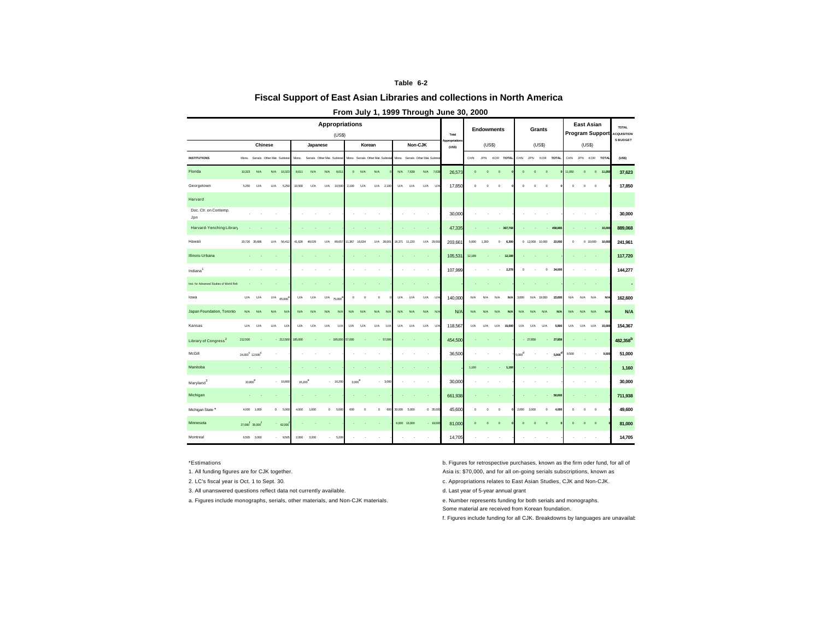### **Table 6-2**

### **Fiscal Support of East Asian Libraries and collections in North America**

|                                          |                                         |                                  |            |            |                     |          | <b>Appropriations</b><br>(USS) |              |          |                                  |        |               |                                 |             | Total                   |             |             | <b>Endowments</b> |            |             |                 | Grants      |              | <b>Program Support</b> |             | <b>East Asian</b> |              | <b>TOTAL</b><br><b>ACQUISITION</b> |
|------------------------------------------|-----------------------------------------|----------------------------------|------------|------------|---------------------|----------|--------------------------------|--------------|----------|----------------------------------|--------|---------------|---------------------------------|-------------|-------------------------|-------------|-------------|-------------------|------------|-------------|-----------------|-------------|--------------|------------------------|-------------|-------------------|--------------|------------------------------------|
|                                          |                                         | <b>Chinese</b>                   |            |            |                     | Japanese |                                |              | Korean   |                                  |        |               | Non-CJK                         |             | Appropriations<br>(USS) |             | (USS)       |                   |            |             |                 | (USS)       |              |                        | (USS)       |                   |              | <b>S BUDGET</b>                    |
| <b>INSTITUTIONS</b>                      |                                         | Mono. Serials Other Mat. Subtota |            |            | Mono.               |          | Serials Other Mat. Subtota     |              |          | Mono. Serials Other Mat. Subtota |        |               | Mono. Serials Other Mat. Subtot |             |                         | CHN         | <b>JPN</b>  | KOR TOTAL         |            | CHN         | <b>JPN</b>      | KOR         | <b>TOTAL</b> |                        |             | CHN JPN KOR TOTAL |              | (USS)                              |
| Florida                                  | 10,323                                  | N/A                              | N/A        | 10,32      | 8,611               | N/A      | N/A<br>8,611                   | $\mathbf 0$  | N/A      | N/A                              | N/A    | 7,639         | N/A 7,639                       |             | 26,573                  | $\mathbf 0$ | $\mathbf 0$ | $\mathbf 0$       |            | $\mathbf 0$ | $\mathbf 0$     | $\circ$     |              | 11,050                 | $\mathbf 0$ |                   | $0 - 11,050$ | 37,623                             |
| Georgetown                               | 5,250                                   | U/A                              | U/A        | 5,250      | 10,500              | U/A      | U/A<br>10,500                  | 2,100        | U/A      | U/A<br>2,100                     | U/A    | U/A           | U/A                             | $U/\lambda$ | 17,850                  | $^{\circ}$  | $^{\circ}$  | $\,$ 0            |            | $^{\circ}$  | $\,$ 0          | $\circ$     |              | $\,$ 0                 | $\,$ 0      | $\,$ 0            |              | 17,850                             |
| Harvard                                  |                                         |                                  |            |            |                     |          |                                |              |          |                                  |        |               |                                 |             |                         |             |             |                   |            |             |                 |             |              |                        |             |                   |              |                                    |
| Doc. Ctr. on Contemp.<br>Jpn             |                                         |                                  |            |            |                     |          |                                |              |          |                                  |        |               |                                 |             | 30,000                  |             |             |                   |            |             |                 |             |              |                        |             |                   |              | 30,000                             |
| Harvard-Yenching Library                 |                                         |                                  |            |            |                     |          |                                |              |          |                                  |        |               |                                 |             | 47,335                  |             |             |                   | 367,768    |             |                 |             | 458,965      |                        |             |                   | 15,000       | 889,068                            |
| Hawaii                                   |                                         | 20.726 35.686                    | <b>U/A</b> | 56,412     | 41.628              | 48.029   | U/A<br>89.657                  | 11.367       | 16.634   | U/A 28.001                       |        | 18.371 11.220 | U/A 29.591                      |             | 203,661                 | 5,000       | 1.300       | $\circ$           | 6,300      |             | 0 12:000 10:000 |             | 22,000       | $^{\circ}$             |             | 0.10,000          | 10,000       | 241,961                            |
| Illinois-Urbana                          |                                         |                                  |            |            |                     |          |                                |              |          |                                  |        |               |                                 |             | 105,531                 | 12,189      |             |                   | 12,189     |             |                 |             |              |                        |             |                   |              | 117,720                            |
| Indiana                                  |                                         |                                  |            |            |                     |          |                                |              |          |                                  |        |               |                                 |             | 107,999                 |             |             |                   | 2,278      | $\Omega$    |                 | 0           | 34,000       |                        |             |                   |              | 144,277                            |
| Inst. for Advanced Studies of World Reli |                                         |                                  |            |            |                     |          |                                |              |          |                                  |        |               |                                 |             |                         |             |             |                   |            |             |                 |             |              |                        |             |                   |              | ÷                                  |
| lowa                                     | U/A                                     | U/A                              | U/A        | 65,000     | U/A                 | U/A      | U/A<br>75,000                  | $^{\circ}$   | $\circ$  | $\,$ 0                           | U/A    | U/A           | U/A                             | $U/\lambda$ | 140,000                 | N/A         | N/A         | N/A               | N/A        | 3.600       | N/A             | 19,000      | 22,600       | N/A                    | N/A         | N/A               | <b>N/A</b>   | 162,600                            |
| Japan Foundation, Toronto                | N/A                                     | N/A                              | N/A        | N/I        | N/A                 | N/A      | N/A<br>N/A                     | N/A          | N/A      | N/A<br>N/A                       | N/A    | N/A           | N/A<br>N/I                      |             | N/A                     | N/A         | N/A         | N/A               | <b>N/A</b> | N/A         | N/A             | N/A         | <b>N/A</b>   | N/A                    | N/A         | N/A               | <b>N/A</b>   | N/A                                |
| Kansas                                   | U/A                                     | U/A                              | U/A        | U          | U/A                 | U/A      | U/A<br>$U/\lambda$             | U/A          | U/A      | U/A<br>$U$ /                     | U/A    | U/A           | U/A                             | U           | 118,567                 | U/A         | U/A         | U/A               | 15,000     | U/A         | U/A             | U/A         | 5,800        | U/A                    | U/A         | U/A               | 15,000       | 154,367                            |
| Library of Congress <sup>2</sup>         | 212,500                                 |                                  |            | $-212,500$ | 185,000             |          | $-185,000$                     | 57,000       |          | $-57,000$                        |        |               |                                 |             | 454,500                 |             |             |                   |            |             | $-27,858$       |             | 27,858       |                        |             |                   |              | 482,358 <sup>b</sup>               |
| McGill                                   | 24.000 <sup>°</sup> 12.500 <sup>°</sup> |                                  |            |            |                     |          |                                |              |          |                                  |        |               |                                 |             | 36,500                  |             |             |                   |            | $5000^d$    |                 |             | 5,000        | 9,500                  |             |                   | 9,500        | 51,000                             |
| Manitoba                                 |                                         |                                  |            |            |                     |          |                                |              |          |                                  |        |               |                                 |             |                         | 1,160       |             |                   | 1,160      |             |                 |             |              |                        |             |                   |              | 1,160                              |
| Maryland <sup>3</sup>                    | 10,800                                  |                                  |            | $-10.800$  | 16,200 <sup>e</sup> |          | $-16,200$                      | $3000^\circ$ |          | $-3,000$                         |        |               |                                 |             | 30,000                  |             |             |                   |            |             |                 |             |              |                        |             |                   |              | 30,000                             |
| Michigan                                 |                                         |                                  |            |            |                     |          |                                |              |          |                                  |        |               |                                 |             | 661,938                 |             |             |                   |            |             |                 |             | 50,000       |                        |             |                   |              | 711,938                            |
| Michigan State <sup>*</sup>              | 4,000                                   | 1,000                            |            | 0 6,000    | 4,000               | 1,000    | $\mathbf 0$<br>5,000           | 600          | $\theta$ | $\mathbf 0$<br>600               | 30,000 | 5,000         | 0.35,000                        |             | 45,600                  | $^{\circ}$  | $\Omega$    | $\,$ 0            |            | 2,000       | 2,000           | $\mathbf 0$ | 4,000        | $\,$ 0                 | $\Omega$    | $\circ$           |              | 49,600                             |
| Minnesota                                | 27,000 35,000                           |                                  |            | $-62,000$  |                     |          |                                |              |          |                                  |        | 6,000 13,000  | $-19,000$                       |             | 81,000                  | $\circ$     | $\circ$     | $\circ$           |            | $\circ$     | $\mathbf 0$     | $\circ$     |              | $\circ$                | $\circ$     | $\mathbf 0$       |              | 81,000                             |
| Montreal                                 |                                         | 6,505 3,000                      |            | 9,506      | 2,000               | 3,200    | 5,200                          |              |          |                                  |        |               |                                 |             | 14,705                  |             |             |                   |            |             |                 |             |              |                        |             |                   |              | 14,705                             |

### **From July 1, 1999 Through June 30, 2000**

### \*Estimations

1. All funding figures are for CJK together.

- 3. All unanswered questions reflect data not currently available. <br> **d. Last year of 5-year annual grant**
- a. Figures include monographs, serials, other materials, and Non-CJK materials.

b. Figures for retrospective purchases, known as the firm oder fund, for all of Asia is: \$70,000, and for all on-going serials subscriptions, known as

2. LC's fiscal year is Oct. 1 to Sept. 30. c. Appropriations relates to East Asian Studies, CJK and Non-CJK.

e. Number represents funding for both serials and monographs.

Some material are received from Korean foundation.

f. Figures include funding for all CJK. Breakdowns by languages are unavailable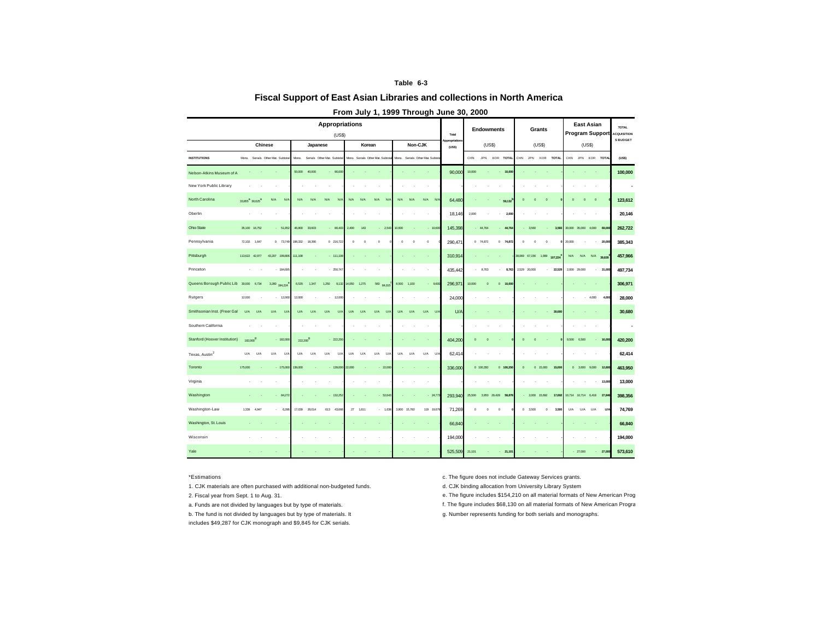### **Table 6-3**

## **Fiscal Support of East Asian Libraries and collections in North America**

|                                  | <b>Chinese</b><br>Japanese              |                |                                   |                      | <b>Appropriations</b><br>(USS) |                            |          |          |                                  |            |            | Total                          |                        |            | <b>Endowments</b> |                     |          | Grants     |                       |              |             | <b>East Asian</b><br><b>Program Support</b> |                      | <b>TOTAL</b><br><b>ACQUISITION</b> |                 |
|----------------------------------|-----------------------------------------|----------------|-----------------------------------|----------------------|--------------------------------|----------------------------|----------|----------|----------------------------------|------------|------------|--------------------------------|------------------------|------------|-------------------|---------------------|----------|------------|-----------------------|--------------|-------------|---------------------------------------------|----------------------|------------------------------------|-----------------|
|                                  |                                         |                |                                   |                      |                                |                            |          | Korean   |                                  |            | Non-CJK    |                                | Appropriation<br>(USS) |            | (USS)             |                     |          |            | (USS)                 |              |             |                                             | (US\$)               |                                    | <b>S BUDGET</b> |
| <b>INSTITUTIONS</b>              |                                         |                | Mono. Serials Other Mat. Subtotal | Mana.                |                                | Serials Other Mat. Subtota |          |          | Mono. Serials Other Mat. Subtota |            |            | Mono. Serials Other Mat. Subto |                        | CHN        | JPN               | KOR<br><b>TOTAL</b> | CHN      | <b>JPN</b> | KOR                   | <b>TOTAL</b> | CHN         | JPN                                         | KOR TOTAL            |                                    | (USS)           |
| Nelson-Atkins Museum of A        |                                         |                |                                   | 50,000               | 40,000                         | $-90.000$                  |          |          |                                  |            |            |                                | 90,000                 | 10,000     |                   | 10,000              |          |            |                       |              |             |                                             |                      |                                    | 100,000         |
| New York Public Library          |                                         |                |                                   |                      |                                |                            |          |          |                                  |            |            |                                |                        |            |                   |                     |          |            |                       |              |             |                                             |                      |                                    |                 |
| North Carolina                   | 33.855 <sup>3</sup> 30.625 <sup>3</sup> |                | N/A<br>N/                         | N/A                  | N/A                            | N/A<br>N/A                 | N/A      | N/A      | N/A<br>N/I                       | N/A        | N/A        | N/A<br>N                       | 64,480                 |            |                   | 59.132              | $\Omega$ | $\circ$    | $\circ$               |              | $\mathbf 0$ | $\circ$                                     | $\mathbf 0$          |                                    | 123,612         |
| Oberlin                          |                                         |                |                                   |                      |                                |                            |          |          |                                  |            |            | ٠                              | 18.146                 | 2,000      |                   | 2,000<br>ä,         |          |            |                       |              |             |                                             |                      |                                    | 20.146          |
| <b>Ohio State</b>                |                                         | 35,100 16,752  | $-51,85$                          | 46,800               | 33,603                         | $-80,403$                  | 2,400    | 143      | $-2,543$                         | 10,600     |            | $-10,600$                      | 145,398                |            | $-44,764$         | 44,764              |          | $-3,560$   |                       | 3,560        |             |                                             | 30,000 35,000 4,000  | 69,000                             | 262,722         |
| Pennsylvania                     | 72,102                                  | 1.647          | $0$ 73,749                        | 198.332              | 18,390                         | $0$ 216,722                | $\Omega$ | $\Omega$ | $\bf 0$                          | $^{\circ}$ | $\,$ 0     | $\,$ 0                         | 290,471                |            | $0$ 74,872        | $0$ 74,872          | $\Omega$ |            | $\,$ 0<br>$\theta$    |              | 20,000      |                                             |                      | 20,000                             | 385,343         |
| Pittsburgh                       |                                         | 113,622 42,977 | 43,207<br>199,806                 | 111,108              |                                | $-111,100$                 |          |          |                                  |            |            |                                | 310,914                |            |                   |                     |          |            | 38,069 67,156 1,999   | 107,224      | N/A         | N/A                                         | N/A                  | 39,828                             | 457,966         |
| Princeton                        |                                         |                | 184,69                            |                      |                                | 250,747                    |          |          |                                  |            |            |                                | 435,442                |            | 8,763             | 8,763               | 2,529    | 20,000     |                       | 22,529       |             | 2,000 29,000                                | $\sim$               | 31,000                             | 497,734         |
| Queens Borough Public Lib 30,000 |                                         | 6,734          | 3,280 194,224                     | 6,535                | 1.347                          | 1.250<br>9,132             | 14,050   | 1,275    | 560 84,015                       | 8,500      | 1.100      | $-9,600$                       | 296.97                 | 10,000     | $\circ$           | $\circ$<br>10,000   |          |            |                       |              |             |                                             |                      |                                    | 306,971         |
| Rutgers                          | 12,000                                  |                | 12,000                            | 12,000               |                                | 12,00                      |          |          |                                  |            |            |                                | 24,000                 |            |                   |                     |          |            |                       |              |             |                                             | 4,000                | 4,000                              | 28,000          |
| Smithsonian Inst. (Freer Gal     | U/A                                     | U/A            | U/A<br>U                          | <b>U/A</b>           | U/A                            | U/A<br>U/A                 | U/A      | U/A      | U/A<br>$U/\lambda$               | <b>U/A</b> | U/A        | U/A<br>U/A                     | $U/\rho$               |            |                   |                     |          |            |                       | 30,680       |             |                                             |                      |                                    | 30,680          |
| Southern California              |                                         |                |                                   |                      |                                |                            |          |          |                                  |            |            |                                |                        |            |                   |                     |          |            |                       |              |             |                                             |                      |                                    |                 |
| Stanford (Hoover Institution)    | 182,000 <sup>9</sup>                    |                | $-182,00$                         | 222,200 <sup>9</sup> |                                | $-222,200$                 |          |          |                                  |            |            |                                | 404,200                | $\circ$    | $\Omega$          |                     | $\Omega$ | $\alpha$   |                       |              |             | 9,500 6,500                                 |                      | 16,000                             | 420,200         |
| Texas, Austin <sup>2</sup>       | U/A                                     | U/A            | U/A<br>U                          | <b>U/A</b>           | U/A                            | U/A<br>$U/\lambda$         | U/A      | U/A      | U/A<br>$U$ /                     | U/A        | <b>U/A</b> | U/A<br>U/2                     | 62.414                 |            |                   |                     |          |            |                       |              |             |                                             |                      |                                    | 62,414          |
| Toronto                          | 175,000                                 |                | $-175,000$                        | 139,000              |                                | $-139,000$                 | 22,000   |          | 22,000                           |            |            |                                | 336,000                |            | 0 100,350         | 0 100,350           | $\circ$  |            | $\mathbf 0$<br>15,000 | 15,000       |             |                                             | 0 3,600 9,000 12,600 |                                    | 463,950         |
| Virginia                         |                                         |                |                                   |                      |                                |                            |          |          |                                  |            |            |                                |                        |            |                   |                     |          |            |                       |              |             |                                             |                      | 13,000                             | 13,000          |
| Washington                       |                                         |                | 84.27                             |                      |                                | $-132.26$                  |          |          | 62,643                           |            |            | $-24,773$                      | 293,940                | 25.500     | 3.950             | 29,428<br>58.87     |          | 2,000      | 15,692                | 17,69        | 10,714      | 10,714                                      | 6,418                | 27,846                             | 398,356         |
| Washington-Law                   | 1,339                                   | 4,947          | 6,286                             | 17,039               | 26,014                         | 613<br>43,666              | $2\!$    | 1,611    | 1,638                            | 3,800      | 15,760     | 119 19,679                     | 71,269                 | $^{\circ}$ | $^{\circ}$        | $\,$ 0              | $\,$ 0   | 3,500      | $\,$ 0                | 3,500        | U/A         | U/A                                         | U/A                  | <b>U/A</b>                         | 74,769          |
| Washington, St. Louis            |                                         |                |                                   |                      |                                |                            |          |          |                                  |            |            |                                | 66,840                 |            |                   |                     |          |            |                       |              |             |                                             |                      |                                    | 66,840          |
| Wisconsin                        |                                         |                |                                   |                      |                                |                            |          |          |                                  |            |            |                                | 194,000                |            |                   |                     |          |            |                       |              |             |                                             |                      |                                    | 194,000         |
| Yale                             |                                         |                |                                   |                      |                                |                            |          |          |                                  |            |            |                                | 525,509                | 21.101     |                   | 21,101              |          |            |                       |              |             | $-27,000$                                   |                      | 27,000                             | 573,610         |

## **From July 1, 1999 Through June 30, 2000**

1. CJK materials are often purchased with additional non-budgeted funds. d. CJK binding allocation from University Library System

- 
- b. The fund is not divided by languages but by type of materials. It includes \$49,287 for CJK monograph and \$9,845 for CJK serials.
- \*Estimations c. The figure does not include Gateway Services grants.

- 2. Fiscal year from Sept. 1 to Aug. 31. e. The figure includes \$154,210 on all material formats of New American Prog
- a. Funds are not divided by languages but by type of materials. The figure includes \$68,130 on all material formats of New American Program.
	- g. Number represents funding for both serials and monographs.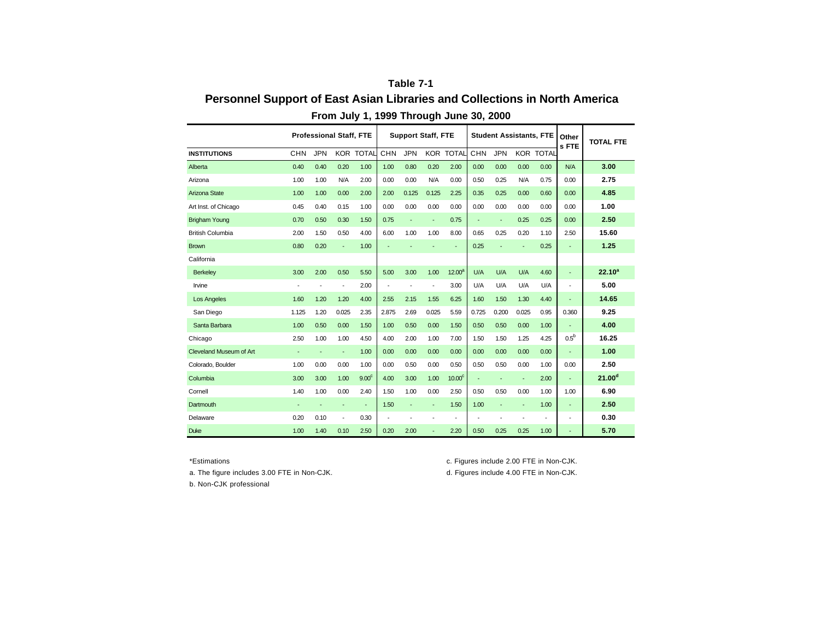# **Table 7-1 Personnel Support of East Asian Libraries and Collections in North America From July 1, 1999 Through June 30, 2000**

|                                |                          | <b>Professional Staff, FTE</b> |                          |                   |                | <b>Support Staff, FTE</b> |                          |                    |            | <b>Student Assistants, FTE</b> |                          |                          | Other<br>s FTE   | <b>TOTAL FTE</b>   |
|--------------------------------|--------------------------|--------------------------------|--------------------------|-------------------|----------------|---------------------------|--------------------------|--------------------|------------|--------------------------------|--------------------------|--------------------------|------------------|--------------------|
| <b>INSTITUTIONS</b>            | <b>CHN</b>               | <b>JPN</b>                     |                          | <b>KOR TOTAL</b>  | CHN            | <b>JPN</b>                |                          | <b>KOR TOTAL</b>   | <b>CHN</b> | <b>JPN</b>                     |                          | <b>KOR TOTAL</b>         |                  |                    |
| Alberta                        | 0.40                     | 0.40                           | 0.20                     | 1.00              | 1.00           | 0.80                      | 0.20                     | 2.00               | 0.00       | 0.00                           | 0.00                     | 0.00                     | N/A              | 3.00               |
| Arizona                        | 1.00                     | 1.00                           | N/A                      | 2.00              | 0.00           | 0.00                      | N/A                      | 0.00               | 0.50       | 0.25                           | N/A                      | 0.75                     | 0.00             | 2.75               |
| Arizona State                  | 1.00                     | 1.00                           | 0.00                     | 2.00              | 2.00           | 0.125                     | 0.125                    | 2.25               | 0.35       | 0.25                           | 0.00                     | 0.60                     | 0.00             | 4.85               |
| Art Inst. of Chicago           | 0.45                     | 0.40                           | 0.15                     | 1.00              | 0.00           | 0.00                      | 0.00                     | 0.00               | 0.00       | 0.00                           | 0.00                     | 0.00                     | 0.00             | 1.00               |
| <b>Brigham Young</b>           | 0.70                     | 0.50                           | 0.30                     | 1.50              | 0.75           | ÷,                        | $\blacksquare$           | 0.75               | ÷,         | ÷,                             | 0.25                     | 0.25                     | 0.00             | 2.50               |
| <b>British Columbia</b>        | 2.00                     | 1.50                           | 0.50                     | 4.00              | 6.00           | 1.00                      | 1.00                     | 8.00               | 0.65       | 0.25                           | 0.20                     | 1.10                     | 2.50             | 15.60              |
| <b>Brown</b>                   | 0.80                     | 0.20                           | ÷                        | 1.00              |                |                           |                          |                    | 0.25       | ÷,                             | $\overline{\phantom{a}}$ | 0.25                     | ٠                | 1.25               |
| California                     |                          |                                |                          |                   |                |                           |                          |                    |            |                                |                          |                          |                  |                    |
| Berkeley                       | 3.00                     | 2.00                           | 0.50                     | 5.50              | 5.00           | 3.00                      | 1.00                     | 12.00 <sup>a</sup> | U/A        | U/A                            | U/A                      | 4.60                     | ÷                | $22.10^{a}$        |
| Irvine                         | $\overline{\phantom{a}}$ | ٠                              | $\overline{\phantom{a}}$ | 2.00              | $\blacksquare$ |                           | $\overline{\phantom{a}}$ | 3.00               | U/A        | U/A                            | U/A                      | U/A                      | ٠                | 5.00               |
| <b>Los Angeles</b>             | 1.60                     | 1.20                           | 1.20                     | 4.00              | 2.55           | 2.15                      | 1.55                     | 6.25               | 1.60       | 1.50                           | 1.30                     | 4.40                     | ÷                | 14.65              |
| San Diego                      | 1.125                    | 1.20                           | 0.025                    | 2.35              | 2.875          | 2.69                      | 0.025                    | 5.59               | 0.725      | 0.200                          | 0.025                    | 0.95                     | 0.360            | 9.25               |
| Santa Barbara                  | 1.00                     | 0.50                           | 0.00                     | 1.50              | 1.00           | 0.50                      | 0.00                     | 1.50               | 0.50       | 0.50                           | 0.00                     | 1.00                     |                  | 4.00               |
| Chicago                        | 2.50                     | 1.00                           | 1.00                     | 4.50              | 4.00           | 2.00                      | 1.00                     | 7.00               | 1.50       | 1.50                           | 1.25                     | 4.25                     | 0.5 <sup>b</sup> | 16.25              |
| <b>Cleveland Museum of Art</b> | $\overline{\phantom{a}}$ | $\overline{\phantom{a}}$       | ٠                        | 1.00              | 0.00           | 0.00                      | 0.00                     | 0.00               | 0.00       | 0.00                           | 0.00                     | 0.00                     | ÷                | 1.00               |
| Colorado. Boulder              | 1.00                     | 0.00                           | 0.00                     | 1.00              | 0.00           | 0.50                      | 0.00                     | 0.50               | 0.50       | 0.50                           | 0.00                     | 1.00                     | 0.00             | 2.50               |
| Columbia                       | 3.00                     | 3.00                           | 1.00                     | 9.00 <sup>c</sup> | 4.00           | 3.00                      | 1.00                     | 10.00 <sup>c</sup> | ÷,         | ÷,                             | $\overline{\phantom{a}}$ | 2.00                     | ÷                | 21.00 <sup>d</sup> |
| Cornell                        | 1.40                     | 1.00                           | 0.00                     | 2.40              | 1.50           | 1.00                      | 0.00                     | 2.50               | 0.50       | 0.50                           | 0.00                     | 1.00                     | 1.00             | 6.90               |
| Dartmouth                      |                          |                                | ٠                        | $\blacksquare$    | 1.50           | ÷,                        | $\blacksquare$           | 1.50               | 1.00       | ÷,                             | ÷                        | 1.00                     | ٠                | 2.50               |
| Delaware                       | 0.20                     | 0.10                           | $\overline{\phantom{a}}$ | 0.30              |                |                           |                          |                    |            | $\overline{\phantom{a}}$       | $\overline{\phantom{a}}$ | $\overline{\phantom{a}}$ | ٠                | 0.30               |
| <b>Duke</b>                    | 1.00                     | 1.40                           | 0.10                     | 2.50              | 0.20           | 2.00                      | $\overline{\phantom{a}}$ | 2.20               | 0.50       | 0.25                           | 0.25                     | 1.00                     | ٠                | 5.70               |

\*Estimations c. Figures include 2.00 FTE in Non-CJK.

a. The figure includes 3.00 FTE in Non-CJK. d. Figures include 4.00 FTE in Non-CJK.

b. Non-CJK professional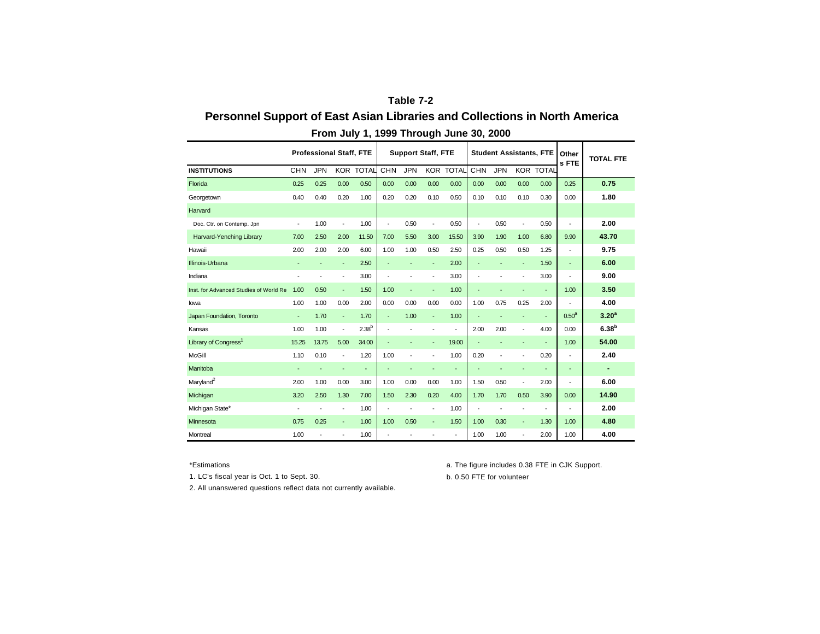# **Table 7-2 Personnel Support of East Asian Libraries and Collections in North America From July 1, 1999 Through June 30, 2000**

|                                        |                          | <b>Professional Staff, FTE</b> |                          |                          |                          |            | <b>Support Staff, FTE</b> |                          |                |            |                          | <b>Student Assistants, FTE</b> | Other<br>s FTE           | <b>TOTAL FTE</b>  |
|----------------------------------------|--------------------------|--------------------------------|--------------------------|--------------------------|--------------------------|------------|---------------------------|--------------------------|----------------|------------|--------------------------|--------------------------------|--------------------------|-------------------|
| <b>INSTITUTIONS</b>                    | <b>CHN</b>               | <b>JPN</b>                     |                          | <b>KOR TOTAL</b>         | <b>CHN</b>               | <b>JPN</b> |                           | <b>KOR TOTAL</b>         | <b>CHN</b>     | <b>JPN</b> |                          | <b>KOR TOTAL</b>               |                          |                   |
| Florida                                | 0.25                     | 0.25                           | 0.00                     | 0.50                     | 0.00                     | 0.00       | 0.00                      | 0.00                     | 0.00           | 0.00       | 0.00                     | 0.00                           | 0.25                     | 0.75              |
| Georgetown                             | 0.40                     | 0.40                           | 0.20                     | 1.00                     | 0.20                     | 0.20       | 0.10                      | 0.50                     | 0.10           | 0.10       | 0.10                     | 0.30                           | 0.00                     | 1.80              |
| Harvard                                |                          |                                |                          |                          |                          |            |                           |                          |                |            |                          |                                |                          |                   |
| Doc. Ctr. on Contemp. Jpn              | $\overline{\phantom{a}}$ | 1.00                           | $\overline{\phantom{a}}$ | 1.00                     | $\overline{\phantom{a}}$ | 0.50       | $\overline{\phantom{a}}$  | 0.50                     | $\blacksquare$ | 0.50       | ÷,                       | 0.50                           | $\overline{\phantom{a}}$ | 2.00              |
| Harvard-Yenching Library               | 7.00                     | 2.50                           | 2.00                     | 11.50                    | 7.00                     | 5.50       | 3.00                      | 15.50                    | 3.90           | 1.90       | 1.00                     | 6.80                           | 9.90                     | 43.70             |
| Hawaii                                 | 2.00                     | 2.00                           | 2.00                     | 6.00                     | 1.00                     | 1.00       | 0.50                      | 2.50                     | 0.25           | 0.50       | 0.50                     | 1.25                           | Ĭ.                       | 9.75              |
| Illinois-Urbana                        | $\overline{\phantom{a}}$ | ٠                              | $\overline{\phantom{a}}$ | 2.50                     | $\overline{\phantom{a}}$ |            | ٠                         | 2.00                     | ÷,             | ÷          | $\overline{\phantom{a}}$ | 1.50                           | ٠                        | 6.00              |
| Indiana                                |                          |                                | $\overline{\phantom{a}}$ | 3.00                     | ٠                        |            | ÷                         | 3.00                     | ÷              |            | ÷                        | 3.00                           | ÷                        | 9.00              |
| Inst. for Advanced Studies of World Re | 1.00                     | 0.50                           | ÷                        | 1.50                     | 1.00                     |            |                           | 1.00                     | ÷              |            | ı,                       | $\overline{\phantom{a}}$       | 1.00                     | 3.50              |
| lowa                                   | 1.00                     | 1.00                           | 0.00                     | 2.00                     | 0.00                     | 0.00       | 0.00                      | 0.00                     | 1.00           | 0.75       | 0.25                     | 2.00                           | Ĭ.                       | 4.00              |
| Japan Foundation, Toronto              | ÷                        | 1.70                           | $\blacksquare$           | 1.70                     | $\overline{\phantom{a}}$ | 1.00       | ÷.                        | 1.00                     | ÷,             |            | ÷                        | $\overline{\phantom{a}}$       | 0.50 <sup>a</sup>        | 3.20 <sup>a</sup> |
| Kansas                                 | 1.00                     | 1.00                           | $\overline{\phantom{a}}$ | 2.38 <sup>b</sup>        | $\overline{\phantom{a}}$ |            | $\overline{\phantom{a}}$  | $\overline{\phantom{a}}$ | 2.00           | 2.00       | ÷                        | 4.00                           | 0.00                     | 6.38 <sup>b</sup> |
| Library of Congress <sup>1</sup>       | 15.25                    | 13.75                          | 5.00                     | 34.00                    | $\overline{\phantom{a}}$ |            | $\overline{\phantom{a}}$  | 19.00                    | ÷              | ÷          | ٠                        | $\overline{\phantom{a}}$       | 1.00                     | 54.00             |
| McGill                                 | 1.10                     | 0.10                           | $\overline{\phantom{a}}$ | 1.20                     | 1.00                     | ÷          | ÷                         | 1.00                     | 0.20           | ÷          | ÷                        | 0.20                           | ÷                        | 2.40              |
| Manitoba                               | ÷                        |                                | ٠                        | $\overline{\phantom{a}}$ | ٠                        |            |                           | $\blacksquare$           | ÷              |            | ٠                        |                                | ٠                        | $\blacksquare$    |
| Maryland <sup>2</sup>                  | 2.00                     | 1.00                           | 0.00                     | 3.00                     | 1.00                     | 0.00       | 0.00                      | 1.00                     | 1.50           | 0.50       | $\overline{\phantom{a}}$ | 2.00                           | $\overline{\phantom{a}}$ | 6.00              |
| Michigan                               | 3.20                     | 2.50                           | 1.30                     | 7.00                     | 1.50                     | 2.30       | 0.20                      | 4.00                     | 1.70           | 1.70       | 0.50                     | 3.90                           | 0.00                     | 14.90             |
| Michigan State*                        |                          |                                | ÷                        | 1.00                     | $\overline{\phantom{a}}$ |            |                           | 1.00                     |                |            | ÷                        | ٠                              |                          | 2.00              |
| Minnesota                              | 0.75                     | 0.25                           | $\overline{\phantom{a}}$ | 1.00                     | 1.00                     | 0.50       | $\overline{\phantom{a}}$  | 1.50                     | 1.00           | 0.30       | ÷,                       | 1.30                           | 1.00                     | 4.80              |
| Montreal                               | 1.00                     |                                | ÷                        | 1.00                     |                          |            |                           | $\overline{\phantom{a}}$ | 1.00           | 1.00       | ÷                        | 2.00                           | 1.00                     | 4.00              |

1. LC's fiscal year is Oct. 1 to Sept. 30. b. 0.50 FTE for volunteer

\*Estimations a. The figure includes 0.38 FTE in CJK Support.

2. All unanswered questions reflect data not currently available.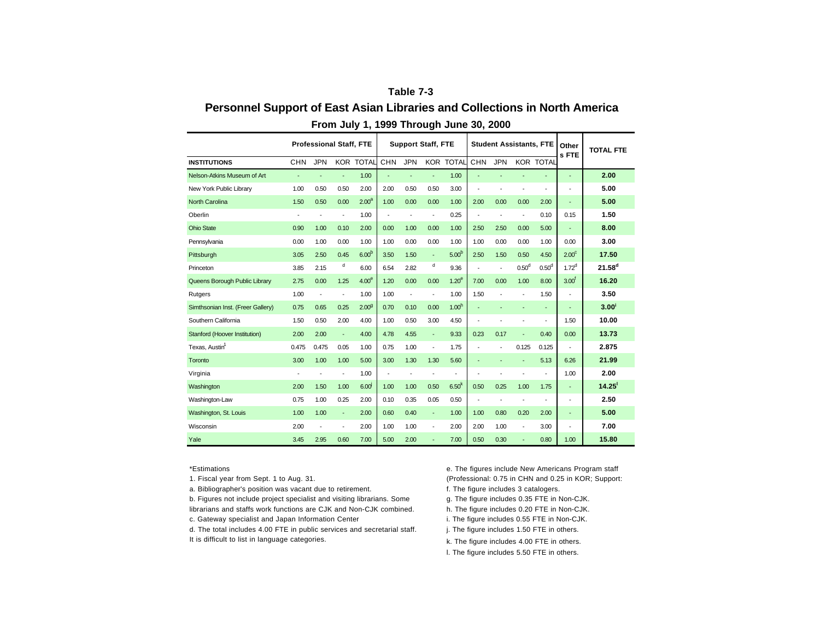## **Table 7-3 Personnel Support of East Asian Libraries and Collections in North America**

|                                   | <b>Professional Staff, FTE</b><br><b>JPN</b><br><b>CHN</b><br><b>KOR TOTAL</b> |                          |                |                   | <b>Support Staff, FTE</b> |                          |                          |                          |                          | <b>Student Assistants, FTE</b> | Other<br>s FTE           | <b>TOTAL FTE</b>         |                   |                |
|-----------------------------------|--------------------------------------------------------------------------------|--------------------------|----------------|-------------------|---------------------------|--------------------------|--------------------------|--------------------------|--------------------------|--------------------------------|--------------------------|--------------------------|-------------------|----------------|
| <b>INSTITUTIONS</b>               |                                                                                |                          |                |                   | <b>CHN</b>                | <b>JPN</b>               |                          | <b>KOR TOTAL</b>         | <b>CHN</b>               | <b>JPN</b>                     |                          | <b>KOR TOTAL</b>         |                   |                |
| Nelson-Atkins Museum of Art       |                                                                                |                          |                | 1.00              | ÷,                        |                          | ٠                        | 1.00                     |                          |                                |                          |                          | ٠                 | 2.00           |
| New York Public Library           | 1.00                                                                           | 0.50                     | 0.50           | 2.00              | 2.00                      | 0.50                     | 0.50                     | 3.00                     | $\overline{a}$           | ٠                              | $\overline{a}$           | ٠                        |                   | 5.00           |
| <b>North Carolina</b>             | 1.50                                                                           | 0.50                     | 0.00           | 2.00 <sup>a</sup> | 1.00                      | 0.00                     | 0.00                     | 1.00                     | 2.00                     | 0.00                           | 0.00                     | 2.00                     |                   | 5.00           |
| Oberlin                           | ÷                                                                              | $\overline{\phantom{a}}$ | $\blacksquare$ | 1.00              | $\overline{a}$            | $\overline{\phantom{a}}$ | $\overline{\phantom{a}}$ | 0.25                     | ٠                        | $\overline{\phantom{a}}$       | $\overline{\phantom{a}}$ | 0.10                     | 0.15              | 1.50           |
| <b>Ohio State</b>                 | 0.90                                                                           | 1.00                     | 0.10           | 2.00              | 0.00                      | 1.00                     | 0.00                     | 1.00                     | 2.50                     | 2.50                           | 0.00                     | 5.00                     |                   | 8.00           |
| Pennsylvania                      | 0.00                                                                           | 1.00                     | 0.00           | 1.00              | 1.00                      | 0.00                     | 0.00                     | 1.00                     | 1.00                     | 0.00                           | 0.00                     | 1.00                     | 0.00              | 3.00           |
| Pittsburgh                        | 3.05                                                                           | 2.50                     | 0.45           | 6.00 <sup>b</sup> | 3.50                      | 1.50                     | ÷.                       | 5.00 <sup>b</sup>        | 2.50                     | 1.50                           | 0.50                     | 4.50                     | 2.00 <sup>c</sup> | 17.50          |
| Princeton                         | 3.85                                                                           | 2.15                     | d              | 6.00              | 6.54                      | 2.82                     | d                        | 9.36                     | $\overline{\phantom{a}}$ | $\overline{\phantom{a}}$       | 0.50 <sup>d</sup>        | 0.50 <sup>d</sup>        | 1.72 <sup>d</sup> | $21.58^{d}$    |
| Queens Borough Public Library     | 2.75                                                                           | 0.00                     | 1.25           | 4.00 <sup>e</sup> | 1.20                      | 0.00                     | 0.00                     | 1.20 <sup>e</sup>        | 7.00                     | 0.00                           | 1.00                     | 8.00                     | 3.00 <sup>†</sup> | 16.20          |
| Rutgers                           | 1.00                                                                           | $\overline{\phantom{a}}$ |                | 1.00              | 1.00                      | $\overline{\phantom{a}}$ | $\overline{a}$           | 1.00                     | 1.50                     | $\overline{\phantom{a}}$       |                          | 1.50                     |                   | 3.50           |
| Simthsonian Inst. (Freer Gallery) | 0.75                                                                           | 0.65                     | 0.25           | 2.00 <sup>9</sup> | 0.70                      | 0.10                     | 0.00                     | 1.00 <sup>h</sup>        | ÷,                       |                                | $\overline{\phantom{a}}$ | ٠                        |                   | $3.00^{\circ}$ |
| Southern California               | 1.50                                                                           | 0.50                     | 2.00           | 4.00              | 1.00                      | 0.50                     | 3.00                     | 4.50                     | $\overline{\phantom{a}}$ |                                | $\overline{\phantom{a}}$ | $\overline{a}$           | 1.50              | 10.00          |
| Stanford (Hoover Institution)     | 2.00                                                                           | 2.00                     | ÷.             | 4.00              | 4.78                      | 4.55                     | ÷.                       | 9.33                     | 0.23                     | 0.17                           | ٠                        | 0.40                     | 0.00              | 13.73          |
| Texas. Austin <sup>1</sup>        | 0.475                                                                          | 0.475                    | 0.05           | 1.00              | 0.75                      | 1.00                     | $\overline{\phantom{a}}$ | 1.75                     | ÷,                       | $\overline{\phantom{a}}$       | 0.125                    | 0.125                    |                   | 2.875          |
| Toronto                           | 3.00                                                                           | 1.00                     | 1.00           | 5.00              | 3.00                      | 1.30                     | 1.30                     | 5.60                     | ÷                        |                                |                          | 5.13                     | 6.26              | 21.99          |
| Virginia                          |                                                                                |                          | ٠              | 1.00              | ÷                         | $\overline{\phantom{a}}$ | $\overline{a}$           | $\overline{\phantom{a}}$ | $\overline{\phantom{a}}$ |                                |                          |                          | 1.00              | 2.00           |
| Washington                        | 2.00                                                                           | 1.50                     | 1.00           | 6.00 <sup>1</sup> | 1.00                      | 1.00                     | 0.50                     | 6.50 <sup>k</sup>        | 0.50                     | 0.25                           | 1.00                     | 1.75                     | ٠                 | 14.25          |
| Washington-Law                    | 0.75                                                                           | 1.00                     | 0.25           | 2.00              | 0.10                      | 0.35                     | 0.05                     | 0.50                     | $\overline{a}$           | ٠                              | $\overline{a}$           | $\overline{\phantom{a}}$ |                   | 2.50           |
| Washington, St. Louis             | 1.00                                                                           | 1.00                     | ÷.             | 2.00              | 0.60                      | 0.40                     | ÷.                       | 1.00                     | 1.00                     | 0.80                           | 0.20                     | 2.00                     | ٠                 | 5.00           |
| Wisconsin                         | 2.00                                                                           | ÷                        | $\blacksquare$ | 2.00              | 1.00                      | 1.00                     | $\overline{\phantom{a}}$ | 2.00                     | 2.00                     | 1.00                           | $\overline{\phantom{a}}$ | 3.00                     |                   | 7.00           |
| Yale                              | 3.45                                                                           | 2.95                     | 0.60           | 7.00              | 5.00                      | 2.00                     |                          | 7.00                     | 0.50                     | 0.30                           |                          | 0.80                     | 1.00              | 15.80          |

## **From July 1, 1999 Through June 30, 2000**

\*Estimations

- 1. Fiscal year from Sept. 1 to Aug. 31.
- a. Bibliographer's position was vacant due to retirement. Figure includes 3 catalogers.
- b. Figures not include project specialist and visiting librarians. Some librarians and staffs work functions are CJK and Non-CJK combined.
- c. Gateway specialist and Japan Information Center i. The figure includes 0.55 FTE in Non-CJK.
- d. The total includes 4.00 FTE in public services and secretarial staff. It is difficult to list in language categories.

e. The figures include New Americans Program staff (Professional: 0.75 in CHN and 0.25 in KOR; Support:

- g. The figure includes 0.35 FTE in Non-CJK.
- h. The figure includes 0.20 FTE in Non-CJK.
- 
- j. The figure includes 1.50 FTE in others.
- k. The figure includes 4.00 FTE in others.
- l. The figure includes 5.50 FTE in others.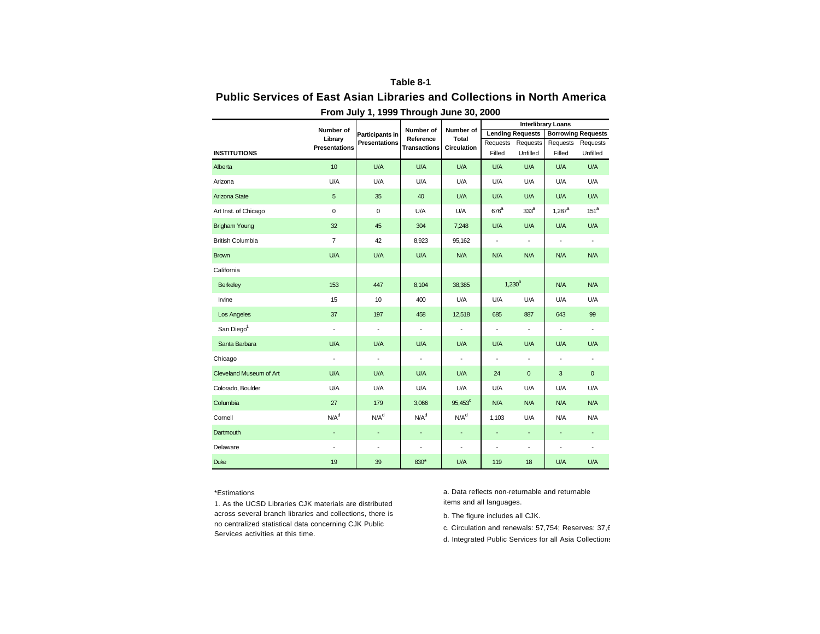## **Table 8-1**

## **Public Services of East Asian Libraries and Collections in North America**

|                         |                          |                          |                              |                          |                          |                              | <b>Interlibrary Loans</b> |                          |
|-------------------------|--------------------------|--------------------------|------------------------------|--------------------------|--------------------------|------------------------------|---------------------------|--------------------------|
|                         | Number of<br>Library     | <b>Participants in</b>   | Number of<br>Reference       | Number of<br>Total       |                          | <b>Lending Requests</b>      | <b>Borrowing Requests</b> |                          |
|                         | <b>Presentations</b>     | <b>Presentations</b>     | <b>Transactions</b>          | <b>Circulation</b>       | Requests                 | Requests                     | Requests                  | Requests                 |
| <b>INSTITUTIONS</b>     |                          |                          |                              |                          | Filled                   | Unfilled                     | Filled                    | Unfilled                 |
| Alberta                 | 10 <sup>10</sup>         | U/A                      | U/A                          | U/A                      | U/A                      | U/A                          | U/A                       | U/A                      |
| Arizona                 | U/A                      | U/A                      | U/A                          | U/A                      | U/A                      | U/A                          | U/A                       | U/A                      |
| Arizona State           | 5                        | 35                       | 40                           | U/A                      | U/A                      | U/A                          | U/A                       | U/A                      |
| Art Inst. of Chicago    | $\mathbf 0$              | 0                        | U/A                          | U/A                      | $676^a$                  | 333 <sup>a</sup>             | $1,287^a$                 | 151 <sup>a</sup>         |
| <b>Brigham Young</b>    | 32                       | 45                       | 304                          | 7,248                    | U/A                      | U/A                          | U/A                       | U/A                      |
| <b>British Columbia</b> | $\overline{7}$           | 42                       | 8,923                        | 95,162                   | $\blacksquare$           | $\blacksquare$               | $\blacksquare$            | $\overline{\phantom{a}}$ |
| <b>Brown</b>            | U/A                      | U/A                      | U/A                          | N/A                      | N/A                      | N/A                          | N/A                       | N/A                      |
| California              |                          |                          |                              |                          |                          |                              |                           |                          |
| Berkeley                | 153                      | 447                      | 8,104                        | 38,385                   | $1,230^{b}$              |                              | N/A                       | N/A                      |
| Irvine                  | 15                       | 10                       | 400                          | U/A                      | U/A                      | U/A                          | U/A                       | U/A                      |
| Los Angeles             | 37                       | 197                      | 458                          | 12,518                   | 685                      | 887                          | 643                       | 99                       |
| San Diego <sup>1</sup>  | $\overline{\phantom{a}}$ | $\blacksquare$           | $\overline{\phantom{a}}$     | $\overline{\phantom{a}}$ | $\overline{\phantom{a}}$ | $\overline{\phantom{a}}$     | $\blacksquare$            | $\blacksquare$           |
| Santa Barbara           | U/A                      | U/A                      | U/A                          | U/A                      | U/A                      | U/A                          | U/A                       | U/A                      |
| Chicago                 | $\blacksquare$           | $\overline{\phantom{a}}$ | $\qquad \qquad \blacksquare$ | $\sim$                   | $\overline{\phantom{a}}$ | $\overline{\phantom{a}}$     | $\overline{\phantom{a}}$  | $\overline{\phantom{a}}$ |
| Cleveland Museum of Art | U/A                      | U/A                      | U/A                          | U/A                      | 24                       | $\mathbf 0$                  | 3                         | $\mathbf 0$              |
| Colorado, Boulder       | U/A                      | U/A                      | U/A                          | U/A                      | U/A                      | U/A                          | U/A                       | U/A                      |
| Columbia                | 27                       | 179                      | 3,066                        | $95,453^{\circ}$         | N/A                      | N/A                          | N/A                       | N/A                      |
| Cornell                 | N/A <sup>d</sup>         | N/A <sup>d</sup>         | N/A <sup>d</sup>             | N/A <sup>d</sup>         | 1,103                    | U/A                          | N/A                       | N/A                      |
| <b>Dartmouth</b>        | $\overline{\phantom{a}}$ | ٠                        | ÷                            | $\overline{\phantom{a}}$ | ÷,                       | $\overline{\phantom{a}}$     | ÷                         | ٠                        |
| Delaware                | ÷,                       | $\overline{\phantom{a}}$ | $\qquad \qquad \blacksquare$ | $\overline{\phantom{a}}$ | ٠                        | $\qquad \qquad \blacksquare$ | ÷,                        | $\overline{\phantom{a}}$ |
| <b>Duke</b>             | 19                       | 39                       | 830*                         | U/A                      | 119                      | 18                           | U/A                       | U/A                      |

**From July 1, 1999 Through June 30, 2000**

### \*Estimations

1. As the UCSD Libraries CJK materials are distributed items and all languages. across several branch libraries and collections, there is no centralized statistical data concerning CJK Public Services activities at this time.

a. Data reflects non-returnable and returnable

b. The figure includes all CJK.

c. Circulation and renewals: 57,754; Reserves: 37,6

d. Integrated Public Services for all Asia Collections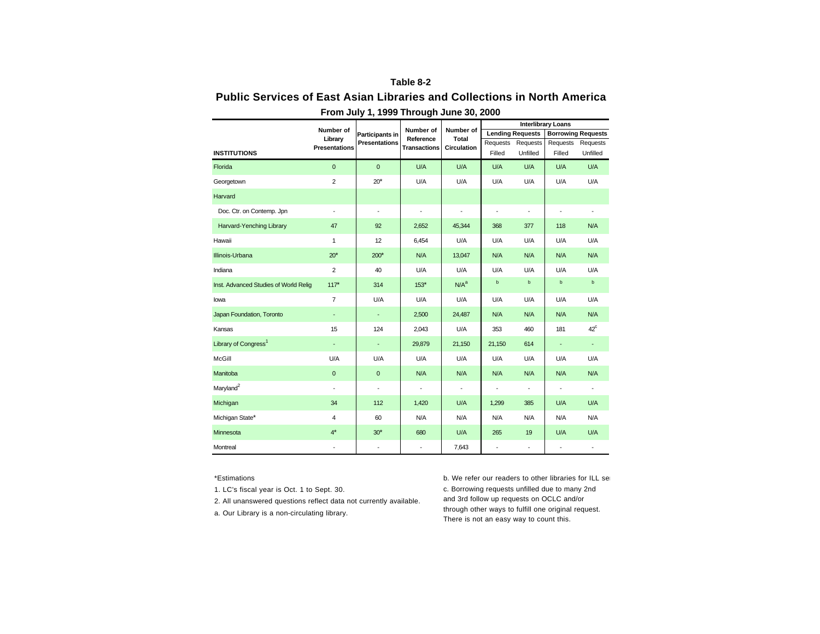## **Table 8-2**

## **Public Services of East Asian Libraries and Collections in North America**

|                                       |                          | <b>Participants in</b>   | Number of<br>Reference<br><b>Transactions</b> |                                          | <b>Interlibrary Loans</b> |                              |                           |                          |  |
|---------------------------------------|--------------------------|--------------------------|-----------------------------------------------|------------------------------------------|---------------------------|------------------------------|---------------------------|--------------------------|--|
|                                       | Number of<br>Library     |                          |                                               | Number of<br>Total<br><b>Circulation</b> |                           | <b>Lending Requests</b>      | <b>Borrowing Requests</b> |                          |  |
|                                       | <b>Presentations</b>     | <b>Presentations</b>     |                                               |                                          | Requests                  | Requests                     | Requests                  | Requests                 |  |
| <b>INSTITUTIONS</b>                   |                          |                          |                                               |                                          | Filled                    | Unfilled                     | Filled                    | Unfilled                 |  |
| Florida                               | $\mathbf{0}$             | $\mathbf{0}$             | U/A                                           | U/A                                      | U/A                       | U/A                          | U/A                       | U/A                      |  |
| Georgetown                            | $\overline{2}$           | $20*$                    | U/A                                           | U/A                                      | U/A                       | U/A                          | U/A                       | U/A                      |  |
| Harvard                               |                          |                          |                                               |                                          |                           |                              |                           |                          |  |
| Doc. Ctr. on Contemp. Jpn             | $\overline{\phantom{a}}$ | $\overline{\phantom{a}}$ | $\qquad \qquad \blacksquare$                  | $\overline{\phantom{a}}$                 | ÷                         | ÷,                           | ÷                         | $\overline{\phantom{a}}$ |  |
| Harvard-Yenching Library              | 47                       | 92                       | 2,652                                         | 45,344                                   | 368                       | 377                          | 118                       | N/A                      |  |
| Hawaii                                | $\mathbf{1}$             | 12                       | 6,454                                         | U/A                                      | U/A                       | U/A                          | U/A                       | U/A                      |  |
| Illinois-Urbana                       | $20*$                    | $200*$                   | N/A                                           | 13,047                                   | N/A                       | N/A                          | N/A                       | N/A                      |  |
| Indiana                               | 2                        | 40                       | U/A                                           | U/A                                      | U/A                       | U/A                          | U/A                       | U/A                      |  |
| Inst. Advanced Studies of World Relig | $117*$                   | 314                      | $153*$                                        | N/A <sup>a</sup>                         | $\mathsf b$               | $\mathsf b$                  | $\mathsf b$               | $\mathsf b$              |  |
| lowa                                  | $\overline{7}$           | U/A                      | U/A                                           | U/A                                      | U/A                       | U/A                          | U/A                       | U/A                      |  |
| Japan Foundation, Toronto             | $\overline{\phantom{a}}$ | $\overline{\phantom{a}}$ | 2,500                                         | 24,487                                   | N/A                       | N/A                          | N/A                       | N/A                      |  |
| Kansas                                | 15                       | 124                      | 2,043                                         | U/A                                      | 353                       | 460                          | 181                       | $42^{\circ}$             |  |
| Library of Congress <sup>1</sup>      | ٠                        | ÷                        | 29,879                                        | 21,150                                   | 21,150                    | 614                          | ٠                         | ٠                        |  |
| McGill                                | U/A                      | U/A                      | U/A                                           | U/A                                      | U/A                       | U/A                          | U/A                       | U/A                      |  |
| Manitoba                              | $\mathbf 0$              | $\mathbf 0$              | N/A                                           | N/A                                      | N/A                       | N/A                          | N/A                       | N/A                      |  |
| Maryland <sup>2</sup>                 | $\overline{\phantom{a}}$ | $\overline{\phantom{a}}$ | $\qquad \qquad \blacksquare$                  | $\overline{\phantom{a}}$                 | ٠                         | $\qquad \qquad \blacksquare$ | $\overline{\phantom{a}}$  | $\overline{\phantom{a}}$ |  |
| Michigan                              | 34                       | 112                      | 1,420                                         | U/A                                      | 1,299                     | 385                          | U/A                       | U/A                      |  |
| Michigan State*                       | 4                        | 60                       | N/A                                           | N/A                                      | N/A                       | N/A                          | N/A                       | N/A                      |  |
| Minnesota                             | $4^*$                    | $30*$                    | 680                                           | U/A                                      | 265                       | 19                           | U/A                       | U/A                      |  |
| Montreal                              | $\overline{\phantom{a}}$ | $\overline{\phantom{a}}$ | $\qquad \qquad \blacksquare$                  | 7,643                                    | ÷,                        | $\blacksquare$               | ÷,                        |                          |  |

**From July 1, 1999 Through June 30, 2000**

1. LC's fiscal year is Oct. 1 to Sept. 30.

2. All unanswered questions reflect data not currently available.

a. Our Library is a non-circulating library.

\*Estimations **b. We refer our readers to other libraries for ILL** services. c. Borrowing requests unfilled due to many 2nd and 3rd follow up requests on OCLC and/or through other ways to fulfill one original request. There is not an easy way to count this.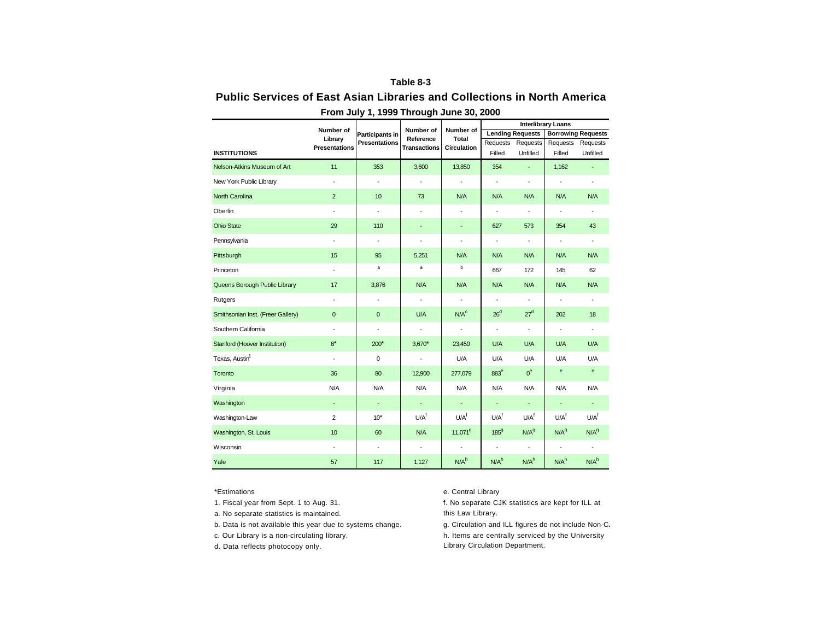## **Table 8-3**

# **Public Services of East Asian Libraries and Collections in North America**

|                                   |                          |                          | Number of<br>Reference   | Number of<br>Total       | <b>Interlibrary Loans</b> |                          |                                   |                                   |  |
|-----------------------------------|--------------------------|--------------------------|--------------------------|--------------------------|---------------------------|--------------------------|-----------------------------------|-----------------------------------|--|
|                                   | Number of<br>Library     | <b>Participants in</b>   |                          |                          | <b>Lending Requests</b>   |                          | <b>Borrowing Requests</b>         |                                   |  |
|                                   | <b>Presentations</b>     | <b>Presentations</b>     | <b>Transactions</b>      | <b>Circulation</b>       | Requests                  | Requests                 | Requests                          | Requests                          |  |
| <b>INSTITUTIONS</b>               |                          |                          |                          |                          | Filled                    | Unfilled                 | Filled                            | Unfilled                          |  |
| Nelson-Atkins Museum of Art       | 11                       | 353                      | 3,600                    | 13,850                   | 354                       | ÷.                       | 1,162                             |                                   |  |
| New York Public Library           | $\overline{\phantom{a}}$ | $\overline{\phantom{a}}$ | ٠                        | $\overline{\phantom{a}}$ | $\overline{\phantom{a}}$  | $\centerdot$             | $\overline{\phantom{a}}$          | $\overline{\phantom{a}}$          |  |
| North Carolina                    | $\overline{2}$           | 10                       | 73                       | N/A                      | N/A                       | N/A                      | N/A                               | N/A                               |  |
| Oberlin                           | $\overline{\phantom{a}}$ | $\overline{\phantom{a}}$ | ÷,                       | $\overline{\phantom{a}}$ | $\overline{\phantom{a}}$  | $\overline{\phantom{a}}$ | $\overline{\phantom{a}}$          | $\blacksquare$                    |  |
| <b>Ohio State</b>                 | 29                       | 110                      | ÷,                       | $\overline{\phantom{a}}$ | 627                       | 573                      | 354                               | 43                                |  |
| Pennsylvania                      | $\overline{a}$           | $\blacksquare$           | $\overline{\phantom{a}}$ | $\blacksquare$           | $\overline{a}$            | $\overline{\phantom{a}}$ | $\blacksquare$                    | $\overline{a}$                    |  |
| Pittsburgh                        | 15                       | 95                       | 5,251                    | N/A                      | N/A                       | N/A                      | N/A                               | N/A                               |  |
| Princeton                         | $\overline{\phantom{a}}$ | a                        | a                        | b                        | 667                       | 172                      | 145                               | 62                                |  |
| Queens Borough Public Library     | 17                       | 3,876                    | N/A                      | N/A                      | N/A                       | N/A                      | N/A                               | N/A                               |  |
| Rutgers                           | $\overline{\phantom{a}}$ | $\overline{\phantom{a}}$ | $\blacksquare$           | $\overline{\phantom{a}}$ | $\centerdot$              | $\overline{\phantom{a}}$ | $\overline{\phantom{a}}$          | $\overline{\phantom{a}}$          |  |
| Smithsonian Inst. (Freer Gallery) | $\mathbf{0}$             | $\mathbf{0}$             | U/A                      | N/A <sup>c</sup>         | 26 <sup>d</sup>           | 27 <sup>d</sup>          | 202                               | 18                                |  |
| Southern California               | $\blacksquare$           | $\overline{\phantom{a}}$ | $\overline{\phantom{a}}$ | $\blacksquare$           | $\overline{\phantom{a}}$  | $\blacksquare$           | $\blacksquare$                    | $\overline{\phantom{a}}$          |  |
| Stanford (Hoover Institution)     | $8*$                     | $200*$                   | $3,670*$                 | 23,450                   | U/A                       | U/A                      | U/A                               | U/A                               |  |
| Texas, Austin <sup>1</sup>        | $\overline{\phantom{a}}$ | 0                        | $\centerdot$             | U/A                      | U/A                       | U/A                      | U/A                               | U/A                               |  |
| Toronto                           | 36                       | 80                       | 12,900                   | 277,079                  | 883 <sup>e</sup>          | 0 <sup>e</sup>           | $\mathbf{e}% _{t}\left( t\right)$ | $\mathbf{e}% _{t}\left( t\right)$ |  |
| Virginia                          | N/A                      | N/A                      | N/A                      | N/A                      | N/A                       | N/A                      | N/A                               | N/A                               |  |
| Washington                        | ÷                        | $\overline{\phantom{a}}$ | ÷.                       | $\overline{\phantom{a}}$ | ÷,                        | ÷.                       | ÷.                                | ÷.                                |  |
| Washington-Law                    | 2                        | $10*$                    | U/A <sup>f</sup>         | U/A <sup>f</sup>         | U/A <sup>f</sup>          | U/A <sup>f</sup>         | U/A <sup>f</sup>                  | U/A <sup>f</sup>                  |  |
| Washington, St. Louis             | 10                       | 60                       | N/A                      | 11,071 <sup>9</sup>      | $185^{9}$                 | N/A <sup>9</sup>         | N/A <sup>9</sup>                  | N/A <sup>9</sup>                  |  |
| Wisconsin                         | $\overline{\phantom{a}}$ | $\overline{\phantom{a}}$ | $\overline{\phantom{a}}$ | $\blacksquare$           | $\overline{\phantom{a}}$  | $\overline{\phantom{a}}$ | $\overline{\phantom{a}}$          | ÷                                 |  |
| Yale                              | 57                       | 117                      | 1,127                    | N/A <sup>h</sup>         | N/A <sup>h</sup>          | N/A <sup>h</sup>         | N/A <sup>h</sup>                  | N/A <sup>h</sup>                  |  |

**From July 1, 1999 Through June 30, 2000**

- 1. Fiscal year from Sept. 1 to Aug. 31.
- a. No separate statistics is maintained.
- b. Data is not available this year due to systems change. <br>g. Circulation and ILL figures do not include Non-C.
- c. Our Library is a non-circulating library.
- d. Data reflects photocopy only.

### \*Estimations e. Central Library

- f. No separate CJK statistics are kept for ILL at this Law Library.
- h. Items are centrally serviced by the University Library Circulation Department.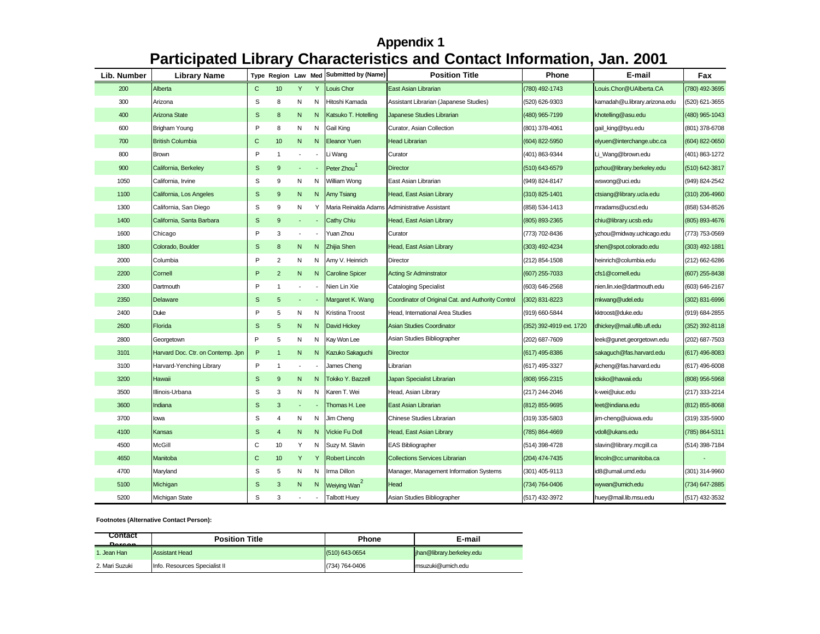# **Appendix 1 Participated Library Characteristics and Contact Information, Jan. 2001**

| Lib. Number | <b>Library Name</b>               |              | Type Region Law Med     |                          |                          | <b>Submitted by (Name)</b> | <b>Position Title</b>                              | Phone                    | E-mail                        | Fax            |
|-------------|-----------------------------------|--------------|-------------------------|--------------------------|--------------------------|----------------------------|----------------------------------------------------|--------------------------|-------------------------------|----------------|
| 200         | Alberta                           | $\mathsf{C}$ | 10                      | Y                        | Y                        | Louis Chor                 | East Asian Librarian                               | (780) 492-1743           | Louis.Chor@UAlberta.CA        | (780) 492-3695 |
| 300         | Arizona                           | S            | 8                       | N                        | N                        | Hitoshi Kamada             | Assistant Librarian (Japanese Studies)             | (520) 626-9303           | kamadah@u.library.arizona.edu | (520) 621-3655 |
| 400         | Arizona State                     | S            | 8                       | N                        | N                        | Katsuko T. Hotelling       | Japanese Studies Librarian                         | (480) 965-7199           | khotelling@asu.edu            | (480) 965-1043 |
| 600         | Brigham Young                     | P            | 8                       | N                        | N                        | Gail King                  | Curator, Asian Collection                          | (801) 378-4061           | gail_king@byu.edu             | (801) 378-6708 |
| 700         | <b>British Columbia</b>           | $\mathsf{C}$ | 10                      | N                        | N                        | <b>Eleanor Yuen</b>        | <b>Head Librarian</b>                              | (604) 822-5950           | elyuen@interchange.ubc.ca     | (604) 822-0650 |
| 800         | <b>Brown</b>                      | P            | $\overline{1}$          |                          | ÷,                       | Li Wang                    | Curator                                            | (401) 863-9344           | Li_Wang@brown.edu             | (401) 863-1272 |
| 900         | California, Berkeley              | S            | $\boldsymbol{9}$        |                          | $\blacksquare$           | Peter Zhou                 | <b>Director</b>                                    | (510) 643-6579           | pzhou@library.berkeley.edu    | (510) 642-3817 |
| 1050        | California, Irvine                | S            | 9                       | N                        | N                        | William Wong               | East Asian Librarian                               | (949) 824-8147           | wswong@uci.edu                | (949) 824-2542 |
| 1100        | California, Los Angeles           | S            | 9                       | N                        | N                        | Amy Tsiang                 | Head, East Asian Library                           | (310) 825-1401           | ctsiang@library.ucla.edu      | (310) 206-4960 |
| 1300        | California, San Diego             | S            | 9                       | N                        | Y                        | Maria Reinalda Adams       | Administrative Assistant                           | (858) 534-1413           | mradams@ucsd.edu              | (858) 534-8526 |
| 1400        | California, Santa Barbara         | S            | 9                       | $\overline{\phantom{a}}$ | $\sim$                   | <b>Cathy Chiu</b>          | Head, East Asian Library                           | (805) 893-2365           | chiu@library.ucsb.edu         | (805) 893-4676 |
| 1600        | Chicago                           | P            | 3                       |                          | $\overline{\phantom{a}}$ | Yuan Zhou                  | Curator                                            | (773) 702-8436           | yzhou@midway.uchicago.edu     | (773) 753-0569 |
| 1800        | Colorado, Boulder                 | S            | 8                       | N                        | N                        | Zhijia Shen                | Head, East Asian Library                           | (303) 492-4234           | shen@spot.colorado.edu        | (303) 492-1881 |
| 2000        | Columbia                          | P            | $\overline{\mathbf{c}}$ | N                        | N                        | Amy V. Heinrich            | Director                                           | (212) 854-1508           | heinrich@columbia.edu         | (212) 662-6286 |
| 2200        | Cornell                           | $\mathsf P$  | $\overline{c}$          | N                        | N                        | <b>Caroline Spicer</b>     | <b>Acting Sr Adminstrator</b>                      | (607) 255-7033           | cfs1@cornell.edu              | (607) 255-8438 |
| 2300        | Dartmouth                         | P            | $\overline{1}$          |                          |                          | Nien Lin Xie               | <b>Cataloging Specialist</b>                       | (603) 646-2568           | nien.lin.xie@dartmouth.edu    | (603) 646-2167 |
| 2350        | Delaware                          | S            | $5\phantom{.0}$         | $\blacksquare$           |                          | Margaret K. Wang           | Coordinator of Original Cat. and Authority Control | (302) 831-8223           | mkwang@udel.edu               | (302) 831-6996 |
| 2400        | Duke                              | P            | 5                       | N                        | N                        | Kristina Troost            | Head, International Area Studies                   | (919) 660-5844           | kktroost@duke.edu             | (919) 684-2855 |
| 2600        | Florida                           | S            | 5                       | N                        | N                        | David Hickey               | <b>Asian Studies Coordinator</b>                   | (352) 392-4919 ext. 1720 | dhickey@mail.uflib.ufl.edu    | (352) 392-8118 |
| 2800        | Georgetown                        | P            | 5                       | N                        | N                        | Kay Won Lee                | Asian Studies Bibliographer                        | (202) 687-7609           | leek@gunet.georgetown.edu     | (202) 687-7503 |
| 3101        | Harvard Doc. Ctr. on Contemp. Jpn | P            | $\overline{1}$          | N                        | N                        | Kazuko Sakaguchi           | <b>Director</b>                                    | $(617)$ 495-8386         | sakaguch@fas.harvard.edu      | (617) 496-8083 |
| 3100        | Harvard-Yenching Library          | P            | $\overline{1}$          |                          |                          | James Cheng                | Librarian                                          | (617) 495-3327           | jkcheng@fas.harvard.edu       | (617) 496-6008 |
| 3200        | Hawaii                            | $\mathsf{s}$ | 9                       | N                        | N <sub>1</sub>           | Tokiko Y. Bazzell          | Japan Specialist Librarian                         | (808) 956-2315           | tokiko@hawaii.edu             | (808) 956-5968 |
| 3500        | Illinois-Urbana                   | S            | 3                       | N                        | N                        | Karen T. Wei               | Head, Asian Library                                | (217) 244-2046           | k-wei@uiuc.edu                | (217) 333-2214 |
| 3600        | Indiana                           | S            | 3                       |                          |                          | Thomas H. Lee              | East Asian Librarian                               | (812) 855-9695           | leet@indiana.edu              | (812) 855-8068 |
| 3700        | lowa                              | S            | 4                       | N                        | N                        | Jim Cheng                  | Chinese Studies Librarian                          | (319) 335-5803           | jim-cheng@uiowa.edu           | (319) 335-5900 |
| 4100        | Kansas                            | <sub>S</sub> | $\overline{4}$          | N                        | N                        | <b>Vickie Fu Doll</b>      | Head, East Asian Library                           | (785) 864-4669           | vdoll@ukans.edu               | (785) 864-5311 |
| 4500        | <b>McGill</b>                     | C            | 10                      | Υ                        | N                        | Suzy M. Slavin             | <b>EAS Bibliographer</b>                           | (514) 398-4728           | slavin@library.mcgill.ca      | (514) 398-7184 |
| 4650        | Manitoba                          | $\mathbf{C}$ | 10                      | Y                        | Y                        | <b>Robert Lincoln</b>      | <b>Collections Services Librarian</b>              | (204) 474-7435           | lincoln@cc.umanitoba.ca       |                |
| 4700        | Maryland                          | S            | 5                       | N                        | N                        | rma Dillon                 | Manager, Management Information Systems            | (301) 405-9113           | id8@umail.umd.edu             | (301) 314-9960 |
| 5100        | Michigan                          | S            | 3                       | N                        | N                        | Weiying Wan <sup>2</sup>   | Head                                               | (734) 764-0406           | wywan@umich.edu               | (734) 647-2885 |
| 5200        | Michigan State                    | S            | 3                       |                          |                          | <b>Talbott Huey</b>        | Asian Studies Bibliographer                        | (517) 432-3972           | huey@mail.lib.msu.edu         | (517) 432-3532 |

**Footnotes (Alternative Contact Person):**

| Contact<br><b>Dovoon</b> | <b>Position Title</b>         | Phone          | E-mail                    |
|--------------------------|-------------------------------|----------------|---------------------------|
| 1. Jean Han              | Assistant Head                | (510) 643-0654 | jhan@library.berkeley.edu |
| 2. Mari Suzuki           | Info. Resources Specialist II | (734) 764-0406 | msuzuki@umich.edu         |